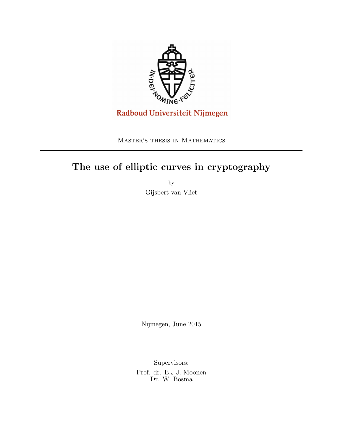

Master's thesis in Mathematics

# The use of elliptic curves in cryptography

by Gijsbert van Vliet

Nijmegen, June 2015

Supervisors:

Prof. dr. B.J.J. Moonen Dr. W. Bosma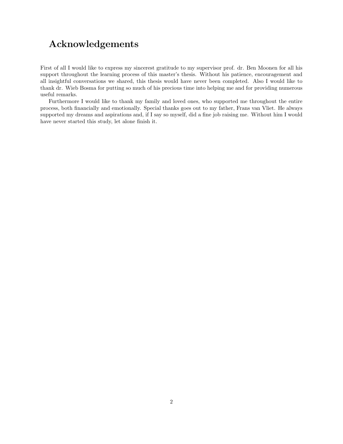# Acknowledgements

First of all I would like to express my sincerest gratitude to my supervisor prof. dr. Ben Moonen for all his support throughout the learning process of this master's thesis. Without his patience, encouragement and all insightful conversations we shared, this thesis would have never been completed. Also I would like to thank dr. Wieb Bosma for putting so much of his precious time into helping me and for providing numerous useful remarks.

Furthermore I would like to thank my family and loved ones, who supported me throughout the entire process, both financially and emotionally. Special thanks goes out to my father, Frans van Vliet. He always supported my dreams and aspirations and, if I say so myself, did a fine job raising me. Without him I would have never started this study, let alone finish it.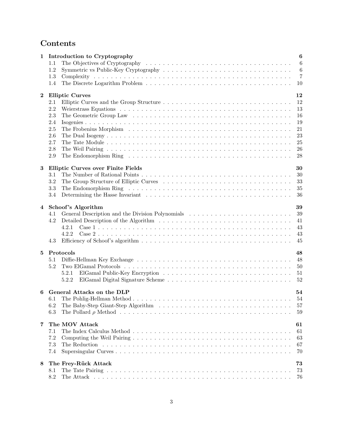# Contents

| 1        |            | $\bf{6}$<br>Introduction to Cryptography               |
|----------|------------|--------------------------------------------------------|
|          | 1.1        | $\boldsymbol{6}$                                       |
|          | 1.2        | $\boldsymbol{6}$                                       |
|          | 1.3        | $\overline{7}$                                         |
|          | 1.4        | 10                                                     |
| $\bf{2}$ |            | <b>Elliptic Curves</b><br>12                           |
|          | 2.1        | 12                                                     |
|          | 2.2        | 13                                                     |
|          | 2.3        | 16                                                     |
|          | 2.4        | 19                                                     |
|          | 2.5        | 21                                                     |
|          | 2.6        | 23                                                     |
|          | 2.7        | $25\,$                                                 |
|          | 2.8        | 26                                                     |
|          | $2.9\,$    | 28                                                     |
|          |            |                                                        |
| 3        |            | <b>Elliptic Curves over Finite Fields</b><br>30        |
|          | 3.1        | 30                                                     |
|          | 3.2        | 33                                                     |
|          | 3.3        | 35                                                     |
|          | 3.4        | 36                                                     |
| 4        |            | Schoof's Algorithm<br>39                               |
|          | 4.1        | General Description and the Division Polynomials<br>39 |
|          | 4.2        | 41                                                     |
|          |            | 43<br>4.2.1                                            |
|          |            | 43<br>4.2.2                                            |
|          | 4.3        | 45                                                     |
|          |            |                                                        |
| 5        |            | Protocols<br>48                                        |
|          | 5.1        | 48                                                     |
|          | 5.2        | 50                                                     |
|          |            | 5.2.1<br>51                                            |
|          |            | 52<br>5.2.2                                            |
|          |            |                                                        |
| 6        |            | General Attacks on the DLP<br>54                       |
|          | 6.1        | 54                                                     |
|          | 6.2<br>6.3 | 57                                                     |
|          |            | 59                                                     |
| 7        |            | The MOV Attack<br>61                                   |
|          | 7.1        | 61                                                     |
|          | 7.2        | 63                                                     |
|          | 7.3        | 67                                                     |
|          | 7.4        | 70                                                     |
|          |            |                                                        |
| 8        |            | The Frey-Rück Attack<br>73                             |
|          | 8.1        | 73                                                     |
|          | 8.2        | 76                                                     |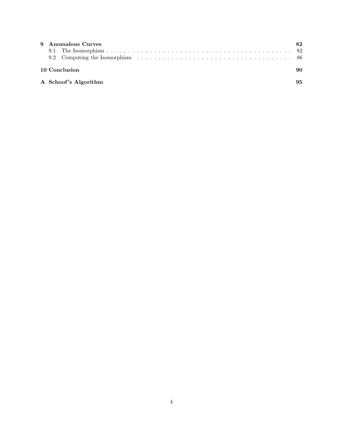| 9 Anomalous Curves   |    |
|----------------------|----|
|                      |    |
|                      |    |
| 10 Conclusion        | 90 |
| A Schoof's Algorithm | 95 |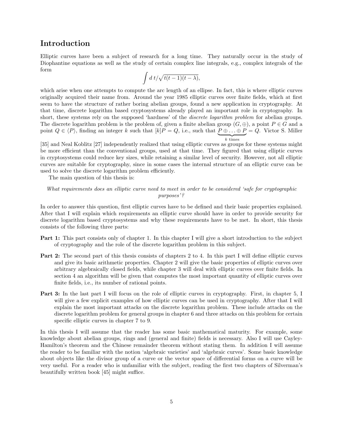## Introduction

Elliptic curves have been a subject of research for a long time. They naturally occur in the study of Diophantine equations as well as the study of certain complex line integrals, e.g., complex integrals of the form

$$
\int d\ t/\sqrt{t(t-1)(t-\lambda)},
$$

which arise when one attempts to compute the arc length of an ellipse. In fact, this is where elliptic curves originally acquired their name from. Around the year 1985 elliptic curves over finite fields, which at first seem to have the structure of rather boring abelian groups, found a new application in cryptography. At that time, discrete logarithm based cryptosystems already played an important role in cryptography. In short, these systems rely on the supposed 'hardness' of the *discrete logarithm problem* for abelian groups. The discrete logarithm problem is the problem of, given a finite abelian group  $(G, \oplus)$ , a point  $P \in G$  and a point  $Q \in \langle P \rangle$ , finding an integer k such that  $[k]P = Q$ , i.e., such that  $P \oplus \ldots \oplus P = Q$ . Victor S. Miller  $\overline{k}$  times

[35] and Neal Koblitz [27] independently realized that using elliptic curves as groups for these systems might be more efficient than the conventional groups, used at that time. They figured that using elliptic curves in cryptosystems could reduce key sizes, while retaining a similar level of security. However, not all elliptic curves are suitable for cryptography, since in some cases the internal structure of an elliptic curve can be used to solve the discrete logarithm problem efficiently.

The main question of this thesis is:

What requirements does an elliptic curve need to meet in order to be considered 'safe for cryptographic purposes'?

In order to answer this question, first elliptic curves have to be defined and their basic properties explained. After that I will explain which requirements an elliptic curve should have in order to provide security for discrete logarithm based cryptosystems and why these requirements have to be met. In short, this thesis consists of the following three parts:

- Part 1: This part consists only of chapter 1. In this chapter I will give a short introduction to the subject of cryptography and the role of the discrete logarithm problem in this subject.
- Part 2: The second part of this thesis consists of chapters 2 to 4. In this part I will define elliptic curves and give its basic arithmetic properties. Chapter 2 will give the basic properties of elliptic curves over arbitrary algebraically closed fields, while chapter 3 will deal with elliptic curves over finite fields. In section 4 an algorithm will be given that computes the most important quantity of elliptic curves over finite fields, i.e., its number of rational points.
- Part 3: In the last part I will focus on the role of elliptic curves in cryptography. First, in chapter 5, I will give a few explicit examples of how elliptic curves can be used in cryptography. After that I will explain the most important attacks on the discrete logarithm problem. These include attacks on the discrete logarithm problem for general groups in chapter 6 and three attacks on this problem for certain specific elliptic curves in chapter 7 to 9.

In this thesis I will assume that the reader has some basic mathematical maturity. For example, some knowledge about abelian groups, rings and (general and finite) fields is necessary. Also I will use Cayley-Hamilton's theorem and the Chinese remainder theorem without stating them. In addition I will assume the reader to be familiar with the notion 'algebraic varieties' and 'algebraic curves'. Some basic knowledge about objects like the divisor group of a curve or the vector space of differential forms on a curve will be very useful. For a reader who is unfamiliar with the subject, reading the first two chapters of Silverman's beautifully written book [45] might suffice.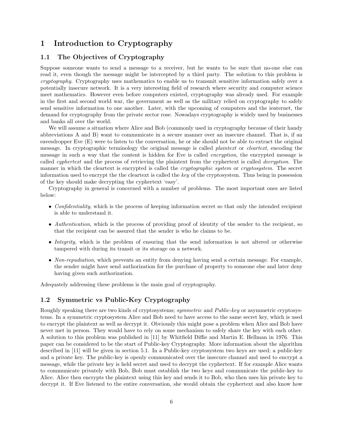## 1 Introduction to Cryptography

### 1.1 The Objectives of Cryptography

Suppose someone wants to send a message to a receiver, but he wants to be sure that no-one else can read it, even though the message might be intercepted by a third party. The solution to this problem is cryptography. Cryptography uses mathematics to enable us to transmit sensitive information safely over a potentially insecure network. It is a very interesting field of research where security and computer science meet mathematics. However even before computers existed, cryptography was already used. For example in the first and second world war, the government as well as the military relied on cryptography to safely send sensitive information to one another. Later, with the upcoming of computers and the ienternet, the demand for cryptography from the private sector rose. Nowadays cryptography is widely used by businesses and banks all over the world.

We will assume a situation where Alice and Bob (commonly used in cryptography because of their handy abbreviations A and B) want to communicate in a secure manner over an insecure channel. That is, if an eavesdropper Eve (E) were to listen to the conversation, he or she should not be able to extract the original message. In cryptographic terminology the original message is called *plaintext* or *cleartext*, encoding the message in such a way that the content is hidden for Eve is called *encryption*, the encrypted message is called *cyphertext* and the process of retrieving the plaintext from the cyphertext is called *decryption*. The manner in which the cleartext is encrypted is called the *cryptographic system* or *cryptosystem*. The secret information used to encrypt the the cleartext is called the key of the cryptosystem. Thus being in possession of the key should make decrypting the cyphertext 'easy'.

Cryptography in general is concerned with a number of problems. The most important ones are listed below:

- Confidentiality, which is the process of keeping information secret so that only the intended recipient is able to understand it.
- Authentication, which is the process of providing proof of identity of the sender to the recipient, so that the recipient can be assured that the sender is who he claims to be.
- Integrity, which is the problem of ensuring that the send information is not altered or otherwise tampered with during its transit or its storage on a network.
- Non-repudiation, which prevents an entity from denying having send a certain message. For example, the sender might have send authorization for the purchase of property to someone else and later deny having given such authorization.

Adequately addressing these problems is the main goal of cryptography.

### 1.2 Symmetric vs Public-Key Cryptography

Roughly speaking there are two kinds of cryptosystems; symmetric and Public-key or asymmetric cryptosystems. In a symmetric cryptosystem Alice and Bob need to have access to the same secret key, which is used to encrypt the plaintext as well as decrypt it. Obviously this might pose a problem when Alice and Bob have never met in person. They would have to rely on some mechanism to safely share the key with each other. A solution to this problem was published in [11] by Whitfield Diffie and Martin E. Hellman in 1976. This paper can be considered to be the start of Public-key Cryptography. More information about the algorithm described in [11] will be given in section 5.1. In a Public-key cryptosystem two keys are used; a public-key and a private key. The public-key is openly communicated over the insecure channel and used to encrypt a message, while the private key is held secret and used to decrypt the cyphertext. If for example Alice wants to communicate privately with Bob, Bob must establish the two keys and communicate the public-key to Alice. Alice then encrypts the plaintext using this key and sends it to Bob, who then uses his private key to decrypt it. If Eve listened to the entire conversation, she would obtain the cyphertext and also know how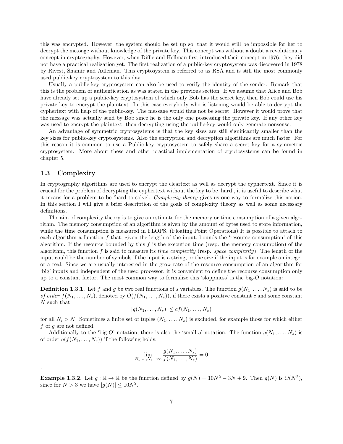this was encrypted. However, the system should be set up so, that it would still be impossible for her to decrypt the message without knowledge of the private key. This concept was without a doubt a revolutionary concept in cryptography. However, when Diffie and Hellman first introduced their concept in 1976, they did not have a practical realization yet. The first realization of a public-key cryptosystem was discovered in 1978 by Rivest, Shamir and Adleman. This cryptosystem is referred to as RSA and is still the most commonly used public-key cryptosystem to this day.

Usually a public-key cryptosystem can also be used to verify the identity of the sender. Remark that this is the problem of authentication as was stated in the previous section. If we assume that Alice and Bob have already set up a public-key cryptosystem of which only Bob has the secret key, then Bob could use his private key to encrypt the plaintext. In this case everybody who is listening would be able to decrypt the cyphertext with help of the public-key. The message would thus not be secret. However it would prove that the message was actually send by Bob since he is the only one possessing the private key. If any other key was used to encrypt the plaintext, then decrypting using the public-key would only generate nonsense.

An advantage of symmetric cryptosystems is that the key sizes are still significantly smaller than the key sizes for public-key cryptosystems. Also the encryption and decryption algorithms are much faster. For this reason it is common to use a Public-key cryptosystem to safely share a secret key for a symmetric cryptosystem. More about these and other practical implementation of cryptosystems can be found in chapter 5.

#### 1.3 Complexity

.

In cryptography algorithms are used to encrypt the cleartext as well as decrypt the cyphertext. Since it is crucial for the problem of decrypting the cyphertext without the key to be 'hard', it is useful to describe what it means for a problem to be 'hard to solve'. Complexity theory gives us one way to formalize this notion. In this section I will give a brief description of the goals of complexity theory as well as some necessary definitions.

The aim of complexity theory is to give an estimate for the memory or time consumption of a given algorithm. The memory consumption of an algorithm is given by the amount of bytes used to store information, while the time consumption is measured in FLOPS. (Floating Point Operations) It is possible to attach to each algorithm a function  $f$  that, given the length of the input, bounds the 'resource consumption' of this algorithm. If the resource bounded by this  $f$  is the execution time (resp. the memory consumption) of the algorithm, this function f is said to measure its *time complexity* (resp. *space complexity*). The length of the input could be the number of symbols if the input is a string, or the size if the input is for example an integer or a real. Since we are usually interested in the grow rate of the resource consumption of an algorithm for 'big' inputs and independent of the used processor, it is convenient to define the recourse consumption only up to a constant factor. The most common way to formalize this 'sloppiness' is the big- $O$  notation:

**Definition 1.3.1.** Let f and g be two real functions of s variables. The function  $g(N_1, \ldots, N_s)$  is said to be of order  $f(N_1, \ldots, N_s)$ , denoted by  $O(f(N_1, \ldots, N_s))$ , if there exists a positive constant c and some constant N such that

$$
|g(N_1,\ldots,N_s)| \leq cf(N_1,\ldots,N_s)
$$

for all  $N_i > N$ . Sometimes a finite set of tuples  $(N_1, \ldots, N_s)$  is excluded, for example those for which either  $f$  of  $g$  are not defined.

Additionally to the 'big-O' notation, there is also the 'small-o' notation. The function  $g(N_1, \ldots, N_s)$  is of order  $o(f(N_1, \ldots, N_s))$  if the following holds:

$$
\lim_{N_1,\ldots,N_s\to\infty}\frac{g(N_1,\ldots,N_s)}{f(N_1,\ldots,N_s)}=0
$$

**Example 1.3.2.** Let  $g : \mathbb{R} \to \mathbb{R}$  be the function defined by  $g(N) = 10N^2 - 3N + 9$ . Then  $g(N)$  is  $O(N^2)$ , since for  $N > 3$  we have  $|g(N)| \leq 10N^2$ .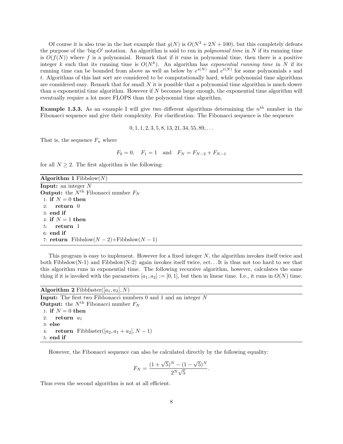Of course it is also true in the last example that  $q(N)$  is  $O(N^3 + 2N + 100)$ , but this completely defeats the purpose of the 'big-O' notation. An algorithm is said to run in *polynomial time* in N if its running time is  $O(f(N))$  where f is a polynomial. Remark that if it runs in polynomial time, then there is a positive integer k such that its running time is  $O(N^k)$ . An algorithm has exponential running time in N if its running time can be bounded from above as well as below by  $e^{s(N)}$  and  $e^{t(N)}$  for some polynomials s and t. Algorithms of this last sort are considered to be computationally hard, while polynomial time algorithms are considered easy. Remark that for small  $N$  it is possible that a polynomial time algorithm is much slower than a exponential time algorithm. However if  $N$  becomes large enough, the exponential time algorithm will eventually require a lot more FLOPS than the polynomial time algorithm.

**Example 1.3.3.** As an example I will give two different algorithms determining the  $n<sup>th</sup>$  number in the Fibonacci sequence and give their complexity. For clarification: The Fibonacci sequence is the sequence

 $0, 1, 1, 2, 3, 5, 8, 13, 21, 34, 55, 89, \ldots$ 

That is, the sequence  $F_n$  where

$$
F_0 = 0
$$
,  $F_1 = 1$  and  $F_N = F_{N-2} + F_{N-1}$ 

for all  $N \geq 2$ . The first algorithm is the following:

| Algorithm 1 Fibbslow $(N)$                                |
|-----------------------------------------------------------|
| <b>Input:</b> an integer $N$                              |
| <b>Output:</b> the $N^{\text{th}}$ Fibonacci number $F_N$ |
| 1: if $N=0$ then                                          |
| 2: $return 0$                                             |
| $3:$ end if                                               |
| 4: if $N=1$ then                                          |
| $5:$ return 1                                             |
| $6:$ end if                                               |
| 7: return Fibbslow $(N-2)+$ Fibbslow $(N-1)$              |
|                                                           |

This program is easy to implement. However for a fixed integer  $N$ , the algorithm invokes itself twice and both Fibbslow(N-1) and Fibbslow(N-2) again invokes itself twice, ect... It is thus not too hard to see that this algorithm runs in exponential time. The following recursive algorithm, however, calculates the same thing if it is invoked with the parameters  $[a_1, a_2] := [0, 1]$ , but then in linear time. I.e., it runs in  $O(N)$  time.

Algorithm 2 Fibbfaster([ $a_1, a_2$ ], N)

**Input:** The first two Fibbonacci numbers  $\theta$  and  $\theta$  and an integer  $N$ **Output:** the  $N^{\text{th}}$  Fibonacci number  $F_N$ 1: if  $N = 0$  then 2: return  $a_1$ 3: else 4: **return** Fibbfaster([ $a_2$ ,  $a_1 + a_2$ ],  $N - 1$ ) 5: end if

However, the Fibonacci sequence can also be calculated directly by the following equality:

$$
F_N = \frac{(1 + \sqrt{5})^N - (1 - \sqrt{5})^N}{2^N \sqrt{5}}
$$

.

Thus even the second algorithm is not at all efficient.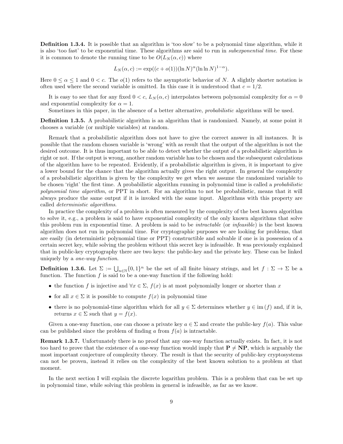Definition 1.3.4. It is possible that an algorithm is 'too slow' to be a polynomial time algorithm, while it is also 'too fast' to be exponential time. These algorithms are said to run in subexponential time. For these it is common to denote the running time to be  $O(L_N(\alpha, c))$  where

$$
L_N(\alpha, c) := \exp((c + o(1))(\ln N)^{\alpha}(\ln \ln N)^{1 - \alpha}).
$$

Here  $0 \le \alpha \le 1$  and  $0 < c$ . The  $o(1)$  refers to the asymptotic behavior of N. A slightly shorter notation is often used where the second variable is omitted. In this case it is understood that  $c = 1/2$ .

It is easy to see that for any fixed  $0 < c$ ,  $L_N(\alpha, c)$  interpolates between polynomial complexity for  $\alpha = 0$ and exponential complexity for  $\alpha = 1$ .

Sometimes in this paper, in the absence of a better alternative, *probabilistic* algorithms will be used.

Definition 1.3.5. A probabilistic algorithm is an algorithm that is randomized. Namely, at some point it chooses a variable (or multiple variables) at random.

Remark that a probabilistic algorithm does not have to give the correct answer in all instances. It is possible that the random chosen variable is 'wrong' with as result that the output of the algorithm is not the desired outcome. It is thus important to be able to detect whether the output of a probabilistic algorithm is right or not. If the output is wrong, another random variable has to be chosen and the subsequent calculations of the algorithm have to be repeated. Evidently, if a probabilistic algorithm is given, it is important to give a lower bound for the chance that the algorithm actually gives the right output. In general the complexity of a probabilistic algorithm is given by the complexity we get when we assume the randomized variable to be chosen 'right' the first time. A probabilistic algorithm running in polynomial time is called a probabilistic polynomial time algorithm, or PPT in short. For an algorithm to not be probabilistic, means that it will always produce the same output if it is invoked with the same input. Algorithms with this property are called deterministic algorithms.

In practice the complexity of a problem is often measured by the complexity of the best known algorithm to solve it, e.g., a problem is said to have exponential complexity of the only known algorithms that solve this problem run in exponential time. A problem is said to be intractable (or infeasible) is the best known algorithm does not run in polynomial time. For cryptographic purposes we are looking for problems, that are easily (in deterministic polynomial time or PPT) constructible and solvable if one is in possession of a certain secret key, while solving the problem without this secret key is infeasible. It was previously explained that in public-key cryptography there are two keys: the public-key and the private key. These can be linked uniquely by a one-way function.

**Definition 1.3.6.** Let  $\Sigma := \bigcup_{n\in\mathbb{N}} \{0,1\}^n$  be the set of all finite binary strings, and let  $f : \Sigma \to \Sigma$  be a function. The function  $f$  is said to be a one-way function if the following hold:

- the function f is injective and  $\forall x \in \Sigma$ ,  $f(x)$  is at most polynomially longer or shorter than x
- for all  $x \in \Sigma$  it is possible to compute  $f(x)$  in polynomial time
- there is no polynomial-time algorithm which for all  $y \in \Sigma$  determines whether  $y \in \text{im}(f)$  and, if it is, returns  $x \in \Sigma$  such that  $y = f(x)$ .

Given a one-way function, one can choose a private key  $a \in \Sigma$  and create the public-key  $f(a)$ . This value can be published since the problem of finding a from  $f(a)$  is intractable.

Remark 1.3.7. Unfortunately there is no proof that any one-way function actually exists. In fact, it is not too hard to prove that the existence of a one-way function would imply that  $P \neq NP$ , which is arguably the most important conjecture of complexity theory. The result is that the security of public-key cryptosystems can not be proven, instead it relies on the complexity of the best known solution to a problem at that moment.

In the next section I will explain the discrete logarithm problem. This is a problem that can be set up in polynomial time, while solving this problem in general is infeasible, as far as we know.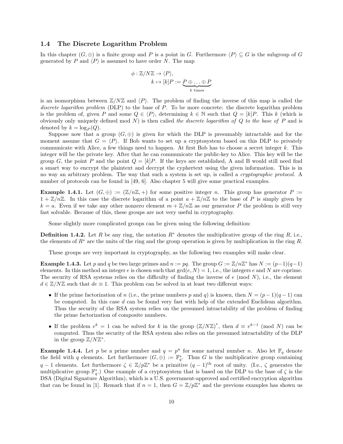#### 1.4 The Discrete Logarithm Problem

In this chapter  $(G, \oplus)$  is a finite group and P is a point in G. Furthermore  $\langle P \rangle \subseteq G$  is the subgroup of G generated by P and  $\langle P \rangle$  is assumed to have order N. The map

$$
\phi: \mathbb{Z}/N\mathbb{Z} \to \langle P \rangle,
$$
  

$$
k \mapsto [k]P := \underbrace{P \oplus \dots \oplus P}_{k \text{ times}}
$$

is an isomorphism between  $\mathbb{Z}/N\mathbb{Z}$  and  $\langle P \rangle$ . The problem of finding the inverse of this map is called the discrete logarithm problem (DLP) to the base of P. To be more concrete: the discrete logarithm problem is the problem of, given P and some  $Q \in \langle P \rangle$ , determining  $k \in \mathbb{N}$  such that  $Q = [k]P$ . This k (which is obviously only uniquely defined mod  $N$ ) is then called the discrete logarithm of  $Q$  to the base of  $P$  and is denoted by  $k = \log_P (Q)$ .

Suppose now that a group  $(G, \oplus)$  is given for which the DLP is presumably intractable and for the moment assume that  $G = \langle P \rangle$ . If Bob wants to set up a cryptosystem based on this DLP to privately communicate with Alice, a few things need to happen. At first Bob has to choose a secret integer k. This integer will be the private key. After that he can communicate the public-key to Alice. This key will be the group G, the point P and the point  $Q = [k]P$ . If the keys are established, A and B would still need find a smart way to encrypt the plaintext and decrypt the cyphertext using the given information. This is in no way an arbitrary problem. The way that such a system is set up, is called a cryptographic protocol. A number of protocols can be found in [49, 6]. Also chapter 5 will give some practical examples.

**Example 1.4.1.** Let  $(G, \oplus) := (\mathbb{Z}/n\mathbb{Z}, +)$  for some positive integer n. This group has generator  $P :=$  $1 + \mathbb{Z}/n\mathbb{Z}$ . In this case the discrete logarithm of a point  $a + \mathbb{Z}/n\mathbb{Z}$  to the base of P is simply given by  $k = a$ . Even if we take any other nonzero element  $m + \mathbb{Z}/n\mathbb{Z}$  as our generator P the problem is still very fast solvable. Because of this, these groups are not very useful in cryptography.

Some slightly more complicated groups can be given using the following definition:

**Definition 1.4.2.** Let R be any ring, the notation  $R^*$  denotes the multiplicative group of the ring R, i.e., the elements of R<sup>∗</sup> are the units of the ring and the group operation is given by multiplication in the ring R.

These groups are very important in cryptography, as the following two examples will make clear.

**Example 1.4.3.** Let p and q be two large primes and  $n := pq$ . The group  $G := \mathbb{Z}/n\mathbb{Z}^*$  has  $N := (p-1)(q-1)$ elements. In this method an integer e is chosen such that  $gcd(e, N) = 1$ , i.e., the integers e and N are coprime. The security of RSA systems relies on the difficulty of finding the inverse of  $e \pmod{N}$ , i.e., the element  $d \in \mathbb{Z}/N\mathbb{Z}$  such that  $de \equiv 1$ . This problem can be solved in at least two different ways:

- If the prime factorization of n (i.e., the prime numbers p and q) is known, then  $N = (p-1)(q-1)$  can be computed. In this case  $d$  can be found very fast with help of the extended Euclidean algorithm. Thus the security of the RSA system relies on the presumed intractability of the problem of finding the prime factorization of composite numbers.
- If the problem  $e^k = 1$  can be solved for k in the group  $(\mathbb{Z}/N\mathbb{Z})^*$ , then  $d \equiv e^{k-1} \pmod{N}$  can be computed. Thus the security of the RSA system also relies on the presumed intractability of the DLP in the group  $\mathbb{Z}/N\mathbb{Z}^*$ .

**Example 1.4.4.** Let p be a prime number and  $q = p^n$  for some natural number n. Also let  $\mathbb{F}_q$  denote the field with q elements. Let furthermore  $(G, \oplus) := \mathbb{F}_q^*$ . Thus G is the multiplicative group containing q − 1 elements. Let furthermore  $\zeta \in \mathbb{Z}/p\mathbb{Z}^*$  be a primitive  $(q-1)$ <sup>th</sup> root of unity. (I.e.,  $\zeta$  generates the multiplicative group  $\mathbb{F}_q^*$ .) One example of a cryptosystem that is based on the DLP to the base of  $\zeta$  is the DSA (Digital Signature Algorithm), which is a U.S. government-approved and certified encryption algorithm that can be found in [1]. Remark that if  $n = 1$ , then  $G = \mathbb{Z}/p\mathbb{Z}^*$  and the previous examples has shown us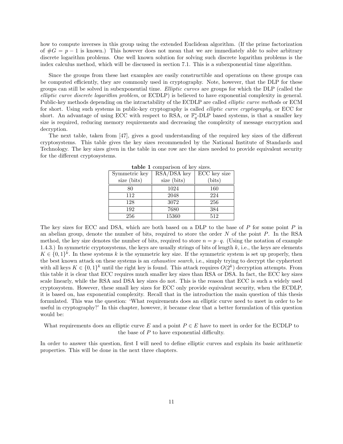how to compute inverses in this group using the extended Euclidean algorithm. (If the prime factorization of  $\#G = p - 1$  is known.) This however does not mean that we are immediately able to solve arbitrary discrete logarithm problems. One well known solution for solving such discrete logarithm problems is the index calculus method, which will be discussed in section 7.1. This is a subexponential time algorithm.

Since the groups from these last examples are easily constructible and operations on these groups can be computed efficiently, they are commonly used in cryptography. Note, however, that the DLP for these groups can still be solved in subexponential time. Elliptic curves are groups for which the DLP (called the elliptic curve discrete logarithm problem, or ECDLP) is believed to have exponential complexity in general. Public-key methods depending on the intractability of the ECDLP are called elliptic curve methods or ECM for short. Using such systems in public-key cryptography is called elliptic curve cryptography, or ECC for short. An advantage of using ECC with respect to RSA, or  $\mathbb{F}_q^*$ -DLP based systems, is that a smaller key size is required, reducing memory requirements and decreasing the complexity of message encryption and decryption.

The next table, taken from [47], gives a good understanding of the required key sizes of the different cryptosystems. This table gives the key sizes recommended by the National Institute of Standards and Technology. The key sizes given in the table in one row are the sizes needed to provide equivalent security for the different cryptosystems.

| Symmetric key | RSA/DSA key | ECC key size |
|---------------|-------------|--------------|
| size (bits)   | size (bits) | (bits)       |
| 80            | 1024        | 160          |
| 112           | 2048        | 224          |
| 128           | 3072        | 256          |
| 192           | 7680        | 384          |
| 256           | 15360       | 512          |

table 1 comparison of key sizes.

The key sizes for ECC and DSA, which are both based on a DLP to the base of P for some point P in an abelian group, denote the number of bits, required to store the order  $N$  of the point  $P$ . In the RSA method, the key size denotes the number of bits, required to store  $n = p \cdot q$ . (Using the notation of example 1.4.3.) In symmetric cryptosystems, the keys are usually strings of bits of length  $k$ , i.e., the keys are elements  $K \in \{0,1\}^k$ . In these systems k is the symmetric key size. If the symmetric system is set up properly, then the best known attack on these systems is an exhaustive search, i.e., simply trying to decrypt the cyphertext with all keys  $K \in \{0,1\}^k$  until the right key is found. This attack requires  $O(2^k)$  decryption attempts. From this table it is clear that ECC requires much smaller key sizes than RSA or DSA. In fact, the ECC key sizes scale linearly, while the RSA and DSA key sizes do not. This is the reason that ECC is such a widely used cryptosystem. However, these small key sizes for ECC only provide equivalent security, when the ECDLP, it is based on, has exponential complexity. Recall that in the introduction the main question of this thesis formulated. This was the question: 'What requirements does an elliptic curve need to meet in order to be useful in cryptography?' In this chapter, however, it became clear that a better formulation of this question would be:

What requirements does an elliptic curve E and a point  $P \in E$  have to meet in order for the ECDLP to the base of  $P$  to have exponential difficulty.

In order to answer this question, first I will need to define elliptic curves and explain its basic arithmetic properties. This will be done in the next three chapters.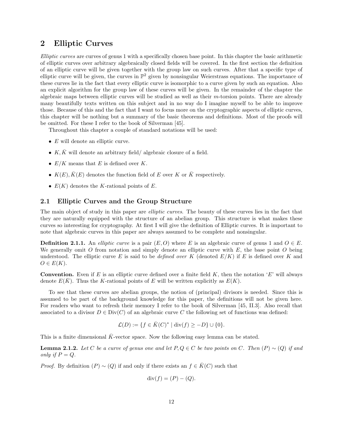## 2 Elliptic Curves

Elliptic curves are curves of genus 1 with a specifically chosen base point. In this chapter the basic arithmetic of elliptic curves over arbitrary algebraically closed fields will be covered. In the first section the definition of an elliptic curve will be given together with the group law on such curves. After that a specific type of elliptic curve will be given, the curves in  $\mathbb{P}^2$  given by nonsingular Weierstrass equations. The importance of these curves lie in the fact that every elliptic curve is isomorphic to a curve given by such an equation. Also an explicit algorithm for the group law of these curves will be given. In the remainder of the chapter the algebraic maps between elliptic curves will be studied as well as their m-torsion points. There are already many beautifully texts written on this subject and in no way do I imagine myself to be able to improve those. Because of this and the fact that I want to focus more on the cryptographic aspects of elliptic curves, this chapter will be nothing but a summary of the basic theorems and definitions. Most of the proofs will be omitted. For these I refer to the book of Silverman [45].

Throughout this chapter a couple of standard notations will be used:

- $\bullet$  E will denote an elliptic curve.
- K,  $\overline{K}$  will denote an arbitrary field/ algebraic closure of a field.
- $E/K$  means that E is defined over K.
- $K(E), K(E)$  denotes the function field of E over K or K respectively.
- $E(K)$  denotes the K-rational points of E.

#### 2.1 Elliptic Curves and the Group Structure

The main object of study in this paper are *elliptic curves*. The beauty of these curves lies in the fact that they are naturally equipped with the structure of an abelian group. This structure is what makes these curves so interesting for cryptography. At first I will give the definition of Elliptic curves. It is important to note that algebraic curves in this paper are always assumed to be complete and nonsingular.

**Definition 2.1.1.** An *elliptic curve* is a pair  $(E, O)$  where E is an algebraic curve of genus 1 and  $O \in E$ . We generally omit O from notation and simply denote an elliptic curve with  $E$ , the base point O being understood. The elliptic curve E is said to be defined over K (denoted  $E/K$ ) if E is defined over K and  $O \in E(K)$ .

**Convention.** Even if E is an elliptic curve defined over a finite field  $K$ , then the notation 'E' will always denote  $E(K)$ . Thus the K-rational points of E will be written explicitly as  $E(K)$ .

To see that these curves are abelian groups, the notion of (principal) divisors is needed. Since this is assumed to be part of the background knowledge for this paper, the definitions will not be given here. For readers who want to refresh their memory I refer to the book of Silverman [45, II.3]. Also recall that associated to a divisor  $D \in Div(C)$  of an algebraic curve C the following set of functions was defined:

$$
\mathcal{L}(D) := \{ f \in \bar{K}(C)^* \mid \text{div}(f) \ge -D \} \cup \{ 0 \}.
$$

This is a finite dimensional  $\bar{K}$ -vector space. Now the following easy lemma can be stated.

**Lemma 2.1.2.** Let C be a curve of genus one and let  $P, Q \in C$  be two points on C. Then  $(P) \sim (Q)$  if and only if  $P = Q$ .

*Proof.* By definition  $(P) \sim (Q)$  if and only if there exists an  $f \in \overline{K}(C)$  such that

$$
\operatorname{div}(f) = (P) - (Q).
$$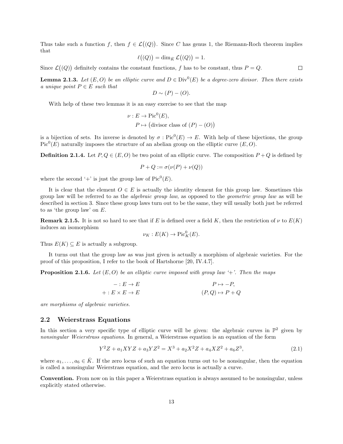Thus take such a function f, then  $f \in \mathcal{L}(Q)$ . Since C has genus 1, the Riemann-Roch theorem implies that

$$
\ell((Q)) = \dim_{\bar{K}} \mathcal{L}((Q)) = 1.
$$

 $\Box$ Since  $\mathcal{L}((Q))$  definitely contains the constant functions, f has to be constant, thus  $P = Q$ .

**Lemma 2.1.3.** Let  $(E, O)$  be an elliptic curve and  $D \in Div^0(E)$  be a degree-zero divisor. Then there exists a unique point  $P \in E$  such that

$$
D \sim (P) - (O).
$$

With help of these two lemmas it is an easy exercise to see that the map

$$
\nu: E \to \text{Pic}^0(E),
$$
  

$$
P \mapsto (\text{divisor class of } (P) - (O))
$$

is a bijection of sets. Its inverse is denoted by  $\sigma : Pic^0(E) \to E$ . With help of these bijections, the group  $Pic^{0}(E)$  naturally imposes the structure of an abelian group on the elliptic curve  $(E, O)$ .

**Definition 2.1.4.** Let  $P, Q \in (E, O)$  be two point of an elliptic curve. The composition  $P + Q$  is defined by

$$
P + Q := \sigma(\nu(P) + \nu(Q))
$$

where the second '+' is just the group law of  $Pic^0(E)$ .

It is clear that the element  $O \in E$  is actually the identity element for this group law. Sometimes this group law will be referred to as the algebraic group law, as opposed to the geometric group law as will be described in section 3. Since these group laws turn out to be the same, they will usually both just be referred to as 'the group law' on E.

**Remark 2.1.5.** It is not so hard to see that if E is defined over a field K, then the restriction of  $\nu$  to  $E(K)$ induces an isomorphism

$$
\nu_K: E(K) \to \operatorname{Pic}^0_K(E).
$$

Thus  $E(K) \subseteq E$  is actually a subgroup.

It turns out that the group law as was just given is actually a morphism of algebraic varieties. For the proof of this proposition, I refer to the book of Hartshorne [20, IV.4.7].

**Proposition 2.1.6.** Let  $(E, O)$  be an elliptic curve imposed with group law '+'. Then the maps

$$
-: E \to E
$$
  
 
$$
P \mapsto -P,
$$
  
 
$$
(P,Q) \mapsto P + Q
$$

are morphisms of algebraic varieties.

#### 2.2 Weierstrass Equations

In this section a very specific type of elliptic curve will be given: the algebraic curves in  $\mathbb{P}^2$  given by nonsingular Weierstrass equations. In general, a Weierstrass equation is an equation of the form

$$
Y^2Z + a_1XYZ + a_3YZ^2 = X^3 + a_2X^2Z + a_4XZ^2 + a_6Z^3,
$$
\n(2.1)

where  $a_1, \ldots, a_6 \in \overline{K}$ . If the zero locus of such an equation turns out to be nonsingular, then the equation is called a nonsingular Weierstrass equation, and the zero locus is actually a curve.

Convention. From now on in this paper a Weierstrass equation is always assumed to be nonsingular, unless explicitly stated otherwise.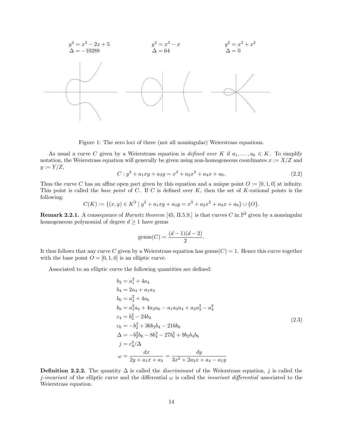

Figure 1: The zero loci of three (not all nonsingular) Weierstrass equations.

As usual a curve C given by a Weierstrass equation is defined over K if  $a_1, \ldots, a_6 \in K$ . To simplify notation, the Weierstrass equation will generally be given using non-homogeneous coordinates  $x := X/Z$  and  $y := Y/Z$ ,

$$
C: y2 + a1xy + a3y = x3 + a2x2 + a4x + a6.
$$
 (2.2)

Thus the curve C has an affine open part given by this equation and a unique point  $O := [0, 1, 0]$  at infinity. This point is called the base point of C. If C is defined over  $K$ , then the set of K-rational points is the following:

$$
C(K) := \{(x, y) \in K^2 \mid y^2 + a_1xy + a_3y = x^3 + a_2x^2 + a_4x + a_6\} \cup \{O\}.
$$

**Remark 2.2.1.** A consequence of *Hurwitz theorem* [45, II.5.9.] is that curves C in  $\mathbb{P}^2$  given by a nonsingular homogeneous polynomial of degree  $d \geq 1$  have genus

$$
genus(C) = \frac{(d-1)(d-2)}{2}.
$$

It thus follows that any curve C given by a Weierstrass equation has genus( $C$ ) = 1. Hence this curve together with the base point  $O = [0, 1, 0]$  is an elliptic curve.

Associated to an elliptic curve the following quantities are defined:

$$
b_2 = a_1^2 + 4a_4
$$
  
\n
$$
b_4 = 2a_4 + a_1a_3
$$
  
\n
$$
b_6 = a_3^2 + 4a_6
$$
  
\n
$$
b_8 = a_1^2a_6 + 4a_2a_6 - a_1a_3a_4 + a_2a_3^2 - a_4^2
$$
  
\n
$$
c_4 = b_2^2 - 24b_4
$$
  
\n
$$
c_6 = -b_2^3 + 36b_2b_4 - 216b_6
$$
  
\n
$$
\Delta = -b_2^2b_8 - 8b_4^3 - 27b_6^2 + 9b_2b_4b_6
$$
  
\n
$$
j = c_4^3/\Delta
$$
  
\n
$$
\omega = \frac{dx}{2y + a_1x + a_3} = \frac{dy}{3x^2 + 2a_2x + a_4 - a_1y}
$$
  
\n(2.3)

**Definition 2.2.2.** The quantity  $\Delta$  is called the *discriminant* of the Weierstrass equation, j is called the j-invariant of the elliptic curve and the differential  $\omega$  is called the *invariant differential* associated to the Weierstrass equation.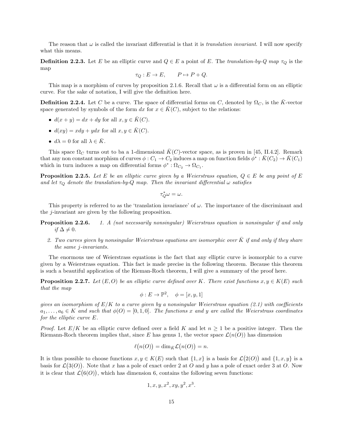The reason that  $\omega$  is called the invariant differential is that it is translation invariant. I will now specify what this means.

**Definition 2.2.3.** Let E be an elliptic curve and  $Q \in E$  a point of E. The translation-by-Q map  $\tau_Q$  is the map

$$
\tau_Q: E \to E, \qquad P \mapsto P + Q.
$$

This map is a morphism of curves by proposition 2.1.6. Recall that  $\omega$  is a differential form on an elliptic curve. For the sake of notation, I will give the definition here.

**Definition 2.2.4.** Let C be a curve. The space of differential forms on C, denoted by  $\Omega_C$ , is the K-vector space generated by symbols of the form dx for  $x \in K(C)$ , subject to the relations:

- $d(x + y) = dx + dy$  for all  $x, y \in \overline{K}(C)$ .
- $d(xy) = xdy + ydx$  for all  $x, y \in \overline{K}(C)$ .
- $d\lambda = 0$  for all  $\lambda \in \overline{K}$ .

This space  $\Omega_C$  turns out to ba a 1-dimensional  $\bar{K}(C)$ -vector space, as is proven in [45, II.4.2]. Remark that any non constant morphism of curves  $\phi: C_1 \to C_2$  induces a map on function fields  $\phi^*: \bar{K}(C_2) \to \bar{K}(C_1)$ which in turn induces a map on differential forms  $\phi^* : \Omega_{C_2} \to \Omega_{C_1}$ .

**Proposition 2.2.5.** Let E be an elliptic curve given by a Weierstrass equation,  $Q \in E$  be any point of E and let  $\tau_{\mathcal{O}}$  denote the translation-by-Q map. Then the invariant differential  $\omega$  satisfies

$$
\tau_Q^*\omega=\omega.
$$

This property is referred to as the 'translation invariance' of  $\omega$ . The importance of the discriminant and the j-invariant are given by the following proposition.

- **Proposition 2.2.6.** 1. A (not necessarily nonsingular) Weierstrass equation is nonsingular if and only if  $\Delta \neq 0$ .
	- 2. Two curves given by nonsingular Weierstrass equations are isomorphic over  $\bar{K}$  if and only if they share the same j-invariants.

The enormous use of Weierstrass equations is the fact that any elliptic curve is isomorphic to a curve given by a Weierstrass equation. This fact is made precise in the following theorem. Because this theorem is such a beautiful application of the Rieman-Roch theorem, I will give a summary of the proof here.

**Proposition 2.2.7.** Let  $(E, O)$  be an elliptic curve defined over K. There exist functions  $x, y \in K(E)$  such that the map

$$
\phi: E \to \mathbb{P}^2, \quad \phi = [x, y, 1]
$$

gives an isomorphism of  $E/K$  to a curve given by a nonsingular Weierstrass equation (2.1) with coefficients  $a_1, \ldots, a_6 \in K$  and such that  $\phi(O) = [0, 1, 0]$ . The functions x and y are called the Weierstrass coordinates for the elliptic curve E.

*Proof.* Let  $E/K$  be an elliptic curve defined over a field K and let  $n \geq 1$  be a positive integer. Then the Riemann-Roch theorem implies that, since E has genus 1, the vector space  $\mathcal{L}(n(O))$  has dimension

$$
\ell(n(O)) = \dim_{\bar{K}} \mathcal{L}(n(O)) = n.
$$

It is thus possible to choose functions  $x, y \in K(E)$  such that  $\{1, x\}$  is a basis for  $\mathcal{L}(2(O))$  and  $\{1, x, y\}$  is a basis for  $\mathcal{L}(3(O))$ . Note that x has a pole of exact order 2 at O and y has a pole of exact order 3 at O. Now it is clear that  $\mathcal{L}(6(O))$ , which has dimension 6, contains the following seven functions:

$$
1, x, y, x^2, xy, y^2, x^3.
$$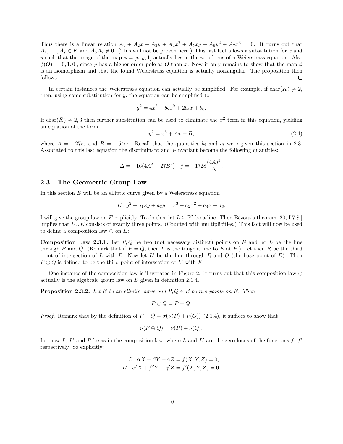Thus there is a linear relation  $A_1 + A_2x + A_3y + A_4x^2 + A_5xy + A_6y^2 + A_7x^3 = 0$ . It turns out that  $A_1, \ldots, A_7 \in K$  and  $A_6A_7 \neq 0$ . (This will not be proven here.) This last fact allows a substitution for x and y such that the image of the map  $\phi = [x, y, 1]$  actually lies in the zero locus of a Weierstrass equation. Also  $\phi(0) = [0, 1, 0]$ , since y has a higher-order pole at O than x. Now it only remains to show that the map  $\phi$ is an isomorphism and that the found Weierstrass equation is actually nonsingular. The proposition then follows. П

In certain instances the Weierstrass equation can actually be simplified. For example, if char( $\bar{K}$ )  $\neq 2$ , then, using some substitution for  $y$ , the equation can be simplified to

$$
y^2 = 4x^3 + b_2x^2 + 2b_4x + b_6.
$$

If char $(\bar{K}) \neq 2, 3$  then further substitution can be used to eliminate the  $x^2$  term in this equation, yielding an equation of the form

$$
y^2 = x^3 + Ax + B,\t\t(2.4)
$$

where  $A = -27c_4$  and  $B = -54c_6$ . Recall that the quantities  $b_i$  and  $c_i$  were given this section in 2.3. Associated to this last equation the discriminant and j-invariant become the following quantities:

$$
\Delta = -16(4A^3 + 27B^2) \quad j = -1728 \frac{(4A)^3}{\Delta}.
$$

#### 2.3 The Geometric Group Law

In this section  $E$  will be an elliptic curve given by a Weierstrass equation

$$
E: y^2 + a_1xy + a_3y = x^3 + a_2x^2 + a_4x + a_6.
$$

I will give the group law on E explicitly. To do this, let  $L \subseteq \mathbb{P}^2$  be a line. Then Bézout's theorem [20, I.7.8.] implies that  $L \cup E$  consists of exactly three points. (Counted with multiplicities.) This fact will now be used to define a composition law  $\oplus$  on E:

**Composition Law 2.3.1.** Let  $P, Q$  be two (not necessary distinct) points on E and let L be the line through P and Q. (Remark that if  $P = Q$ , then L is the tangent line to E at P.) Let then R be the third point of intersection of L with E. Now let  $L'$  be the line through R and O (the base point of E). Then  $P \oplus Q$  is defined to be the third point of intersection of  $L'$  with  $E$ .

One instance of the composition law is illustrated in Figure 2. It turns out that this composition law  $\oplus$ actually is the algebraic group law on  $E$  given in definition 2.1.4.

**Proposition 2.3.2.** Let E be an elliptic curve and  $P, Q \in E$  be two points on E. Then

$$
P \oplus Q = P + Q.
$$

*Proof.* Remark that by the definition of  $P + Q = \sigma(\nu(P) + \nu(Q))$  (2.1.4), it suffices to show that

$$
\nu(P \oplus Q) = \nu(P) + \nu(Q).
$$

Let now L, L' and R be as in the composition law, where L and L' are the zero locus of the functions f,  $f'$ respectively. So explicitly:

$$
L: \alpha X + \beta Y + \gamma Z = f(X, Y, Z) = 0,
$$
  

$$
L': \alpha' X + \beta' Y + \gamma' Z = f'(X, Y, Z) = 0.
$$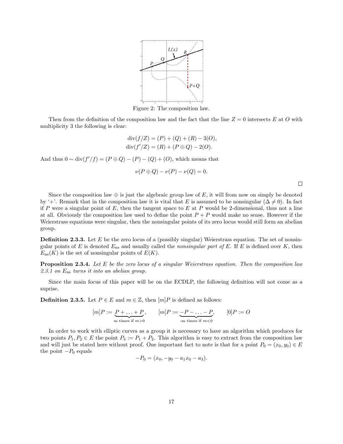

Figure 2: The composition law.

Then from the definition of the composition law and the fact that the line  $Z = 0$  intersects E at O with multiplicity 3 the following is clear:

$$
div(f/Z) = (P) + (Q) + (R) - 3(O),
$$
  
 
$$
div(f'/Z) = (R) + (P \oplus Q) - 2(O).
$$

And thus  $0 \sim \text{div}(f'/f) = (P \oplus Q) - (P) - (Q) + (O)$ , which means that

$$
\nu(P \oplus Q) - \nu(P) - \nu(Q) = 0.
$$

Since the composition law  $\oplus$  is just the algebraic group law of E, it will from now on simply be denoted by '+'. Remark that in the composition law it is vital that E is assumed to be nonsingular ( $\Delta \neq 0$ ). In fact if P were a singular point of E, then the tangent space to E at P would be 2-dimensional, thus not a line at all. Obviously the composition law used to define the point  $P + P$  would make no sense. However if the Weierstrass equations were singular, then the nonsingular points of its zero locus would still form an abelian group.

**Definition 2.3.3.** Let  $E$  be the zero locus of a (possibly singular) Weierstrass equation. The set of nonsingular points of E is denoted  $E_{\text{ns}}$  and usually called the nonsingular part of E. If E is defined over K, then  $E_{\text{ns}}(K)$  is the set of nonsingular points of  $E(K)$ .

**Proposition 2.3.4.** Let E be the zero locus of a singular Weierstrass equation. Then the composition law 2.3.1 on  $E_{\text{ns}}$  turns it into an abelian group.

Since the main focus of this paper will be on the ECDLP, the following definition will not come as a suprise.

**Definition 2.3.5.** Let  $P \in E$  and  $m \in \mathbb{Z}$ , then  $[m]P$  is defined as follows:

$$
[m]P := \underbrace{P + \ldots + P}_{m \text{ times if } m > 0}, \qquad [m]P := \underbrace{-P - \ldots - P}_{-m \text{ times if } m < 0}, \qquad [0]P := O
$$

In order to work with elliptic curves as a group it is necessary to have an algorithm which produces for two points  $P_1, P_2 \in E$  the point  $P_3 := P_1 + P_2$ . This algorithm is easy to extract from the composition law and will just be stated here without proof. One important fact to note is that for a point  $P_0 = (x_0, y_0) \in E$ the point  $-P_0$  equals

$$
-P_0 = (x_0, -y_0 - a_1x_0 - a_3).
$$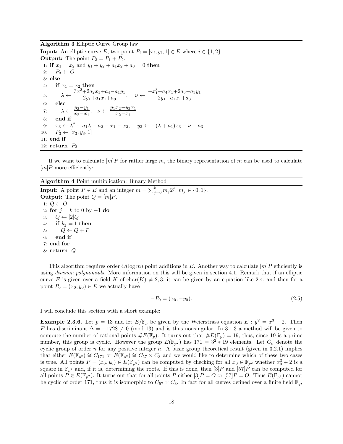Algorithm 3 Elliptic Curve Group law

**Input:** An elliptic curve E, two point  $P_i = [x_i, y_i, 1] \in E$  where  $i \in \{1, 2\}$ . **Output:** The point  $P_3 = P_1 + P_2$ . 1: if  $x_1 = x_2$  and  $y_1 + y_2 + a_1x_2 + a_3 = 0$  then 2:  $P_3 \leftarrow O$ 3: else 4: if  $x_1 = x_2$  then 5:  $\lambda \leftarrow \frac{3x_1^2 + 2a_2x_1 + a_4 - a_1y_1}{2a_1 + a_2x_1 + a_4}$  $+2a_2x_1+a_4-a_1y_1$ <br>  $2y_1+a_1x_1+a_3$ ,  $\nu \leftarrow \frac{-x_1^3+a_4x_1+2a_6-a_3y_1}{2y_1+a_1x_1+a_3}$  $2y_1+a_1x_1+a_3$ 6: else 7:  $\lambda \leftarrow \frac{y_2 - y_1}{x_1 - x_2}$  $\frac{y_2-y_1}{x_2-x_1}$ ,  $\nu \leftarrow \frac{y_1x_2-y_2x_1}{x_2-x_1}$  $x_2-x_1$ 8: end if 9:  $x_3 \leftarrow \lambda^2 + a_1 \lambda - a_2 - x_1 - x_2$ ,  $y_3 \leftarrow -(\lambda + a_1)x_3 - \nu - a_3$ 10:  $P_3 \leftarrow [x_3, y_3, 1]$ 11: end if 12: return  $P_3$ 

If we want to calculate  $[m]P$  for rather large m, the binary representation of m can be used to calculate  $[m]P$  more efficiently:

Algorithm 4 Point multiplication: Binary Method

**Input:** A point  $P \in E$  and an integer  $m = \sum_{j=0}^{k} m_j 2^j$ ,  $m_j \in \{0, 1\}$ . **Output:** The point  $Q = [m]P$ . 1:  $Q \leftarrow O$ 2: for  $j = k$  to 0 by  $-1$  do 3:  $Q \leftarrow [2]Q$ 4: if  $k_j = 1$  then 5:  $Q \leftarrow Q + P$ 6: end if 7: end for 8: return Q

This algorithm requires order  $O(\log m)$  point additions in E. Another way to calculate  $[m]P$  efficiently is using *division polynomials*. More information on this will be given in section 4.1. Remark that if an elliptic curve E is given over a field K of char(K)  $\neq$  2, 3, it can be given by an equation like 2.4, and then for a point  $P_0 = (x_0, y_0) \in E$  we actually have

$$
-P_0 = (x_0, -y_0). \tag{2.5}
$$

I will conclude this section with a short example:

**Example 2.3.6.** Let  $p = 13$  and let  $E/\mathbb{F}_p$  be given by the Weierstrass equation  $E: y^2 = x^3 + 2$ . Then E has discriminant  $\Delta = -1728 \neq 0 \pmod{13}$  and is thus nonsingular. In 3.1.3 a method will be given to compute the number of rational points  $\#E(\mathbb{F}_p)$ . It turns out that  $\#E(\mathbb{F}_p) = 19$ , thus, since 19 is a prime number, this group is cyclic. However the group  $E(\mathbb{F}_{p^2})$  has  $171 = 3^2 * 19$  elements. Let  $C_n$  denote the cyclic group of order n for any positive integer n. A basic group theoretical result (given in 3.2.1) implies that either  $E(\mathbb{F}_{p^2}) \cong C_{171}$  or  $E(\mathbb{F}_{p^2}) \cong C_{57} \times C_3$  and we would like to determine which of these two cases is true. All points  $P = (x_0, y_0) \in E(\mathbb{F}_{p^2})$  can be computed by checking for all  $x_0 \in \mathbb{F}_{p^2}$  whether  $x_0^3 + 2$  is a square in  $\mathbb{F}_{p^2}$  and, if it is, determining the roots. If this is done, then [3] P and [57] P can be computed for all points  $P \in E(\mathbb{F}_{p^2})$ . It turns out that for all points P either  $[3]P = O$  or  $[57]P = O$ . Thus  $E(\mathbb{F}_{p^2})$  cannot be cyclic of order 171, thus it is isomorphic to  $C_{57} \times C_3$ . In fact for all curves defined over a finite field  $\mathbb{F}_q$ ,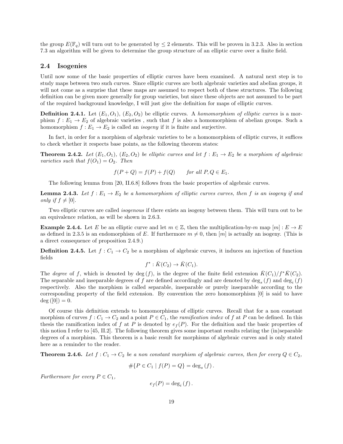the group  $E(\mathbb{F}_q)$  will turn out to be generated by  $\leq 2$  elements. This will be proven in 3.2.3. Also in section 7.3 an algorithm will be given to determine the group structure of an elliptic curve over a finite field.

#### 2.4 Isogenies

Until now some of the basic properties of elliptic curves have been examined. A natural next step is to study maps between two such curves. Since elliptic curves are both algebraic varieties and abelian groups, it will not come as a surprise that these maps are assumed to respect both of these structures. The following definition can be given more generally for group varieties, but since these objects are not assumed to be part of the required background knowledge, I will just give the definition for maps of elliptic curves.

**Definition 2.4.1.** Let  $(E_1, O_1)$ ,  $(E_2, O_2)$  be elliptic curves. A *homomorphism of elliptic curves* is a morphism  $f : E_1 \to E_2$  of algebraic varieties, such that f is also a homomorphism of abelian groups. Such a homomorphism  $f : E_1 \to E_2$  is called an *isogeny* if it is finite and surjective.

In fact, in order for a morphism of algebraic varieties to be a homomorphism of elliptic curves, it suffices to check whether it respects base points, as the following theorem states:

**Theorem 2.4.2.** Let  $(E_1, O_1)$ ,  $(E_2, O_2)$  be elliptic curves and let  $f : E_1 \rightarrow E_2$  be a morphism of algebraic varieties such that  $f(O_1) = O_2$ . Then

$$
f(P+Q) = f(P) + f(Q) \quad \text{for all } P, Q \in E_1.
$$

The following lemma from [20, II.6.8] follows from the basic properties of algebraic curves.

**Lemma 2.4.3.** Let  $f : E_1 \to E_2$  be a homomorphism of elliptic curves curves, then f is an isogeny if and only if  $f \neq [0]$ .

Two elliptic curves are called isogenous if there exists an isogeny between them. This will turn out to be an equivalence relation, as will be shown in 2.6.3.

**Example 2.4.4.** Let E be an elliptic curve and let  $m \in \mathbb{Z}$ , then the multiplication-by-m map  $[m]: E \to E$ as defined in 2.3.5 is an endomorphism of E. If furthermore  $m \neq 0$ , then  $[m]$  is actually an isogeny. (This is a direct consequence of proposition 2.4.9.)

**Definition 2.4.5.** Let  $f: C_1 \to C_2$  be a morphism of algebraic curves, it induces an injection of function fields

$$
f^* : \overline{K}(C_2) \to \overline{K}(C_1).
$$

The degree of f, which is denoted by deg (f), is the degree of the finite field extension  $\bar{K}(C_1)/f^* \bar{K}(C_2)$ . The separable and inseparable degrees of f are defined accordingly and are denoted by  $\deg_s(f)$  and  $\deg_i(f)$ respectively. Also the morphism is called separable, inseparable or purely inseparable according to the corresponding property of the field extension. By convention the zero homomorphism [0] is said to have  $deg([0]) = 0.$ 

Of course this definition extends to homomorphisms of elliptic curves. Recall that for a non constant morphism of curves  $f: C_1 \to C_2$  and a point  $P \in C_1$ , the *ramification index* of f at P can be defined. In this thesis the ramification index of f at P is denoted by  $e_f(P)$ . For the definition and the basic properties of this notion I refer to [45, II.2]. The following theorem gives some important results relating the (in)separable degrees of a morphism. This theorem is a basic result for morphisms of algebraic curves and is only stated here as a reminder to the reader.

**Theorem 2.4.6.** Let  $f: C_1 \to C_2$  be a non constant morphism of algebraic curves, then for every  $Q \in C_2$ ,

$$
\# \{ P \in C_1 \mid f(P) = Q \} = \deg_s(f).
$$

Furthermore for every  $P \in C_1$ ,

$$
e_f(P) = \deg_i(f).
$$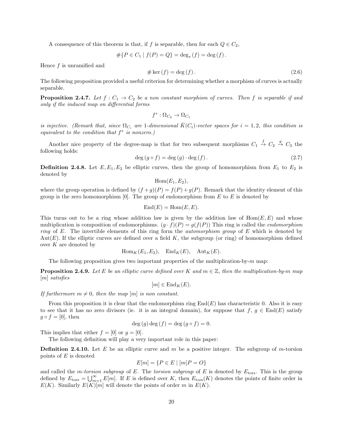A consequence of this theorem is that, if f is separable, then for each  $Q \in C_2$ ,

$$
\#\{P \in C_1 \mid f(P) = Q\} = \deg_s(f) = \deg(f).
$$

Hence f is unramified and

$$
\# \ker \left( f \right) = \deg \left( f \right). \tag{2.6}
$$

The following proposition provided a useful criterion for determining whether a morphism of curves is actually separable.

**Proposition 2.4.7.** Let  $f: C_1 \to C_2$  be a non constant morphism of curves. Then f is separable if and only if the induced map on differential forms

$$
f^*:\Omega_{C_2}\to\Omega_{C_1}
$$

is injective. (Remark that, since  $\Omega_{C_i}$  are 1-dimensional  $\bar{K}(C_i)$ -vector spaces for  $i = 1, 2$ , this condition is equivalent to the condition that  $f^*$  is nonzero.)

Another nice property of the degree-map is that for two subsequent morphisms  $C_1 \stackrel{f}{\rightarrow} C_2 \stackrel{g}{\rightarrow} C_3$  the following holds:

$$
\deg\left(g\circ f\right) = \deg\left(g\right) \cdot \deg\left(f\right). \tag{2.7}
$$

**Definition 2.4.8.** Let  $E, E_1, E_2$  be elliptic curves, then the group of homomorphism from  $E_1$  to  $E_2$  is denoted by

 $Hom(E_1, E_2),$ 

where the group operation is defined by  $(f+g)(P) = f(P) + g(P)$ . Remark that the identity element of this group is the zero homomorphism  $[0]$ . The group of endomorphism from E to E is denoted by

$$
End(E) = Hom(E, E).
$$

This turns out to be a ring whose addition law is given by the addition law of  $Hom(E, E)$  and whose multiplication is composition of endomorphisms.  $(g \cdot f)(P) = g(f(P))$  This ring is called the *endomorphism* ring of E. The invertible elements of this ring form the *automorphism group* of  $E$  which is denoted by Aut(E). If the elliptic curves are defined over a field K, the subgroup (or ring) of homomorphism defined over  $K$  are denoted by

$$
Hom_K(E_1, E_2), End_K(E), Aut_K(E).
$$

The following proposition gives two important properties of the multiplication-by- $m$  map:

**Proposition 2.4.9.** Let E be an elliptic curve defined over K and  $m \in \mathbb{Z}$ , then the multiplication-by-m map [m] satisfies

 $[m] \in \text{End}_K(E).$ 

If furthermore  $m \neq 0$ , then the map  $[m]$  is non constant.

From this proposition it is clear that the endomorphism ring  $End(E)$  has characteristic 0. Also it is easy to see that it has no zero divisors (ie. it is an integral domain), for suppose that  $f, g \in End(E)$  satisfy  $g \circ f = [0],$  then

$$
\deg(g)\deg(f) = \deg(g \circ f) = 0.
$$

This implies that either  $f = [0]$  or  $g = [0]$ .

The following definition will play a very important role in this paper:

**Definition 2.4.10.** Let E be an elliptic curve and m be a positive integer. The subgroup of m-torsion points of  $E$  is denoted

$$
E[m] = \{ P \in E \mid [m]P = O \}
$$

and called the *m-torsion subgroup* of E. The torsion subgroup of E is denoted by  $E_{\text{tors}}$ . This is the group defined by  $E_{\text{tors}} = \bigcup_{m=1}^{\infty} E[m]$ . If E is defined over K, then  $E_{\text{tors}}(K)$  denotes the points of finite order in  $E(K)$ . Similarly  $E(K)[m]$  will denote the points of order m in  $E(K)$ .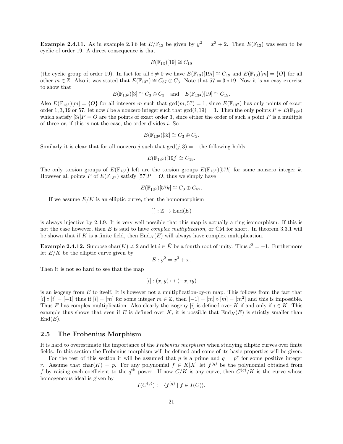**Example 2.4.11.** As in example 2.3.6 let  $E/\mathbb{F}_{13}$  be given by  $y^2 = x^3 + 2$ . Then  $E(\mathbb{F}_{13})$  was seen to be cyclic of order 19. A direct consequence is that

$$
E(\mathbb{F}_{13})[19] \cong C_{19}
$$

(the cyclic group of order 19). In fact for all  $i \neq 0$  we have  $E(\mathbb{F}_{13})[19i] \cong C_{19}$  and  $E(\mathbb{F}_{13})[m] = \{O\}$  for all other  $m \in \mathbb{Z}$ . Also it was stated that  $E(\mathbb{F}_{13^2}) \cong C_{57} \oplus C_3$ . Note that  $57 = 3 * 19$ . Now it is an easy exercise to show that

$$
E(\mathbb{F}_{13^2})[3] \cong C_3 \oplus C_3
$$
 and  $E(\mathbb{F}_{13^2})[19] \cong C_{19}$ .

Also  $E(\mathbb{F}_{13}^2)[m] = \{O\}$  for all integers m such that  $gcd(m, 57) = 1$ , since  $E(\mathbb{F}_{13}^2)$  has only points of exact order 1, 3, 19 or 57. let now i be a nonzero integer such that  $gcd(i, 19) = 1$ . Then the only points  $P \in E(\mathbb{F}_{13^2})$ which satisfy  $[3i]P = O$  are the points of exact order 3, since either the order of such a point P is a multiple of three or, if this is not the case, the order divides i. So

$$
E(\mathbb{F}_{13^2})[3i] \cong C_3 \oplus C_3.
$$

Similarly it is clear that for all nonzero j such that  $gcd(j, 3) = 1$  the following holds

$$
E(\mathbb{F}_{13^2})[19j] \cong C_{19}.
$$

The only torsion groups of  $E(\mathbb{F}_{132})$  left are the torsion groups  $E(\mathbb{F}_{132})[57k]$  for some nonzero integer k. However all points P of  $E(\mathbb{F}_{13^2})$  satisfy  $[57]P = O$ , thus we simply have

$$
E(\mathbb{F}_{13^2})[57k] \cong C_3 \oplus C_{57}.
$$

If we assume  $E/K$  is an elliptic curve, then the homomorphism

$$
[ ] : \mathbb{Z} \to \text{End}(E)
$$

is always injective by 2.4.9. It is very well possible that this map is actually a ring isomorphism. If this is not the case however, then E is said to have *complex multiplication*, or CM for short. In theorem 3.3.1 will be shown that if K is a finite field, then  $\text{End}_K(E)$  will always have complex multiplication.

**Example 2.4.12.** Suppose char $(K) \neq 2$  and let  $i \in \overline{K}$  be a fourth root of unity. Thus  $i^2 = -1$ . Furthermore let  $E/K$  be the elliptic curve given by

$$
E: y^2 = x^3 + x.
$$

Then it is not so hard to see that the map

$$
[i] : (x, y) \mapsto (-x, iy)
$$

is an isogeny from  $E$  to itself. It is however not a multiplication-by- $m$  map. This follows from the fact that  $[i] \circ [i] = [-1]$  thus if  $[i] = [m]$  for some integer  $m \in \mathbb{Z}$ , then  $[-1] = [m] \circ [m] = [m^2]$  and this is impossible. Thus E has complex multiplication. Also clearly the isogeny [i] is defined over K if and only if  $i \in K$ . This example thus shows that even if E is defined over K, it is possible that  $\text{End}_K(E)$  is strictly smaller than  $End(E).$ 

#### 2.5 The Frobenius Morphism

It is hard to overestimate the importance of the Frobenius morphism when studying elliptic curves over finite fields. In this section the Frobenius morphism will be defined and some of its basic properties will be given.

For the rest of this section it will be assumed that p is a prime and  $q = p^r$  for some positive integer r. Assume that char(K) = p. For any polynomial  $f \in K[X]$  let  $f^{(q)}$  be the polynomial obtained from f by raising each coefficient to the  $q^{\text{th}}$  power. If now  $C/K$  is any curve, then  $C^{(q)}/K$  is the curve whose homogeneous ideal is given by

$$
I(C^{(q)}) := \langle f^{(q)} | f \in I(C) \rangle.
$$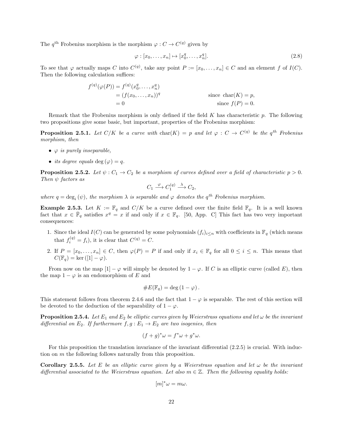The  $q^{\text{th}}$  Frobenius morphism is the morphism  $\varphi: C \to C^{(q)}$  given by

$$
\varphi : [x_0, \dots, x_n] \mapsto [x_0^q, \dots, x_n^q]. \tag{2.8}
$$

To see that  $\varphi$  actually maps C into  $C^{(q)}$ , take any point  $P := [x_0, \ldots, x_n] \in C$  and an element f of  $I(C)$ . Then the following calculation suffices:

$$
f^{(q)}(\varphi(P)) = f^{(q)}(x_0^q, \dots, x_n^q)
$$
  
=  $(f(x_0, \dots, x_n))^q$  since  $\text{char}(K) = p$ ,  
= 0 since  $f(P) = 0$ .

Remark that the Frobenius morphism is only defined if the field  $K$  has characteristic  $p$ . The following two propositions give some basic, but important, properties of the Frobenius morphism:

**Proposition 2.5.1.** Let  $C/K$  be a curve with  $char(K) = p$  and let  $\varphi : C \to C^{(q)}$  be the  $q^{th}$  Frobenius morphism, then

- $\varphi$  is purely inseparable,
- its degree equals deg  $(\varphi) = q$ .

**Proposition 2.5.2.** Let  $\psi: C_1 \to C_2$  be a morphism of curves defined over a field of characteristic  $p > 0$ . Then  $\psi$  factors as

$$
C_1 \xrightarrow{\varphi} C_1^{(q)} \xrightarrow{\lambda} C_2,
$$

where  $q = \deg_i(\psi)$ , the morphism  $\lambda$  is separable and  $\varphi$  denotes the  $q^{th}$  Frobenius morphism.

**Example 2.5.3.** Let  $K := \mathbb{F}_q$  and  $C/K$  be a curve defined over the finite field  $\mathbb{F}_q$ . It is a well known fact that  $x \in \overline{\mathbb{F}}_q$  satisfies  $x^q = x$  if and only if  $x \in \mathbb{F}_q$ . [50, App. C] This fact has two very important consequences:

- 1. Since the ideal  $I(C)$  can be generated by some polynomials  $(f_i)_{i\leq n}$  with coefficients in  $\mathbb{F}_q$  (which means that  $f_i^{(q)} = f_i$ , it is clear that  $C^{(q)} = C$ .
- 2. If  $P = [x_0, \ldots, x_n] \in C$ , then  $\varphi(P) = P$  if and only if  $x_i \in \mathbb{F}_q$  for all  $0 \le i \le n$ . This means that  $C(\mathbb{F}_q) = \ker([1] - \varphi).$

From now on the map  $[1] - \varphi$  will simply be denoted by  $1 - \varphi$ . If C is an elliptic curve (called E), then the map  $1 - \varphi$  is an endomorphism of E and

#E(Fq) = deg (1 − ϕ).

This statement follows from theorem 2.4.6 and the fact that  $1 - \varphi$  is separable. The rest of this section will be devoted to the deduction of the separability of  $1 - \varphi$ .

**Proposition 2.5.4.** Let  $E_1$  and  $E_2$  be elliptic curves given by Weierstrass equations and let  $\omega$  be the invariant differential on  $E_2$ . If furthermore  $f, g : E_1 \rightarrow E_2$  are two isogenies, then

$$
(f+g)^*\omega = f^*\omega + g^*\omega.
$$

For this proposition the translation invariance of the invariant differential (2.2.5) is crucial. With induction on  $m$  the following follows naturally from this proposition.

**Corollary 2.5.5.** Let E be an elliptic curve given by a Weierstrass equation and let  $\omega$  be the invariant differential associated to the Weierstrass equation. Let also  $m \in \mathbb{Z}$ . Then the following equality holds:

$$
[m]^*\omega = m\omega.
$$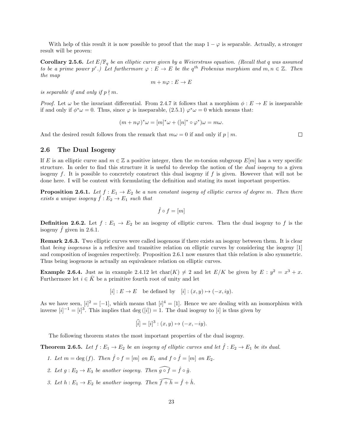With help of this result it is now possible to proof that the map  $1 - \varphi$  is separable. Actually, a stronger result will be proven:

**Corollary 2.5.6.** Let  $E/\mathbb{F}_q$  be an elliptic curve given by a Weierstrass equation. (Recall that q was assumed to be a prime power p<sup>r</sup>.) Let furthermore  $\varphi : E \to E$  be the q<sup>th</sup> Frobenius morphism and  $m, n \in \mathbb{Z}$ . Then the map

$$
m + n\varphi : E \to E
$$

is separable if and only if  $p \nmid m$ .

*Proof.* Let  $\omega$  be the invariant differential. From 2.4.7 it follows that a morphism  $\phi : E \to E$  is inseparable if and only if  $\phi^*\omega = 0$ . Thus, since  $\varphi$  is inseparable,  $(2.5.1)$   $\varphi^*\omega = 0$  which means that:

$$
(m+n\varphi)^*\omega = [m]^*\omega + ([n]^*\circ\varphi^*)\omega = m\omega.
$$

And the desired result follows from the remark that  $m\omega = 0$  if and only if  $p \mid m$ .

#### 2.6 The Dual Isogeny

If E is an elliptic curve and  $m \in \mathbb{Z}$  a positive integer, then the m-torsion subgroup  $E[m]$  has a very specific structure. In order to find this structure it is useful to develop the notion of the *dual isogeny* to a given isogeny  $f$ . It is possible to concretely construct this dual isogeny if  $f$  is given. However that will not be done here. I will be content with formulating the definition and stating its most important properties.

**Proposition 2.6.1.** Let  $f : E_1 \to E_2$  be a non constant isogeny of elliptic curves of degree m. Then there exists a unique isogeny  $f : E_2 \to E_1$  such that

$$
\hat{f} \circ f = [m]
$$

**Definition 2.6.2.** Let  $f : E_1 \to E_2$  be an isogeny of elliptic curves. Then the dual isogeny to f is the isogeny  $\ddot{f}$  given in 2.6.1.

Remark 2.6.3. Two elliptic curves were called isogenous if there exists an isogeny between them. It is clear that being isogenous is a reflexive and transitive relation on elliptic curves by considering the isogeny [1] and composition of isogenies respectively. Proposition 2.6.1 now ensures that this relation is also symmetric. Thus being isogenous is actually an equivalence relation on elliptic curves.

**Example 2.6.4.** Just as in example 2.4.12 let  $char(K) \neq 2$  and let  $E/K$  be given by  $E : y^2 = x^3 + x$ . Furthermore let  $i \in \bar{K}$  be a primitive fourth root of unity and let

 $[i] : E \to E$  be defined by  $[i] : (x, y) \mapsto (-x, iy)$ .

As we have seen,  $[i]^2 = [-1]$ , which means that  $[i]^4 = [1]$ . Hence we are dealing with an isomorphism with inverse  $[i]^{-1} = [i]^3$ . This implies that deg  $([i]) = 1$ . The dual isogeny to  $[i]$  is thus given by

$$
[i] = [i]^3 : (x, y) \mapsto (-x, -iy).
$$

The following theorem states the most important properties of the dual isogeny.

**Theorem 2.6.5.** Let  $f : E_1 \to E_2$  be an isogeny of elliptic curves and let  $\hat{f} : E_2 \to E_1$  be its dual.

- 1. Let  $m = \deg(f)$ . Then  $\hat{f} \circ f = [m]$  on  $E_1$  and  $f \circ \hat{f} = [m]$  on  $E_2$ .
- 2. Let  $g : E_2 \to E_3$  be another isogeny. Then  $\widehat{g \circ f} = \widehat{f} \circ \widehat{g}$ .
- 3. Let  $h : E_1 \to E_2$  be another isogeny. Then  $\widehat{f + h} = \widehat{f} + \widehat{h}$ .

 $\Box$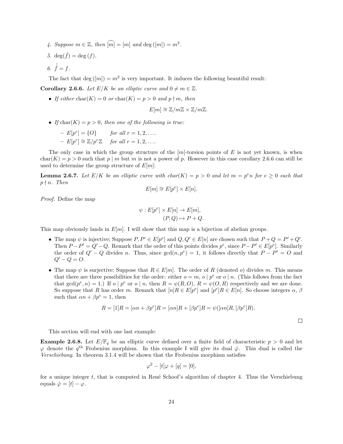- 4. Suppose  $m \in \mathbb{Z}$ , then  $\widehat{[m]} = [m]$  and  $\deg([m]) = m^2$ .
- 5. deg $(\hat{f}) = \deg(f)$ .
- 6.  $\hat{f} = f$ .

The fact that  $\deg([m]) = m^2$  is very important. It induces the following beautiful result:

**Corollary 2.6.6.** Let  $E/K$  be an elliptic curve and  $0 \neq m \in \mathbb{Z}$ .

• If either char(K) = 0 or char(K) = p > 0 and p  $\nmid m$ , then

$$
E[m] \cong \mathbb{Z}/m\mathbb{Z} \times \mathbb{Z}/m\mathbb{Z}.
$$

• If  $char(K) = p > 0$ , then one of the following is true:

| $-E[p^r] = \{O\}$                        | for all $r = 1, 2, \ldots$ |
|------------------------------------------|----------------------------|
| $-E[p^r] \cong \mathbb{Z}/p^r\mathbb{Z}$ | for all $r = 1, 2, \ldots$ |

The only case in which the group structure of the  $[m]$ -torsion points of E is not yet known, is when  $char(K) = p > 0$  such that p | m but m is not a power of p. However in this case corollary 2.6.6 can still be used to determine the group structure of  $E[m]$ :

**Lemma 2.6.7.** Let  $E/K$  be an elliptic curve with  $char(K) = p > 0$  and let  $m = p<sup>e</sup>n$  for  $e \ge 0$  such that  $p \nmid n$ . Then

$$
E[m] \cong E[p^e] \times E[n].
$$

Proof. Define the map

$$
\psi: E[p^e] \times E[n] \to E[m],
$$
  

$$
(P, Q) \mapsto P + Q.
$$

This map obviously lands in  $E[m]$ . I will show that this map is a bijection of abelian groups.

- The map  $\psi$  is injective; Suppose  $P, P' \in E[p^e]$  and  $Q, Q' \in E[n]$  are chosen such that  $P + Q = P' + Q'$ . Then  $P - P' = Q' - Q$ . Remark that the order of this points divides  $p^e$ , since  $P - P' \in E[p^e]$ . Similarly the order of  $Q' - Q$  divides n. Thus, since  $gcd(n, p^e) = 1$ , it follows directly that  $P - P' = O$  and  $Q' - Q = O.$
- The map  $\psi$  is surjective; Suppose that  $R \in E[m]$ . The order of R (denoted o) divides m. This means that there are three possibilities for the order: either  $o = m$ ,  $o | p<sup>e</sup>$  or  $o | n$ . (This follows from the fact that  $gcd(p^e, n) = 1$ .) If  $o \mid p^e$  or  $o \mid n$ , then  $R = \psi(R, O), R = \psi(O, R)$  respectively and we are done. So suppose that R has order m. Remark that  $[n]R \in E[p^e]$  and  $[p^e]R \in E[n]$ . So choose integers  $\alpha$ ,  $\beta$ such that  $\alpha n + \beta p^e = 1$ , then

$$
R = [1]R = [\alpha n + \beta p^e]R = [\alpha n]R + [\beta p^e]R = \psi([\alpha n]R, [\beta p^e]R).
$$

 $\Box$ 

This section will end with one last example:

**Example 2.6.8.** Let  $E/\mathbb{F}_q$  be an elliptic curve defined over a finite field of characteristic  $p > 0$  and let  $\varphi$  denote the  $q^{\text{th}}$  Frobenius morphism. In this example I will give its dual  $\hat{\varphi}$ . This dual is called the Verschiebung. In theorem 3.1.4 will be shown that the Frobenius morphism satisfies

$$
\varphi^2 - [t]\varphi + [q] = [0],
$$

for a unique integer  $t$ , that is computed in René Schoof's algorithm of chapter 4. Thus the Verschiebung equals  $\hat{\varphi} = [t] - \varphi$ .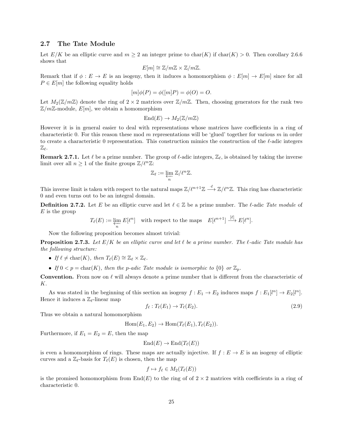#### 2.7 The Tate Module

Let  $E/K$  be an elliptic curve and  $m \geq 2$  an integer prime to  $char(K)$  if  $char(K) > 0$ . Then corollary 2.6.6 shows that

$$
E[m] \cong \mathbb{Z}/m\mathbb{Z} \times \mathbb{Z}/m\mathbb{Z}.
$$

Remark that if  $\phi : E \to E$  is an isogeny, then it induces a homomorphism  $\phi : E[m] \to E[m]$  since for all  $P \in E[m]$  the following equality holds

$$
[m]\phi(P) = \phi([m]P) = \phi(O) = O.
$$

Let  $M_2(\mathbb{Z}/m\mathbb{Z})$  denote the ring of  $2 \times 2$  matrices over  $\mathbb{Z}/m\mathbb{Z}$ . Then, choosing generators for the rank two  $\mathbb{Z}/m\mathbb{Z}$ -module,  $E[m]$ , we obtain a homomorphism

$$
End(E) \to M_2(\mathbb{Z}/m\mathbb{Z})
$$

However it is in general easier to deal with representations whose matrices have coefficients in a ring of characteristic 0. For this reason these mod m representations will be 'glued' together for various m in order to create a characteristic 0 representation. This construction mimics the construction of the  $\ell$ -adic integers  $\mathbb{Z}_{\ell}$ .

**Remark 2.7.1.** Let  $\ell$  be a prime number. The group of  $\ell$ -adic integers,  $\mathbb{Z}_{\ell}$ , is obtained by taking the inverse limit over all  $n \geq 1$  of the finite groups  $\mathbb{Z}/\ell^n\mathbb{Z}$ :

$$
\mathbb{Z}_{\ell}:=\varprojlim_n\, \mathbb{Z}/\ell^n\mathbb{Z}.
$$

This inverse limit is taken with respect to the natural maps  $\mathbb{Z}/\ell^{n+1}\mathbb{Z} \stackrel{\cdot \ell}{\longrightarrow} \mathbb{Z}/\ell^n\mathbb{Z}$ . This ring has characteristic 0 and even turns out to be an integral domain.

**Definition 2.7.2.** Let E be an elliptic curve and let  $\ell \in \mathbb{Z}$  be a prime number. The  $\ell$ -adic Tate module of  $E$  is the group

$$
T_{\ell}(E) := \varprojlim_{n} E[\ell^{n}] \text{ with respect to the maps } E[\ell^{n+1}] \xrightarrow{[\ell]} E[\ell^{n}].
$$

Now the following proposition becomes almost trivial:

**Proposition 2.7.3.** Let  $E/K$  be an elliptic curve and let  $\ell$  be a prime number. The  $\ell$ -adic Tate module has the following structure:

• If  $\ell \neq \text{char}(K)$ , then  $T_{\ell}(E) \cong \mathbb{Z}_{\ell} \times \mathbb{Z}_{\ell}$ .

• If  $0 < p = \text{char}(K)$ , then the p-adic Tate module is isomorphic to  $\{0\}$  or  $\mathbb{Z}_p$ .

**Convention.** From now on  $\ell$  will always denote a prime number that is different from the characteristic of K.

As was stated in the beginning of this section an isogeny  $f: E_1 \to E_2$  induces maps  $f: E_1[l^n] \to E_2[l^n]$ . Hence it induces a  $\mathbb{Z}_{\ell}$ -linear map

$$
f_{\ell}: T_{\ell}(E_1) \to T_{\ell}(E_2). \tag{2.9}
$$

Thus we obtain a natural homomorphism

$$
Hom(E_1, E_2) \to Hom(T_{\ell}(E_1), T_{\ell}(E_2)).
$$

Furthermore, if  $E_1 = E_2 = E$ , then the map

$$
End(E) \to End(T_{\ell}(E))
$$

is even a homomorphism of rings. These maps are actually injective. If  $f : E \to E$  is an isogeny of elliptic curves and a  $\mathbb{Z}_{\ell}$ -basis for  $T_{\ell}(E)$  is chosen, then the map

$$
f \mapsto f_{\ell} \in M_2(T_{\ell}(E))
$$

is the promised homomorphism from  $End(E)$  to the ring of of  $2 \times 2$  matrices with coefficients in a ring of characteristic 0.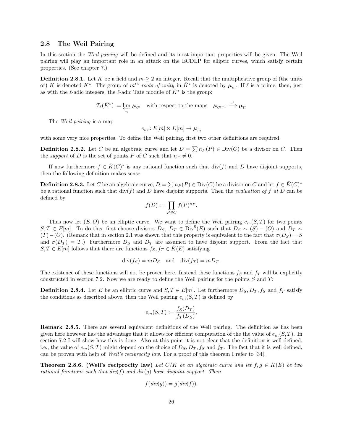#### 2.8 The Weil Pairing

In this section the Weil pairing will be defined and its most important properties will be given. The Weil pairing will play an important role in an attack on the ECDLP for elliptic curves, which satisfy certain properties. (See chapter 7.)

**Definition 2.8.1.** Let K be a field and  $m \geq 2$  an integer. Recall that the multiplicative group of (the units of) K is denoted  $K^*$ . The group of  $m^{\text{th}}$  roots of unity in  $\bar{K}^*$  is denoted by  $\mu_m$ . If  $\ell$  is a prime, then, just as with the  $\ell$ -adic integers, the  $\ell$ -adic Tate module of  $\bar{K}^*$  is the group:

$$
T_{\ell}(\bar{K}^*) := \varprojlim_{n} \mu_{\ell^n} \quad \text{with respect to the maps} \quad \mu_{\ell^{n+1}} \stackrel{\cdot \ell}{\longrightarrow} \mu_{\ell}.
$$

The *Weil pairing* is a map

$$
e_m: E[m] \times E[m] \to \mu_m
$$

with some very nice properties. To define the Weil pairing, first two other definitions are required.

**Definition 2.8.2.** Let C be an algebraic curve and let  $D = \sum n_P(P) \in Div(C)$  be a divisor on C. Then the support of D is the set of points P of C such that  $n_P \neq 0$ .

If now furthermore  $f \in \overline{K}(C)^*$  is any rational function such that  $\text{div}(f)$  and D have disjoint supports, then the following definition makes sense:

**Definition 2.8.3.** Let C be an algebraic curve,  $D = \sum n_P(P) \in Div(C)$  be a divisor on C and let  $f \in \overline{K}(C)^*$ be a rational function such that  $div(f)$  and D have disjoint supports. Then the *evaluation of* f at D can be defined by

$$
f(D) := \prod_{P \in C} f(P)^{n_P}.
$$

Thus now let  $(E, O)$  be an elliptic curve. We want to define the Weil pairing  $e_m(S, T)$  for two points  $S, T \in E[m]$ . To do this, first choose divisors  $D_S, D_T \in Div^0(E)$  such that  $D_S \sim (S) - (O)$  and  $D_T \sim$  $(T)$ −(O). (Remark that in section 2.1 was shown that this property is equivalent to the fact that  $\sigma(D_S) = S$ and  $\sigma(D_T) = T$ .) Furthermore  $D_S$  and  $D_T$  are assumed to have disjoint support. From the fact that  $S, T \in E[m]$  follows that there are functions  $f_S, f_T \in \overline{K}(E)$  satisfying

$$
\operatorname{div}(f_S) = mD_S \quad \text{and} \quad \operatorname{div}(f_T) = mD_T.
$$

The existence of these functions will not be proven here. Instead these functions  $f_S$  and  $f_T$  will be explicitly constructed in section 7.2. Now we are ready to define the Weil pairing for the points  $S$  and  $T$ :

**Definition 2.8.4.** Let E be an elliptic curve and  $S, T \in E[m]$ . Let furthermore  $D_S, D_T, f_S$  and  $f_T$  satisfy the conditions as described above, then the Weil pairing  $e_m(S,T)$  is defined by

$$
e_m(S,T) := \frac{f_S(D_T)}{f_T(D_S)}.
$$

Remark 2.8.5. There are several equivalent definitions of the Weil pairing. The definition as has been given here however has the advantage that it allows for efficient computation of the the value of  $e_m(S,T)$ . In section 7.2 I will show how this is done. Also at this point it is not clear that the definition is well defined, i.e., the value of  $e_m(S,T)$  might depend on the choice of  $D_S, D_T, f_S$  and  $f_T$ . The fact that it is well defined. can be proven with help of Weil's reciprocity law. For a proof of this theorem I refer to [34].

**Theorem 2.8.6.** (Weil's reciprocity law) Let  $C/K$  be an algebraic curve and let  $f, g \in \overline{K}(E)$  be two rational functions such that  $div(f)$  and  $div(g)$  have disjoint support. Then

$$
f(\text{div}(g)) = g(\text{div}(f)).
$$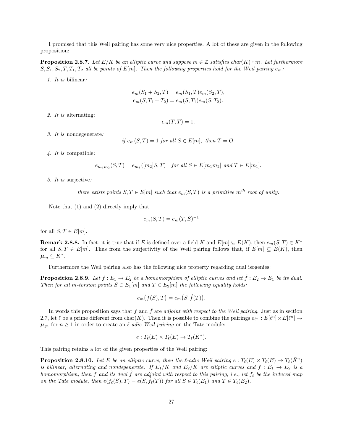I promised that this Weil pairing has some very nice properties. A lot of these are given in the following proposition:

**Proposition 2.8.7.** Let  $E/K$  be an elliptic curve and suppose  $m \in \mathbb{Z}$  satisfies char(K)  $\nmid m$ . Let furthermore  $S, S_1, S_2, T, T_1, T_2$  all be points of  $E[m]$ . Then the following properties hold for the Weil pairing  $e_m$ :

1. It is bilinear:

$$
e_m(S_1 + S_2, T) = e_m(S_1, T)e_m(S_2, T),
$$
  

$$
e_m(S, T_1 + T_2) = e_m(S, T_1)e_m(S, T_2).
$$

2. It is alternating:

 $e_m(T,T) = 1.$ 

3. It is nondegenerate:

if  $e_m(S,T) = 1$  for all  $S \in E[m]$ , then  $T = O$ .

4. It is compatible:

$$
e_{m_1m_2}(S,T) = e_{m_1}([m_2]S,T) \text{ for all } S \in E[m_1m_2] \text{ and } T \in E[m_1].
$$

5. It is surjective:

there exists points  $S, T \in E[m]$  such that  $e_m(S,T)$  is a primitive  $m^{th}$  root of unity.

Note that (1) and (2) directly imply that

$$
e_m(S,T) = e_m(T,S)^{-1}
$$

for all  $S, T \in E[m]$ .

**Remark 2.8.8.** In fact, it is true that if E is defined over a field K and  $E[m] \subseteq E(K)$ , then  $e_m(S,T) \in K^*$ for all  $S, T \in E[m]$ . Thus from the surjectivity of the Weil pairing follows that, if  $E[m] \subseteq E(K)$ , then  $\boldsymbol{\mu}_m \subseteq K^*.$ 

Furthermore the Weil pairing also has the following nice property regarding dual isogenies:

**Proposition 2.8.9.** Let  $f : E_1 \to E_2$  be a homomorphism of elliptic curves and let  $\hat{f} : E_2 \to E_1$  be its dual. Then for all m-torsion points  $S \in E_1[m]$  and  $T \in E_2[m]$  the following equality holds:

$$
e_m(f(S),T) = e_m(S,\hat{f}(T)).
$$

In words this proposition says that f and  $\hat{f}$  are adjoint with respect to the Weil pairing. Just as in section 2.7, let  $\ell$  be a prime different from char(K). Then it is possible to combine the pairings  $e_{\ell^n} : E[\ell^n] \times E[\ell^n] \to$  $\mu_{\ell^n}$  for  $n \geq 1$  in order to create an  $\ell$ -adic Weil pairing on the Tate module:

$$
e: T_{\ell}(E) \times T_{\ell}(E) \to T_{\ell}(\bar{K}^*).
$$

This pairing retains a lot of the given properties of the Weil pairing:

**Proposition 2.8.10.** Let E be an elliptic curve, then the l-adic Weil pairing  $e : T_{\ell}(E) \times T_{\ell}(E) \to T_{\ell}(\overline{K}^*)$ is bilinear, alternating and nondegenerate. If  $E_1/K$  and  $E_2/K$  are elliptic curves and  $f: E_1 \to E_2$  is a homomorphism, then f and its dual f are adjoint with respect to this pairing, i.e., let  $f_\ell$  be the induced map on the Tate module, then  $e(f_{\ell}(S), T) = e(S, \hat{f}_{\ell}(T))$  for all  $S \in T_{\ell}(E_1)$  and  $T \in T_{\ell}(E_2)$ .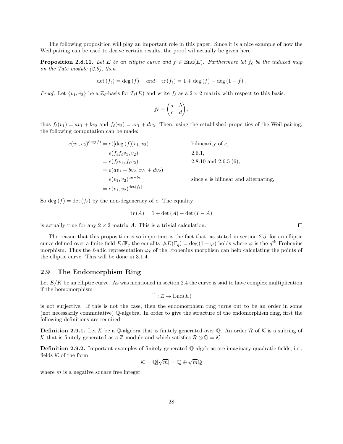The following proposition will play an important role in this paper. Since it is a nice example of how the Weil pairing can be used to derive certain results, the proof wil actually be given here.

**Proposition 2.8.11.** Let E be an elliptic curve and  $f \in End(E)$ . Furthermore let  $f_{\ell}$  be the induced map on the Tate module (2.9), then

$$
\det(f_{\ell}) = \deg(f) \quad and \quad \text{tr}(f_{\ell}) = 1 + \deg(f) - \deg(1 - f).
$$

*Proof.* Let  $\{v_1, v_2\}$  be a  $\mathbb{Z}_{\ell}$ -basis for  $T_{\ell}(E)$  and write  $f_{\ell}$  as a  $2 \times 2$  matrix with respect to this basis:

$$
f_{\ell} = \begin{pmatrix} a & b \\ c & d \end{pmatrix},
$$

thus  $f_{\ell}(v_1) = av_1 + bv_2$  and  $f_{\ell}(v_2) = cv_1 + dv_2$ . Then, using the established properties of the Weil pairing, the following computation can be made:

$$
e(v_1, v_2)^{\deg(f)} = e([\deg(f)]v_1, v_2)
$$
 bilinearity of  $e$ ,  
\n
$$
= e(\hat{f}_\ell f_\ell v_1, v_2)
$$
 2.6.1,  
\n
$$
= e(f_\ell v_1, f_\ell v_2)
$$
 2.8.10 and 2.6.5 (6),  
\n
$$
= e(av_1 + bv_2, cv_1 + dv_2)
$$
  
\n
$$
= e(v_1, v_2)^{ad-bc}
$$
 since  $e$  is bilinear and alternating,  
\n
$$
= e(v_1, v_2)^{\deg(f_\ell)}.
$$

So deg  $(f) = \det (f_\ell)$  by the non-degeneracy of e. The equality

$$
tr(A) = 1 + \det(A) - \det(I - A)
$$

is actually true for any  $2 \times 2$  matrix A. This is a trivial calculation.

The reason that this proposition is so important is the fact that, as stated in section 2.5, for an elliptic curve defined over a finite field  $E/\mathbb{F}_q$  the equality  $\#E(\mathbb{F}_q) = \deg(1-\varphi)$  holds where  $\varphi$  is the  $q^{\text{th}}$  Frobenius morphism. Thus the  $\ell$ -adic representation  $\varphi_{\ell}$  of the Frobenius morphism can help calculating the points of the elliptic curve. This will be done in 3.1.4.

#### 2.9 The Endomorphism Ring

Let  $E/K$  be an elliptic curve. As was mentioned in section 2.4 the curve is said to have complex multiplication if the homomorphism

$$
[ ] : \mathbb{Z} \to \text{End}(E)
$$

is not surjective. If this is not the case, then the endomorphism ring turns out to be an order in some (not necessarily commutative) Q-algebra. In order to give the structure of the endomorphism ring, first the following definitions are required.

**Definition 2.9.1.** Let K be a Q-algebra that is finitely generated over Q. An order R of K is a subring of K that is finitely generated as a Z-module and which satisfies  $\mathcal{R} \otimes \mathbb{Q} = \mathcal{K}$ .

Definition 2.9.2. Important examples of finitely generated Q-algebras are imaginary quadratic fields, i.e., fields  $K$  of the form √ √

$$
\mathcal{K}=\mathbb{Q}[\sqrt{m}]=\mathbb{Q}\oplus\sqrt{m}\mathbb{Q}
$$

where  $m$  is a negative square free integer.

 $\Box$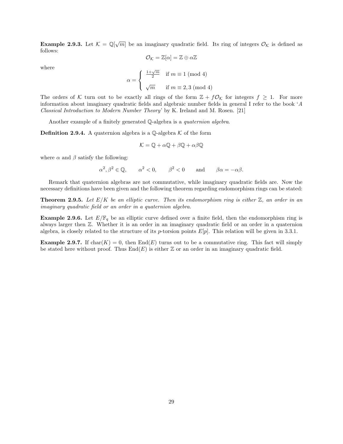**Example 2.9.3.** Let  $K = \mathbb{Q}[\sqrt{m}]$  be an imaginary quadratic field. Its ring of integers  $\mathcal{O}_K$  is defined as follows:

$$
\mathcal{O}_{\mathcal{K}}=\mathbb{Z}[\alpha]=\mathbb{Z}\oplus\alpha\mathbb{Z}
$$

where

$$
\alpha = \begin{cases} \frac{1+\sqrt{m}}{2} & \text{if } m \equiv 1 \pmod{4} \\ \sqrt{m} & \text{if } m \equiv 2,3 \pmod{4} \end{cases}
$$

The orders of K turn out to be exactly all rings of the form  $\mathbb{Z} + f\mathcal{O}_K$  for integers  $f \geq 1$ . For more information about imaginary quadratic fields and algebraic number fields in general I refer to the book 'A Classical Introduction to Modern Number Theory' by K. Ireland and M. Rosen. [21]

Another example of a finitely generated Q-algebra is a quaternion algebra.

**Definition 2.9.4.** A quaternion algebra is a  $\mathbb{Q}$ -algebra K of the form

$$
\mathcal{K} = \mathbb{Q} + \alpha \mathbb{Q} + \beta \mathbb{Q} + \alpha \beta \mathbb{Q}
$$

where  $\alpha$  and  $\beta$  satisfy the following:

$$
\alpha^2, \beta^2 \in \mathbb{Q}, \qquad \alpha^2 < 0, \qquad \beta^2 < 0 \qquad \text{and} \qquad \beta\alpha = -\alpha\beta.
$$

Remark that quaternion algebras are not commutative, while imaginary quadratic fields are. Now the necessary definitions have been given and the following theorem regarding endomorphism rings can be stated:

**Theorem 2.9.5.** Let  $E/K$  be an elliptic curve. Then its endomorphism ring is either  $\mathbb{Z}$ , an order in an imaginary quadratic field or an order in a quaternion algebra.

**Example 2.9.6.** Let  $E/\mathbb{F}_q$  be an elliptic curve defined over a finite field, then the endomorphism ring is always larger then Z. Whether it is an order in an imaginary quadratic field or an order in a quaternion algebra, is closely related to the structure of its p-torsion points  $E[p]$ . This relation will be given in 3.3.1.

**Example 2.9.7.** If char $(K) = 0$ , then End $(E)$  turns out to be a commutative ring. This fact will simply be stated here without proof. Thus  $\text{End}(E)$  is either Z or an order in an imaginary quadratic field.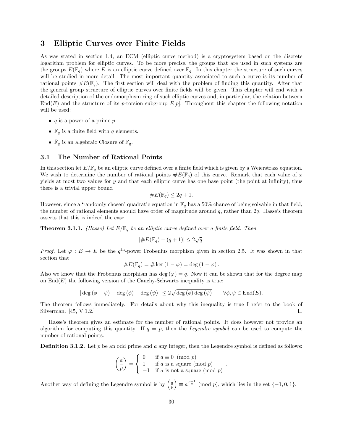# 3 Elliptic Curves over Finite Fields

As was stated in section 1.4, an ECM (elliptic curve method) is a cryptosystem based on the discrete logarithm problem for elliptic curves. To be more precise, the groups that are used in such systems are the groups  $E(\mathbb{F}_q)$  where E is an elliptic curve defined over  $\mathbb{F}_q$ . In this chapter the structure of such curves will be studied in more detail. The most important quantity associated to such a curve is its number of rational points  $\#E(\mathbb{F}_q)$ . The first section will deal with the problem of finding this quantity. After that the general group structure of elliptic curves over finite fields will be given. This chapter will end with a detailed description of the endomorphism ring of such elliptic curves and, in particular, the relation between  $\text{End}(E)$  and the structure of its p-torsion subgroup  $E[p]$ . Throughout this chapter the following notation will be used:

- $q$  is a power of a prime  $p$ .
- $\mathbb{F}_q$  is a finite field with q elements.
- $\bar{\mathbb{F}}_q$  is an algebraic Closure of  $\mathbb{F}_q$ .

### 3.1 The Number of Rational Points

In this section let  $E/\mathbb{F}_q$  be an elliptic curve defined over a finite field which is given by a Weierstrass equation. We wish to determine the number of rational points  $\#E(\mathbb{F}_q)$  of this curve. Remark that each value of x yields at most two values for  $y$  and that each elliptic curve has one base point (the point at infinity), thus there is a trivial upper bound

$$
\#E(\mathbb{F}_q) \le 2q + 1.
$$

However, since a 'randomly chosen' quadratic equation in  $\mathbb{F}_q$  has a 50% chance of being solvable in that field, the number of rational elements should have order of magnitude around  $q$ , rather than  $2q$ . Hasse's theorem asserts that this is indeed the case.

**Theorem 3.1.1.** (Hasse) Let  $E/\mathbb{F}_q$  be an elliptic curve defined over a finite field. Then

$$
|\#E(\mathbb{F}_q) - (q+1)| \le 2\sqrt{q}.
$$

*Proof.* Let  $\varphi : E \to E$  be the  $q^{\text{th}}$ -power Frobenius morphism given in section 2.5. It was shown in that section that

#E(Fq) = # ker (1 − ϕ) = deg (1 − ϕ).

Also we know that the Frobenius morphism has deg ( $\varphi$ ) = q. Now it can be shown that for the degree map on  $\text{End}(E)$  the following version of the Cauchy-Schwartz inequality is true:

$$
|\deg(\phi - \psi) - \deg(\phi) - \deg(\psi)| \leq 2\sqrt{\deg(\phi)\deg(\psi)} \qquad \forall \phi, \psi \in \text{End}(E).
$$

The theorem follows immediately. For details about why this inequality is true I refer to the book of Silverman. [45, V.1.2.]  $\Box$ 

Hasse's theorem gives an estimate for the number of rational points. It does however not provide an algorithm for computing this quantity. If  $q = p$ , then the *Legendre symbol* can be used to compute the number of rational points.

**Definition 3.1.2.** Let p be an odd prime and a any integer, then the Legendre symbol is defined as follows:

$$
\begin{pmatrix} a \\ p \end{pmatrix} = \begin{cases} 0 & \text{if } a \equiv 0 \pmod{p} \\ 1 & \text{if } a \text{ is a square (mod } p) \\ -1 & \text{if } a \text{ is not a square (mod } p) \end{cases}.
$$

Another way of defining the Legendre symbol is by  $\left(\frac{a}{p}\right) \equiv a^{\frac{p-1}{2}} \pmod{p}$ , which lies in the set  $\{-1,0,1\}$ .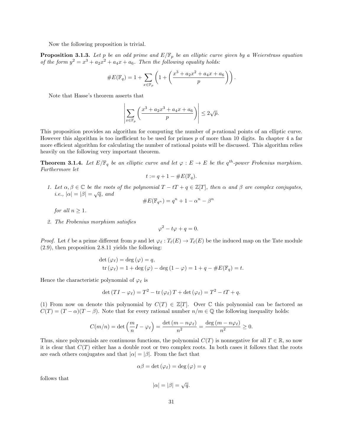Now the following proposition is trivial.

**Proposition 3.1.3.** Let p be an odd prime and  $E/\mathbb{F}_p$  be an elliptic curve given by a Weierstrass equation of the form  $y^2 = x^3 + a_2x^2 + a_4x + a_6$ . Then the following equality holds:

#E(Fq) = 1 + X x∈F<sup>p</sup> 1 + x <sup>3</sup> + a2x <sup>2</sup> + a4x + a<sup>6</sup> p .

Note that Hasse's theorem asserts that

$$
\left|\sum_{x \in \mathbb{F}_p} \left(\frac{x^3 + a_2 x^3 + a_4 x + a_6}{p}\right)\right| \le 2\sqrt{p}.
$$

This proposition provides an algorithm for computing the number of p-rational points of an elliptic curve. However this algorithm is too inefficient to be used for primes p of more than 10 digits. In chapter 4 a far more efficient algorithm for calculating the number of rational points will be discussed. This algorithm relies heavily on the following very important theorem.

**Theorem 3.1.4.** Let  $E/\mathbb{F}_q$  be an elliptic curve and let  $\varphi : E \to E$  be the  $q^{th}$ -power Frobenius morphism. Furthermore let

$$
t := q + 1 - \#E(\mathbb{F}_q).
$$

1. Let  $\alpha, \beta \in \mathbb{C}$  be the roots of the polynomial  $T - tT + q \in \mathbb{Z}[T]$ , then  $\alpha$  and  $\beta$  are complex conjugates, Let  $\alpha, \beta \in \mathcal{C}$  be the root.<br>*i.e.*,  $|\alpha| = |\beta| = \sqrt{q}$ , and

$$
\#E(\mathbb{F}_{q^n}) = q^n + 1 - \alpha^n - \beta^n
$$

for all  $n > 1$ .

2. The Frobenius morphism satisfies

$$
\varphi^2 - t\varphi + q = 0.
$$

*Proof.* Let  $\ell$  be a prime different from p and let  $\varphi_{\ell} : T_{\ell}(E) \to T_{\ell}(E)$  be the induced map on the Tate module (2.9), then proposition 2.8.11 yields the following:

$$
\det (\varphi_{\ell}) = \deg (\varphi) = q,
$$
  
tr  $(\varphi_{\ell}) = 1 + \deg (\varphi) - \deg (1 - \varphi) = 1 + q - \#E(\mathbb{F}_q) = t.$ 

Hence the characteristic polynomial of  $\varphi_{\ell}$  is

$$
\det\left(TI-\varphi_{\ell}\right)=T^2-\operatorname{tr}\left(\varphi_{\ell}\right)T+\det\left(\varphi_{\ell}\right)=T^2-tT+q.
$$

(1) From now on denote this polynomial by  $C(T) \in \mathbb{Z}[T]$ . Over C this polynomial can be factored as  $C(T) = (T - \alpha)(T - \beta)$ . Note that for every rational number  $n/m \in \mathbb{Q}$  the following inequality holds:

$$
C(m/n) = \det\left(\frac{m}{n}I - \varphi_{\ell}\right) = \frac{\det\left(m - n\varphi_{\ell}\right)}{n^2} = \frac{\deg\left(m - n\varphi_{\ell}\right)}{n^2} \ge 0.
$$

Thus, since polynomials are continuous functions, the polynomial  $C(T)$  is nonnegative for all  $T \in \mathbb{R}$ , so now it is clear that  $C(T)$  either has a double root or two complex roots. In both cases it follows that the roots are each others conjugates and that  $|\alpha| = |\beta|$ . From the fact that

$$
\alpha\beta = \det(\varphi_\ell) = \deg(\varphi) = q
$$

follows that

$$
|\alpha| = |\beta| = \sqrt{q}.
$$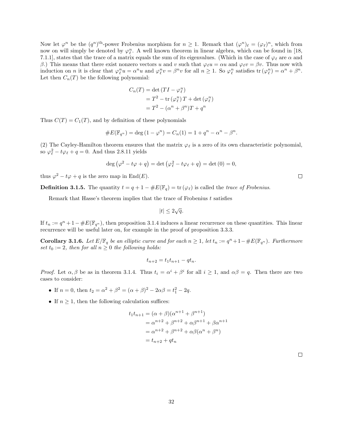Now let  $\varphi^n$  be the  $(q^n)^{\text{th}}$ -power Frobenius morphism for  $n \geq 1$ . Remark that  $(\varphi^n)_\ell = (\varphi_\ell)^n$ , which from now on will simply be denoted by  $\varphi_{\ell}^n$ . A well known theorem in linear algebra, which can be found in [18, 7.1.1], states that the trace of a matrix equals the sum of its eigenvalues. (Which in the case of  $\varphi_\ell$  are  $\alpha$  and β.) This means that there exist nonzero vectors u and v such that  $\varphi_\ell u = \alpha u$  and  $\varphi_\ell v = \beta v$ . Thus now with induction on *n* it is clear that  $\varphi_{\ell}^{n}u = \alpha^{n}u$  and  $\varphi_{\ell}^{n}v = \beta^{n}v$  for all  $n \geq 1$ . So  $\varphi_{\ell}^{n}$  satisfies  $\text{tr}(\varphi_{\ell}^{n}) = \alpha^{n} + \beta^{n}$ . Let then  $C_n(T)$  be the following polynomial:

$$
C_n(T) = \det(TI - \varphi_\ell^n)
$$
  
=  $T^2$  – tr( $\varphi_\ell^n$ ) $T$  + det( $\varphi_\ell^n$ )  
=  $T^2$  – ( $\alpha^n$  +  $\beta^n$ ) $T$  +  $q^n$ 

Thus  $C(T) = C_1(T)$ , and by definition of these polynomials

#E(Fq<sup>n</sup> ) = deg (1 − ϕ n ) = Cn(1) = 1 + q <sup>n</sup> − α <sup>n</sup> − β n .

(2) The Cayley-Hamilton theorem ensures that the matrix  $\varphi_{\ell}$  is a zero of its own characteristic polynomial, so  $\varphi_{\ell}^2 - t\varphi_{\ell} + q = 0$ . And thus 2.8.11 yields

$$
\deg (\varphi^2 - t\varphi + q) = \det (\varphi_\ell^2 - t\varphi_\ell + q) = \det (0) = 0,
$$

thus  $\varphi^2 - t\varphi + q$  is the zero map in End(E).

**Definition 3.1.5.** The quantity  $t = q + 1 - \#E(\mathbb{F}_q) = \text{tr}(\varphi_\ell)$  is called the trace of Frobenius.

Remark that Hasse's theorem implies that the trace of Frobenius  $t$  satisfies

$$
|t| \le 2\sqrt{q}.
$$

If  $t_n := q^n + 1 - \#E(\mathbb{F}_{q^n})$ , then proposition 3.1.4 induces a linear recurrence on these quantities. This linear recurrence will be useful later on, for example in the proof of proposition 3.3.3.

**Corollary 3.1.6.** Let  $E/\mathbb{F}_q$  be an elliptic curve and for each  $n \geq 1$ , let  $t_n := q^n + 1 - \#E(\mathbb{F}_{q^n})$ . Furthermore set  $t_0 := 2$ , then for all  $n \geq 0$  the following holds:

$$
t_{n+2} = t_1 t_{n+1} - q t_n.
$$

*Proof.* Let  $\alpha, \beta$  be as in theorem 3.1.4. Thus  $t_i = \alpha^i + \beta^i$  for all  $i \geq 1$ , and  $\alpha\beta = q$ . Then there are two cases to consider:

- If  $n = 0$ , then  $t_2 = \alpha^2 + \beta^2 = (\alpha + \beta)^2 2\alpha\beta = t_1^2 2q$ .
- If  $n \geq 1$ , then the following calculation suffices:

$$
t_1 t_{n+1} = (\alpha + \beta)(\alpha^{n+1} + \beta^{n+1})
$$
  
=  $\alpha^{n+2} + \beta^{n+2} + \alpha \beta^{n+1} + \beta \alpha^{n+1}$   
=  $\alpha^{n+2} + \beta^{n+2} + \alpha \beta (\alpha^n + \beta^n)$   
=  $t_{n+2} + qt_n$ 

 $\Box$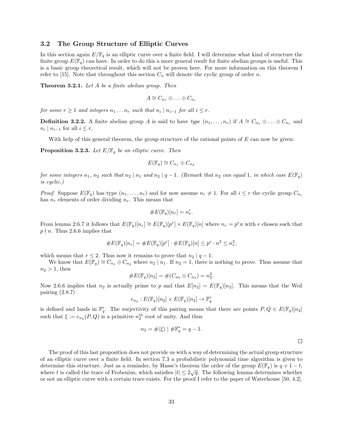#### 3.2 The Group Structure of Elliptic Curves

In this section again  $E/\mathbb{F}_q$  is an elliptic curve over a finite field. I will determine what kind of structure the finite group  $E(\mathbb{F}_q)$  can have. In order to do this a more general result for finite abelian groups is useful. This is a basic group theoretical result, which will not be proven here. For more information on this theorem I refer to [15]. Note that throughout this section  $C_n$  will denote the cyclic group of order n.

Theorem 3.2.1. Let A be a finite abelian group. Then

$$
A \cong C_{n_1} \oplus \ldots \oplus C_{n_r}
$$

for some  $r \geq 1$  and integers  $n_1 \ldots n_r$  such that  $n_i \mid n_{i-1}$  for all  $i \leq r$ .

**Definition 3.2.2.** A finite abelian group A is said to have type  $(n_1, \ldots, n_r)$  if  $A \cong C_{n_1} \oplus \ldots \oplus C_{n_r}$  and  $n_i \mid n_{i-1}$  for all  $i \leq r$ .

With help of this general theorem, the group structure of the rational points of  $E$  can now be given:

**Proposition 3.2.3.** Let  $E/\mathbb{F}_q$  be an elliptic curve. Then

$$
E(\mathbb{F}_q) \cong C_{n_1} \oplus C_{n_2}
$$

for some integers  $n_1$ ,  $n_2$  such that  $n_2 | n_1$  and  $n_2 | q-1$ . (Remark that  $n_2$  can equal 1, in which case  $E(\mathbb{F}_q)$ ) is cyclic.)

*Proof.* Suppose  $E(\mathbb{F}_q)$  has type  $(n_1, \ldots, n_r)$  and for now assume  $n_r \neq 1$ . For all  $i \leq r$  the cyclic group  $C_{n_i}$ has  $n_r$  elements of order dividing  $n_r$ . This means that

$$
\#E(\mathbb{F}_q)[n_r] = n_r^r.
$$

From lemma 2.6.7 it follows that  $E(\mathbb{F}_q)[n_r] \cong E(\mathbb{F}_q)[p^e] \times E(\mathbb{F}_q)[n]$  where  $n_r = p^e n$  with e chosen such that  $p \nmid n$ . Thus 2.6.6 implies that

$$
\#E(\mathbb{F}_q)[n_r] = \#E(\mathbb{F}_q)[p^e] \cdot \#E(\mathbb{F}_q)[n] \leq p^e \cdot n^2 \leq n_r^2,
$$

which means that  $r \leq 2$ . Thus now it remains to prove that  $n_2 | q - 1$ :

We know that  $E(\mathbb{F}_q) \cong C_{n_1} \oplus C_{n_2}$  where  $n_2 | n_1$ . If  $n_2 = 1$ , there is nothing to prove. Thus assume that  $n_2 > 1$ , then

#E(Fq)[n2] = #(Cn<sup>2</sup> ⊕ Cn<sup>2</sup> ) = n 2 2 .

Now 2.6.6 implies that  $n_2$  is actually prime to p and that  $E[n_2] = E(\mathbb{F}_q)[n_2]$ . This means that the Weil pairing (2.8.7)

$$
e_{n_2}: E(\mathbb{F}_q)[n_2] \times E(\mathbb{F}_q)[n_2] \to \mathbb{F}_q^*
$$

is defined and lands in  $\mathbb{F}_q^*$ . The surjectivity of this pairing means that there are points  $P, Q \in E(\mathbb{F}_q)[n_2]$ such that  $\xi := e_{n_2}(P,Q)$  is a primitive  $n_2^{\text{th}}$  root of unity. And thus

$$
n_2 = #\langle \xi \rangle \mid \# \mathbb{F}_q^* = q - 1.
$$

The proof of this last proposition does not provide us with a way of determining the actual group structure of an elliptic curve over a finite field. In section 7.3 a probabilistic polynomial time algorithm is given to determine this structure. Just as a reminder, by Hasse's theorem the order of the group  $E(\mathbb{F}_q)$  is  $q + 1 - t$ , where t is called the trace of Frobenius, which satisfies  $|t| \leq 2\sqrt{q}$ . The following lemma determines whether or not an elliptic curve with a certain trace exists. For the proof I refer to the paper of Waterhouse [50, 4.2].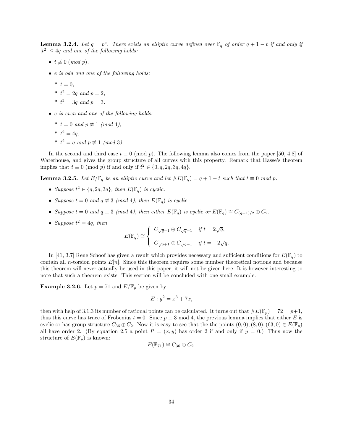**Lemma 3.2.4.** Let  $q = p^e$ . There exists an elliptic curve defined over  $\mathbb{F}_q$  of order  $q + 1 - t$  if and only if  $|t^2| \leq 4q$  and one of the following holds:

- $t \not\equiv 0 \pmod{p}$ .
- e is odd and one of the following holds:
	- \*  $t = 0$ ,
	- \*  $t^2 = 2q$  and  $p = 2$ ,
	- \*  $t^2 = 3q$  and  $p = 3$ .
- e is even and one of the following holds:
	- \*  $t = 0$  and  $p \not\equiv 1 \pmod{4}$ ,
	- \*  $t^2 = 4q$ ,
	- \*  $t^2 = q$  and  $p \not\equiv 1 \pmod{3}$ .

In the second and third case  $t \equiv 0 \pmod{p}$ . The following lemma also comes from the paper [50, 4.8] of Waterhouse, and gives the group structure of all curves with this property. Remark that Hasse's theorem implies that  $t \equiv 0 \pmod{p}$  if and only if  $t^2 \in \{0, q, 2q, 3q, 4q\}.$ 

**Lemma 3.2.5.** Let  $E/\mathbb{F}_q$  be an elliptic curve and let  $\#E(\mathbb{F}_q) = q + 1 - t$  such that  $t \equiv 0 \mod p$ .

- Suppose  $t^2 \in \{q, 2q, 3q\}$ , then  $E(\mathbb{F}_q)$  is cyclic.
- Suppose  $t = 0$  and  $q \not\equiv 3 \pmod{4}$ , then  $E(\mathbb{F}_q)$  is cyclic.
- Suppose  $t = 0$  and  $q \equiv 3 \pmod{4}$ , then either  $E(\mathbb{F}_q)$  is cyclic or  $E(\mathbb{F}_q) \cong C_{(q+1)/2} \oplus C_2$ .
- Suppose  $t^2 = 4q$ , then

$$
E(\mathbb{F}_q) \cong \left\{ \begin{array}{cl} C_{\sqrt{q}-1} \oplus C_{\sqrt{q}-1} & \textit{if } t = 2\sqrt{q}, \\[1mm] C_{\sqrt{q}+1} \oplus C_{\sqrt{q}+1} & \textit{if } t = -2\sqrt{q}. \end{array} \right.
$$

In [41, 3.7] Rene Schoof has given a result which provides necessary and sufficient conditions for  $E(\mathbb{F}_q)$  to contain all n-torsion points  $E[n]$ . Since this theorem requires some number theoretical notions and because this theorem will never actually be used in this paper, it will not be given here. It is however interesting to note that such a theorem exists. This section will be concluded with one small example:

**Example 3.2.6.** Let  $p = 71$  and  $E/\mathbb{F}_p$  be given by

$$
E: y^2 = x^3 + 7x,
$$

then with help of 3.1.3 its number of rational points can be calculated. It turns out that  $\#E(\mathbb{F}_p) = 72 = p+1$ , thus this curve has trace of Frobenius  $t = 0$ . Since  $p \equiv 3 \mod 4$ , the previous lemma implies that either E is cyclic or has group structure  $C_{36} \oplus C_2$ . Now it is easy to see that the the points  $(0,0), (8,0), (63,0) \in E(\mathbb{F}_p)$ all have order 2. (By equation 2.5 a point  $P = (x, y)$  has order 2 if and only if  $y = 0$ .) Thus now the structure of  $E(\mathbb{F}_p)$  is known:

$$
E(\mathbb{F}_{71}) \cong C_{36} \oplus C_2.
$$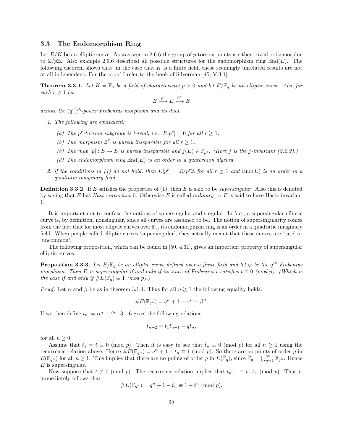#### 3.3 The Endomorphism Ring

Let  $E/K$  be an elliptic curve. As was seen in 2.6.6 the group of p-torsion points is either trivial or isomorphic to  $\mathbb{Z}/p\mathbb{Z}$ . Also example 2.9.6 described all possible structures for the endomorphism ring End(E). The following theorem shows that, in the case that  $K$  is a finite field, these seemingly unrelated results are not at all independent. For the proof I refer to the book of Silverman [45, V.3.1].

**Theorem 3.3.1.** Let  $K = \mathbb{F}_q$  be a field of characteristic  $p > 0$  and let  $E/\mathbb{F}_q$  be an elliptic curve. Also for each  $r \geq 1$  let

$$
E \xrightarrow{\varphi^r} E \xrightarrow{\hat{\varphi}^r} E
$$

denote the  $(q<sup>r</sup>)<sup>th</sup>$ -power Frobenius morphism and its dual.

- 1. The following are equivalent:
	- (a) The p<sup>r</sup>-torsion subgroup is trivial, i.e.,  $E[p^r] = 0$  for all  $r \ge 1$ .
	- (b) The morphism  $\hat{\varphi}^r$  is purely inseparable for all  $r \geq 1$ .
	- (c) The map  $[p]: E \to E$  is purely inseparable and  $j(E) \in \mathbb{F}_{p^2}$ . (Here j is the j-invariant (2.2.2).)
	- (d) The endomorphism ring  $End(E)$  is an order in a quaternion algebra.
- 2. if the conditions in (1) do not hold, then  $E[p^r] = \mathbb{Z}/p^r\mathbb{Z}$  for all  $r \geq 1$  and  $\text{End}(E)$  is an order in a quadratic imaginary field.

**Definition 3.3.2.** If E satisfies the properties of (1), then E is said to be *supersingular*. Also this is denoted by saying that E has Hasse invariant 0. Otherwise E is called *ordinary*, or E is said to have Hasse invariant 1.

It is important not to confuse the notions of supersingular and singular. In fact, a supersingular elliptic curve is, by definition, nonsingular, since all curves are assumed to be. The notion of supersingularity comes from the fact that for most elliptic curves over  $\bar{\mathbb{F}}_q$ , its endomorphism ring is an order in a quadratic imaginary field. When people called elliptic curves 'supersingular', they actually meant that these curves are 'rare' or 'uncommon'.

The following proposition, which can be found in [50, 4.31], gives an important property of supersingular elliptic curves.

**Proposition 3.3.3.** Let  $E/\mathbb{F}_q$  be an elliptic curve defined over a finite field and let  $\varphi$  be the  $q^{th}$  Frobenius morphism. Then E is supersingular if and only if its trace of Frobenius t satisfies  $t \equiv 0 \pmod{p}$ . (Which is the case if and only if  $\#E(\mathbb{F}_q) \equiv 1 \pmod{p}$ .

*Proof.* Let  $\alpha$  and  $\beta$  be as in theorem 3.1.4. Thus for all  $n \geq 1$  the following equality holds:

#E(Fq<sup>n</sup> ) = q <sup>n</sup> + 1 − α <sup>n</sup> − β n .

If we then define  $t_n := \alpha^n + \beta^n$ , 3.1.6 gives the following relations:

$$
t_{n+2} = t_1 t_{n+1} - q t_n,
$$

for all  $n \geq 0$ .

Assume that  $t_1 = t \equiv 0 \pmod{p}$ . Then it is easy to see that  $t_n \equiv 0 \pmod{p}$  for all  $n \ge 1$  using the recurrence relation above. Hence  $\#E(\mathbb{F}_{q^n}) = q^n + 1 - t_n \equiv 1 \pmod{p}$ . So there are no points of order p in  $E(\mathbb{F}_{q^n})$  for all  $n \geq 1$ . This implies that there are no points of order p in  $E(\mathbb{F}_q)$ , since  $\mathbb{F}_q = \bigcup_{n=1}^{\infty} \mathbb{F}_{q^n}$ . Hence  $E$  is supersingular.

Now suppose that  $t \not\equiv 0 \pmod{p}$ . The recurrence relation implies that  $t_{n+1} \equiv t \cdot t_n \pmod{p}$ . Thus it immediately follows that

#E(Fq<sup>n</sup> ) = q <sup>n</sup> + 1 − t<sup>n</sup> ≡ 1 − t n (mod p).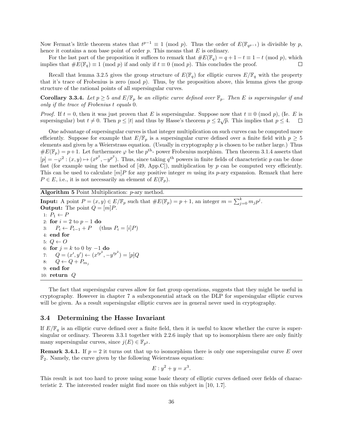Now Fermat's little theorem states that  $t^{p-1} \equiv 1 \pmod{p}$ . Thus the order of  $E(\mathbb{F}_{q^{p-1}})$  is divisible by p, hence it contains a non base point of order  $p$ . This means that  $E$  is ordinary.

For the last part of the proposition it suffices to remark that  $\#E(\mathbb{F}_q) = q + 1 - t \equiv 1 - t \pmod{p}$ , which implies that  $\#E(\mathbb{F}_q) \equiv 1 \pmod{p}$  if and only if  $t \equiv 0 \pmod{p}$ . This concludes the proof.  $\Box$ 

Recall that lemma 3.2.5 gives the group structure of  $E(\mathbb{F}_q)$  for elliptic curves  $E/\mathbb{F}_q$  with the property that it's trace of Frobenius is zero (mod  $p$ ). Thus, by the proposition above, this lemma gives the group structure of the rational points of all supersingular curves.

**Corollary 3.3.4.** Let  $p \ge 5$  and  $E/\mathbb{F}_p$  be an elliptic curve defined over  $\mathbb{F}_p$ . Then E is supersingular if and only if the trace of Frobenius t equals 0.

*Proof.* If  $t = 0$ , then it was just proven that E is supersingular. Suppose now that  $t \equiv 0 \pmod{p}$ , (Ie. E is supersingular) but  $t \neq 0$ . Then  $p \leq |t|$  and thus by Hasse's theorem  $p \leq 2\sqrt{p}$ . This implies that  $p \leq 4$ .  $\Box$ 

One advantage of supersingular curves is that integer multiplication on such curves can be computed more efficiently. Suppose for example that  $E/\mathbb{F}_p$  is a supersingular curve defined over a finite field with  $p \geq 5$ elements and given by a Weierstrass equation. (Usually in cryptography  $p$  is chosen to be rather large.) Thus  $\#E(\mathbb{F}_p) = p+1$ . Let furthermore  $\varphi$  be the  $p^{\text{th}}$ - power Frobenius morphism. Then theorem 3.1.4 asserts that  $[p] = -\varphi^2 : (x, y) \mapsto (x^{p^2}, -y^{p^2})$ . Thus, since taking  $q^{\text{th}}$  powers in finite fields of characteristic p can be done fast (for example using the method of  $[49, App.C]$ ), multiplication by p can be computed very efficiently. This can be used to calculate  $[m]P$  for any positive integer m using its p-ary expansion. Remark that here  $P \in E$ , i.e., it is not necessarily an element of  $E(\mathbb{F}_p)$ .

Algorithm 5 Point Multiplication: p-ary method.

**Input:** A point  $P = (x, y) \in E / \mathbb{F}_p$  such that  $#E(\mathbb{F}_p) = p + 1$ , an integer  $m = \sum_{j=0}^{k} m_j p^j$ . **Output:** The point  $Q = [m]P$ . 1:  $P_1 \leftarrow P$ 2: for  $i = 2$  to  $p - 1$  do 3:  $P_i \leftarrow P_{i-1} + P$  (thus  $P_i = [i]P$ ) 4: end for 5:  $Q \leftarrow O$ 6: for  $j = k$  to 0 by  $-1$  do 7:  $Q = (x', y') \leftarrow (x'^{p^2}, -y'^{p^2}) = [p]Q$ 8:  $Q \leftarrow Q + P_{m_j}$ 9: end for 10: return  $Q$ 

The fact that supersingular curves allow for fast group operations, suggests that they might be useful in cryptography. However in chapter 7 a subexponential attack on the DLP for supersingular elliptic curves will be given. As a result supersingular elliptic curves are in general never used in cryptography.

## 3.4 Determining the Hasse Invariant

If  $E/\mathbb{F}_q$  is an elliptic curve defined over a finite field, then it is useful to know whether the curve is supersingular or ordinary. Theorem 3.3.1 together with 2.2.6 imply that up to isomorphism there are only finitly many supersingular curves, since  $j(E) \in \mathbb{F}_{p^2}$ .

**Remark 3.4.1.** If  $p = 2$  it turns out that up to isomorphism there is only one supersingular curve E over  $\overline{\mathbb{F}}_2$ . Namely, the curve given by the following Weierstrass equation:

$$
E: y^2 + y = x^3.
$$

This result is not too hard to prove using some basic theory of elliptic curves defined over fields of characteristic 2. The interested reader might find more on this subject in [10, 1.7].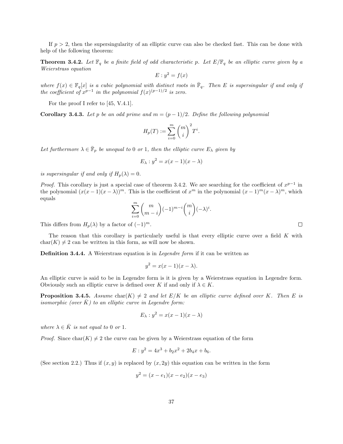If  $p > 2$ , then the supersingularity of an elliptic curve can also be checked fast. This can be done with help of the following theorem:

**Theorem 3.4.2.** Let  $\mathbb{F}_q$  be a finite field of odd characteristic p. Let  $E/\mathbb{F}_q$  be an elliptic curve given by a Weierstrass equation

$$
E: y^2 = f(x)
$$

where  $f(x) \in \mathbb{F}_q[x]$  is a cubic polynomial with distinct roots in  $\bar{\mathbb{F}}_q$ . Then E is supersingular if and only if the coefficient of  $x^{p-1}$  in the polynomial  $f(x)^{(p-1)/2}$  is zero.

For the proof I refer to [45, V.4.1].

**Corollary 3.4.3.** Let p be an odd prime and  $m = (p - 1)/2$ . Define the following polynomial

$$
H_p(T) := \sum_{i=0}^m \binom{m}{i}^2 T^i.
$$

Let furthermore  $\lambda \in \bar{\mathbb{F}}_p$  be unequal to 0 or 1, then the elliptic curve  $E_\lambda$  given by

$$
E_{\lambda}: y^2 = x(x-1)(x-\lambda)
$$

is supersingular if and only if  $H_p(\lambda) = 0$ .

*Proof.* This corollary is just a special case of theorem 3.4.2. We are searching for the coefficient of  $x^{p-1}$  in the polynomial  $(x(x-1)(x-\lambda))^m$ . This is the coefficient of  $x^m$  in the polynomial  $(x-1)^m(x-\lambda)^m$ , which equals

$$
\sum_{i=0}^{m} {m \choose m-i} (-1)^{m-i}{m \choose i} (-\lambda)^i.
$$

This differs from  $H_p(\lambda)$  by a factor of  $(-1)^m$ .

The reason that this corollary is particularly useful is that every elliptic curve over a field K with  $char(K) \neq 2$  can be written in this form, as will now be shown.

Definition 3.4.4. A Weierstrass equation is in *Legendre form* if it can be written as

$$
y^2 = x(x-1)(x - \lambda).
$$

An elliptic curve is said to be in Legendre form is it is given by a Weierstrass equation in Legendre form. Obviously such an elliptic curve is defined over K if and only if  $\lambda \in K$ .

**Proposition 3.4.5.** Assume char(K)  $\neq$  2 and let  $E/K$  be an elliptic curve defined over K. Then E is isomorphic (over  $\bar{K}$ ) to an elliptic curve in Legendre form:

$$
E_{\lambda}: y^2 = x(x-1)(x - \lambda)
$$

where  $\lambda \in \overline{K}$  is not equal to 0 or 1.

*Proof.* Since char $(K) \neq 2$  the curve can be given by a Weierstrass equation of the form

$$
E: y^2 = 4x^3 + b_2x^2 + 2b_4x + b_6.
$$

(See section 2.2.) Thus if  $(x, y)$  is replaced by  $(x, 2y)$  this equation can be written in the form

$$
y^2 = (x - e_1)(x - e_2)(x - e_3)
$$

 $\Box$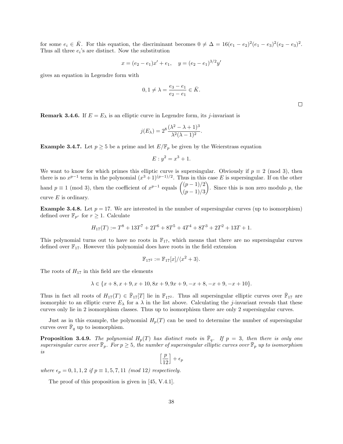for some  $e_i \in \overline{K}$ . For this equation, the discriminant becomes  $0 \neq \Delta = 16(e_1 - e_2)^2(e_1 - e_3)^2(e_2 - e_3)^2$ . Thus all three  $e_i$ 's are distinct. Now the substitution

$$
x = (e_2 - e_1)x' + e_1, \quad y = (e_2 - e_1)^{3/2}y'
$$

gives an equation in Legendre form with

$$
0, 1 \neq \lambda = \frac{e_3 - e_1}{e_2 - e_1} \in \bar{K}.
$$

 $\Box$ 

**Remark 3.4.6.** If  $E = E_{\lambda}$  is an elliptic curve in Legendre form, its *j*-invariant is

$$
j(E_{\lambda}) = 2^8 \frac{(\lambda^2 - \lambda + 1)^3}{\lambda^2 (\lambda - 1)^2}.
$$

**Example 3.4.7.** Let  $p \ge 5$  be a prime and let  $E/\mathbb{F}_p$  be given by the Weierstrass equation

$$
E: y^2 = x^3 + 1.
$$

We want to know for which primes this elliptic curve is supersingular. Obviously if  $p \equiv 2 \pmod{3}$ , then there is no  $x^{p-1}$  term in the polynomial  $(x^3+1)^{(p-1)/2}$ . Thus in this case E is supersingular. If on the other hand  $p \equiv 1 \pmod{3}$ , then the coefficient of  $x^{p-1}$  equals  $\binom{(p-1)/2}{4}$  $(p-1)/3$ ). Since this is non zero modulo  $p$ , the curve  $E$  is ordinary.

**Example 3.4.8.** Let  $p = 17$ . We are interested in the number of supersingular curves (up to isomorphism) defined over  $\mathbb{F}_{p^r}$  for  $r \geq 1$ . Calculate

$$
H_{17}(T) := T^8 + 13T^7 + 2T^6 + 8T^5 + 4T^4 + 8T^3 + 2T^2 + 13T + 1.
$$

This polynomial turns out to have no roots in  $\mathbb{F}_{17}$ , which means that there are no supersingular curves defined over  $\mathbb{F}_{17}$ . However this polynomial does have roots in the field extension

$$
\mathbb{F}_{17^2} := \mathbb{F}_{17}[x]/\langle x^2 + 3 \rangle.
$$

The roots of  $H_{17}$  in this field are the elements

$$
\lambda \in \{x+8, x+9, x+10, 8x+9, 9x+9, -x+8, -x+9, -x+10\}.
$$

Thus in fact all roots of  $H_{17}(T) \in \overline{\mathbb{F}}_{17}[T]$  lie in  $\mathbb{F}_{17^2}$ . Thus all supersingular elliptic curves over  $\overline{\mathbb{F}}_{17}$  are isomorphic to an elliptic curve  $E_{\lambda}$  for a  $\lambda$  in the list above. Calculating the j-invariant reveals that these curves only lie in 2 isomorphism classes. Thus up to isomorphism there are only 2 supersingular curves.

Just as in this example, the polynomial  $H_p(T)$  can be used to determine the number of supersingular curves over  $\bar{\mathbb{F}}_q$  up to isomorphism.

**Proposition 3.4.9.** The polynomial  $H_p(T)$  has distinct roots in  $\overline{\mathbb{F}}_q$ . If  $p = 3$ , then there is only one supersingular curve over  $\bar{\mathbb{F}}_p$ . For  $p \geq 5$ , the number of supersingular elliptic curves over  $\bar{\mathbb{F}}_p$  up to isomorphism is

$$
\left[\frac{p}{12}\right]+\epsilon_p
$$

where  $\epsilon_p = 0, 1, 1, 2$  if  $p \equiv 1, 5, 7, 11 \pmod{12}$  respectively.

The proof of this proposition is given in [45, V.4.1].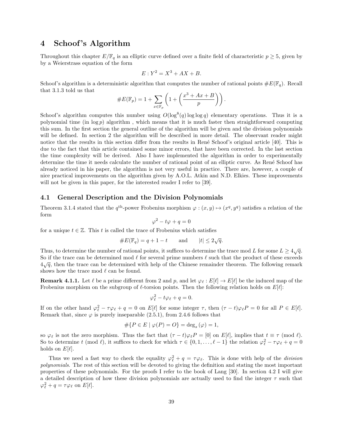# 4 Schoof 's Algorithm

Throughout this chapter  $E/\mathbb{F}_q$  is an elliptic curve defined over a finite field of characteristic  $p \geq 5$ , given by by a Weierstrass equation of the form

$$
E: Y^2 = X^3 + AX + B.
$$

Schoof's algorithm is a deterministic algorithm that computes the number of rational points  $\#E(\mathbb{F}_q)$ . Recall that 3.1.3 told us that

#E(Fp) = 1 + X x∈F<sup>p</sup> 1 + x <sup>3</sup> + Ax + B p .

Schoof's algorithm computes this number using  $O(\log^8(q) \log \log q)$  elementary operations. Thus it is a polynomial time (in  $\log p$ ) algorithm, which means that it is much faster then straightforward computing this sum. In the first section the general outline of the algorithm will be given and the division polynomials will be defined. In section 2 the algorithm will be described in more detail. The observant reader might notice that the results in this section differ from the results in René Schoof's original article [40]. This is due to the fact that this article contained some minor errors, that have been corrected. In the last section the time complexity will be derived. Also I have implemented the algorithm in order to experimentally determine the time it needs calculate the number of rational point of an elliptic curve. As René Schoof has already noticed in his paper, the algorithm is not very useful in practice. There are, however, a couple of nice practical improvements on the algorithm given by A.O.L. Atkin and N.D. Elkies. These improvements will not be given in this paper, for the interested reader I refer to [39].

# 4.1 General Description and the Division Polynomials

Theorem 3.1.4 stated that the  $q^{\text{th}}$ -power Frobenius morphism  $\varphi : (x, y) \mapsto (x^q, y^q)$  satisfies a relation of the form

$$
\varphi^2 - t\varphi + q = 0
$$

for a unique  $t \in \mathbb{Z}$ . This t is called the trace of Frobenius which satisfies

#E(Fq) = q + 1 − t and |t| ≤ 2 √ q.

Thus, to determine the number of rational points, it suffices to determine the trace mod L for some  $L \geq 4\sqrt{q}$ . So if the trace can be determined mod  $\ell$  for several prime numbers  $\ell$  such that the product of these exceeds  $4\sqrt{q}$ , then the trace can be determined with help of the Chinese remainder theorem. The following remark shows how the trace mod  $\ell$  can be found.

**Remark 4.1.1.** Let  $\ell$  be a prime different from 2 and p, and let  $\varphi_{\ell} : E[\ell] \to E[\ell]$  be the induced map of the Frobenius morphism on the subgroup of  $\ell$ -torsion points. Then the following relation holds on  $E[\ell]$ :

$$
\varphi_{\ell}^2 - t\varphi_{\ell} + q = 0.
$$

If on the other hand  $\varphi_{\ell}^2 - \tau \varphi_{\ell} + q = 0$  on  $E[\ell]$  for some integer  $\tau$ , then  $(\tau - t)\varphi_{\ell}P = 0$  for all  $P \in E[\ell]$ . Remark that, since  $\varphi$  is purely inseparable (2.5.1), from 2.4.6 follows that

$$
\#\{P \in E \mid \varphi(P) = O\} = \deg_s(\varphi) = 1,
$$

so  $\varphi_\ell$  is not the zero morphism. Thus the fact that  $(\tau - t)\varphi_\ell P = [0]$  on  $E[\ell]$ , implies that  $t \equiv \tau \pmod{\ell}$ . So to determine t (mod  $\ell$ ), it suffices to check for which  $\tau \in \{0, 1, \ldots, \ell - 1\}$  the relation  $\varphi_{\ell}^2 - \tau \varphi_{\ell} + q = 0$ holds on  $E[\ell]$ .

Thus we need a fast way to check the equality  $\varphi_{\ell}^2 + q = \tau \varphi_{\ell}$ . This is done with help of the division polynomials. The rest of this section will be devoted to giving the definition and stating the most important properties of these polynomials. For the proofs I refer to the book of Lang [30]. In section 4.2 I will give a detailed description of how these division polynomials are actually used to find the integer  $\tau$  such that  $\varphi_{\ell}^2 + q = \tau \varphi_{\ell}$  on  $E[\ell].$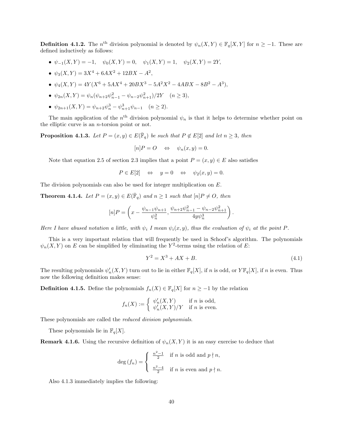**Definition 4.1.2.** The n<sup>th</sup> division polynomial is denoted by  $\psi_n(X,Y) \in \mathbb{F}_q[X,Y]$  for  $n \geq -1$ . These are defined inductively as follows:

- $\psi_{-1}(X, Y) = -1$ ,  $\psi_0(X, Y) = 0$ ,  $\psi_1(X, Y) = 1$ ,  $\psi_2(X, Y) = 2Y$ ,
- $\psi_3(X,Y) = 3X^4 + 6AX^2 + 12BX A^2,$
- $\psi_4(X,Y) = 4Y(X^6 + 5AX^4 + 20BX^3 5A^2X^2 4ABX 8B^2 A^3),$
- $\psi_{2n}(X,Y) = \psi_n(\psi_{n+2}\psi_{n-1}^2 \psi_{n-2}\psi_{n+1}^2)/2Y \quad (n \ge 3),$
- $\psi_{2n+1}(X,Y) = \psi_{n+2}\psi_n^3 \psi_{n+1}^3\psi_{n-1} \quad (n \ge 2).$

The main application of the  $n<sup>th</sup>$  division polynomial  $\psi_n$  is that it helps to determine whether point on the elliptic curve is an  $n$ -torsion point or not.

**Proposition 4.1.3.** Let  $P = (x, y) \in E(\overline{\mathbb{F}}_q)$  be such that  $P \notin E[2]$  and let  $n \geq 3$ , then

$$
[n]P = O \quad \Leftrightarrow \quad \psi_n(x, y) = 0.
$$

Note that equation 2.5 of section 2.3 implies that a point  $P = (x, y) \in E$  also satisfies

 $P \in E[2] \Leftrightarrow y = 0 \Leftrightarrow \psi_2(x, y) = 0.$ 

The division polynomials can also be used for integer multiplication on E.

**Theorem 4.1.4.** Let  $P = (x, y) \in E(\overline{\mathbb{F}}_q)$  and  $n \ge 1$  such that  $[n]P \neq O$ , then

$$
[n]P = \left(x - \frac{\psi_{n-1}\psi_{n+1}}{\psi_n^2}, \frac{\psi_{n+2}\psi_{n-1}^2 - \psi_{n-2}\psi_{n+1}^2}{4y\psi_n^3}\right).
$$

Here I have abused notation a little, with  $\psi_i$  I mean  $\psi_i(x, y)$ , thus the evaluation of  $\psi_i$  at the point P.

This is a very important relation that will frequently be used in Schoof's algorithm. The polynomials  $\psi_n(X,Y)$  on E can be simplified by eliminating the Y<sup>2</sup>-terms using the relation of E:

$$
Y^2 = X^3 + AX + B. \t\t(4.1)
$$

The resulting polynomials  $\psi'_n(X, Y)$  turn out to lie in either  $\mathbb{F}_q[X]$ , if n is odd, or  $Y\mathbb{F}_q[X]$ , if n is even. Thus now the following definition makes sense:

**Definition 4.1.5.** Define the polynomials  $f_n(X) \in \mathbb{F}_q[X]$  for  $n \geq -1$  by the relation

$$
f_n(X) := \begin{cases} \psi'_n(X, Y) & \text{if } n \text{ is odd,} \\ \psi'_n(X, Y) / Y & \text{if } n \text{ is even.} \end{cases}
$$

These polynomials are called the *reduced division polynomials*.

These polynomials lie in  $\mathbb{F}_q[X]$ .

**Remark 4.1.6.** Using the recursive definition of  $\psi_n(X, Y)$  it is an easy exercise to deduce that

$$
\deg(f_n) = \begin{cases} \frac{n^2 - 1}{2} & \text{if } n \text{ is odd and } p \nmid n, \\ \frac{n^2 - 4}{2} & \text{if } n \text{ is even and } p \nmid n. \end{cases}
$$

Also 4.1.3 immediately implies the following: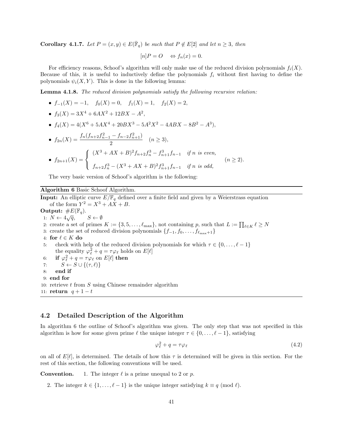**Corollary 4.1.7.** Let  $P = (x, y) \in E(\overline{\mathbb{F}}_q)$  be such that  $P \notin E[2]$  and let  $n \geq 3$ , then

$$
[n]P = O \Leftrightarrow f_n(x) = 0.
$$

For efficiency reasons, Schoof's algorithm will only make use of the reduced division polynomials  $f_i(X)$ . Because of this, it is useful to inductively define the polynomials  $f_i$  without first having to define the polynomials  $\psi_i(X, Y)$ . This is done in the following lemma:

Lemma 4.1.8. The reduced division polynomials satisfy the following recursive relation:

- $f_{-1}(X) = -1$ ,  $f_0(X) = 0$ ,  $f_1(X) = 1$ ,  $f_2(X) = 2$ ,
- $f_3(X) = 3X^4 + 6AX^2 + 12BX A^2$ ,
- $f_4(X) = 4(X^6 + 5AX^4 + 20BX^3 5A^2X^2 4ABX 8B^2 A^3),$

• 
$$
f_{2n}(X) = \frac{f_n(f_{n+2}f_{n-1}^2 - f_{n-2}f_{n+1}^2)}{2}
$$
  $(n \ge 3),$   
\n•  $f_{2n+1}(X) = \begin{cases} (X^3 + AX + B)^2 f_{n+2}f_n^3 - f_{n+1}^3 f_{n-1} & \text{if } n \text{ is even,} \\ f_{n+2}f_n^3 - (X^3 + AX + B)^2 f_{n+1}^3 f_{n-1} & \text{if } n \text{ is odd,} \end{cases}$   $(n \ge 2).$ 

The very basic version of Schoof's algorithm is the following:

### Algorithm 6 Basic Schoof Algorithm.

**Input:** An elliptic curve  $E/\mathbb{F}_q$  defined over a finite field and given by a Weierstrass equation of the form  $Y^2 = X^3 + AX + B$ . Output:  $\#E(\mathbb{F}_q)$ . 1:  $N \leftarrow 4\sqrt{q}$ ,  $S \leftarrow \emptyset$ 2: create a set of primes  $K := \{3, 5, \ldots, \ell_{\max}\}\$ , not containing p, such that  $L := \prod_{\ell \in K} \ell \geq N$ 3: create the set of reduced division polynomials  $\{f_{-1}, f_0, \ldots, f_{\ell_{\text{max}}+1}\}\$ 4: for  $\ell \in K$  do 5: check with help of the reduced division polynomials for which  $\tau \in \{0, \ldots, \ell - 1\}$ the equality  $\varphi_{\ell}^2 + q = \tau \varphi_{\ell}$  holds on  $E[\ell]$ 6: if  $\varphi_{\ell}^2 + q = \tau \varphi_{\ell}$  on  $E[\ell]$  then 7:  $S \leftarrow S \cup \{(\tau, \ell)\}$ 8: end if 9: end for 10: retrieve  $t$  from  $S$  using Chinese remainder algorithm 11: return  $q+1-t$ 

# 4.2 Detailed Description of the Algorithm

In algorithm 6 the outline of Schoof's algorithm was given. The only step that was not specified in this algorithm is how for some given prime  $\ell$  the unique integer  $\tau \in \{0, \ldots, \ell - 1\}$ , satisfying

$$
\varphi_{\ell}^2 + q = \tau \varphi_{\ell} \tag{4.2}
$$

on all of  $E[\ell]$ , is determined. The details of how this  $\tau$  is determined will be given in this section. For the rest of this section, the following conventions will be used.

**Convention.** 1. The integer  $\ell$  is a prime unequal to 2 or p.

2. The integer  $k \in \{1, ..., \ell - 1\}$  is the unique integer satisfying  $k \equiv q \pmod{\ell}$ .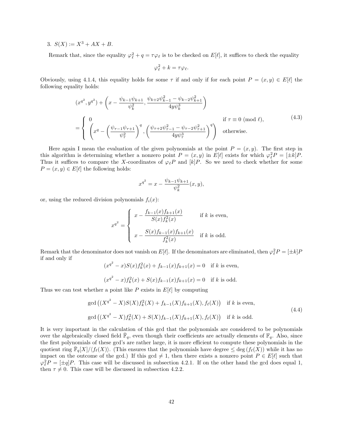3.  $S(X) := X^3 + AX + B$ .

Remark that, since the equality  $\varphi_{\ell}^2 + q = \tau \varphi_{\ell}$  is to be checked on  $E[\ell]$ , it suffices to check the equality

$$
\varphi_{\ell}^2 + k = \tau \varphi_{\ell}.
$$

Obviously, using 4.1.4, this equality holds for some  $\tau$  if and only if for each point  $P = (x, y) \in E[\ell]$  the following equality holds:

$$
(x^{q^2}, y^{q^2}) + \left(x - \frac{\psi_{k-1}\psi_{k+1}}{\psi_k^2}, \frac{\psi_{k+2}\psi_{k-1}^2 - \psi_{k-2}\psi_{k+1}^2}{4y\psi_k^3}\right)
$$
  
= 
$$
\begin{cases} 0 & \text{if } \tau \equiv 0 \pmod{\ell}, \\ \left(x^q - \left(\frac{\psi_{\tau-1}\psi_{\tau+1}}{\psi_{\tau}^2}\right)^q, \left(\frac{\psi_{\tau+2}\psi_{\tau-1}^2 - \psi_{\tau-2}\psi_{\tau+1}^2}{4y\psi_{\tau}^3}\right)^q\right) & \text{otherwise.} \end{cases}
$$
(4.3)

Here again I mean the evaluation of the given polynomials at the point  $P = (x, y)$ . The first step in this algorithm is determining whether a nonzero point  $P = (x, y)$  in  $E[\ell]$  exists for which  $\varphi_{\ell}^2 P = [\pm k]P$ . Thus it suffices to compare the X-coordinates of  $\varphi_{\ell}P$  and  $[k]P$ . So we need to check whether for some  $P = (x, y) \in E[\ell]$  the following holds:

$$
x^{q^2} = x - \frac{\psi_{k-1}\psi_{k+1}}{\psi_k^2}(x, y),
$$

or, using the reduced division polynomials  $f_i(x)$ :

$$
x^{q^2} = \begin{cases} x - \frac{f_{k-1}(x)f_{k+1}(x)}{S(x)f_k^2(x)} & \text{if } k \text{ is even,} \\ x - \frac{S(x)f_{k-1}(x)f_{k+1}(x)}{f_k^2(x)} & \text{if } k \text{ is odd.} \end{cases}
$$

Remark that the denominator does not vanish on  $E[\ell]$ . If the denominators are eliminated, then  $\varphi_{\ell}^2 P = [\pm k]P$ if and only if

$$
(x^{q^2} - x)S(x)f_k^2(x) + f_{k-1}(x)f_{k+1}(x) = 0 \text{ if } k \text{ is even,}
$$

$$
(x^{q^2} - x)f_k^2(x) + S(x)f_{k-1}(x)f_{k+1}(x) = 0
$$
 if k is odd.

Thus we can test whether a point like P exists in  $E[\ell]$  by computing

gcd 
$$
((X^{q^2} - X)S(X)f_k^2(X) + f_{k-1}(X)f_{k+1}(X), f_{\ell}(X))
$$
 if k is even,  
gcd  $((X^{q^2} - X)f_k^2(X) + S(X)f_{k-1}(X)f_{k+1}(X), f_{\ell}(X))$  if k is odd. 
$$
(4.4)
$$

It is very important in the calculation of this gcd that the polynomials are considered to be polynomials over the algebraically closed field  $\bar{\mathbb{F}}_q$ , even though their coefficients are actually elements of  $\mathbb{F}_q$ . Also, since the first polynomials of these gcd's are rather large, it is more efficient to compute these polynomials in the quotient ring  $\bar{\mathbb{F}}_q[X]/\langle f_\ell(X)\rangle$ . (This ensures that the polynomials have degree  $\leq \text{deg}(f_\ell(X))$  while it has no impact on the outcome of the gcd.) If this gcd  $\neq 1$ , then there exists a nonzero point  $P \in E[\ell]$  such that  $\varphi_{\ell}^2 P = [\pm q]P$ . This case will be discussed in subsection 4.2.1. If on the other hand the gcd does equal 1, then  $\tau \neq 0$ . This case will be discussed in subsection 4.2.2.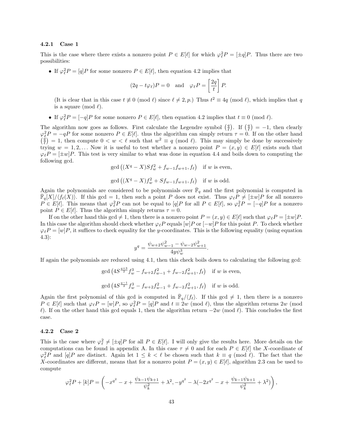#### 4.2.1 Case 1

This is the case where there exists a nonzero point  $P \in E[\ell]$  for which  $\varphi_{\ell}^2 P = [\pm q]P$ . Thus there are two possibilities:

• If  $\varphi_{\ell}^2 P = [q]P$  for some nonzero  $P \in E[\ell]$ , then equation 4.2 implies that

$$
(2q - t\varphi_{\ell})P = 0
$$
 and  $\varphi_{\ell}P = \left[\frac{2q}{t}\right]P.$ 

(It is clear that in this case  $t \neq 0 \pmod{\ell}$  since  $\ell \neq 2, p$ .) Thus  $t^2 \equiv 4q \pmod{\ell}$ , which implies that q is a square (mod  $\ell$ ).

• If  $\varphi_{\ell}^2 P = [-q]P$  for some nonzero  $P \in E[\ell]$ , then equation 4.2 implies that  $t \equiv 0 \pmod{\ell}$ .

The algorithm now goes as follows. First calculate the Legendre symbol  $\left(\frac{q}{\ell}\right)$ . If  $\left(\frac{q}{\ell}\right) = -1$ , then clearly  $\varphi_{\ell}^2 P = -qP$  for some nonzero  $P \in E[\ell]$ . thus the algorithm can simply return  $\tau = 0$ . If on the other hand  $\left(\frac{\tilde{q}}{\ell}\right) = 1$ , then compute  $0 < w < \ell$  such that  $w^2 \equiv q \pmod{\ell}$ . This may simply be done by successively trying  $w = 1, 2, ...$  Now it is useful to test whether a nonzero point  $P = (x, y) \in E[\ell]$  exists such that  $\varphi_{\ell} P = [\pm w]P$ . This test is very similar to what was done in equation 4.4 and boils down to computing the following gcd.

$$
\gcd\left((X^q - X)Sf_w^2 + f_{w-1}f_{w+1}, f_\ell\right) \text{ if } w \text{ is even,}
$$

$$
\gcd\left((X^q - X)f_w^2 + Sf_{w-1}f_{w+1}, f_\ell\right) \text{ if } w \text{ is odd.}
$$

Again the polynomials are considered to be polynomials over  $\bar{\mathbb{F}}_q$  and the first polynomial is computed in  $\mathbb{F}_q[X]/\langle f_\ell(X)\rangle$ . If this gcd = 1, then such a point P does not exist. Thus  $\varphi_\ell P \neq [\pm w]P$  for all nonzero  $P \in E[\ell]$ . This means that  $\varphi_{\ell}^2 P$  can not be equal to  $[q]P$  for all  $P \in E[\ell]$ , so  $\varphi_{\ell}^2 P = [-q]P$  for a nonzero point  $P \in E[\ell]$ . Thus the algorithm simply returns  $\tau = 0$ .

If on the other hand this gcd  $\neq 1$ , then there is a nonzero point  $P = (x, y) \in E[\ell]$  such that  $\varphi_{\ell} P = [\pm w]P$ . In this case the algorithm should check whether  $\varphi_{\ell}P$  equals  $[w]P$  or  $[-w]P$  for this point P. To check whether  $\varphi_{\ell} P = [w]P$ , it suffices to check equality for the y-coordinates. This is the following equality (using equation 4.3):

$$
y^{q} = \frac{\psi_{w+2}\psi_{w-1}^{2} - \psi_{w-2}\psi_{w+1}^{2}}{4y\psi_{w}^{3}}.
$$

If again the polynomials are reduced using 4.1, then this check boils down to calculating the following gcd:

$$
\gcd\left(4S^{\frac{q+3}{2}}f_w^3 - f_{w+2}f_{w-1}^2 + f_{w-2}f_{w+1}^2, f_{\ell}\right) \text{ if } w \text{ is even,}
$$
  

$$
\gcd\left(4S^{\frac{q-1}{2}}f_w^3 - f_{w+2}f_{w-1}^2 + f_{w-2}f_{w+1}^2, f_{\ell}\right) \text{ if } w \text{ is odd.}
$$

Again the first polynomial of this gcd is computed in  $\overline{\mathbb{F}}_q/\langle f_\ell \rangle$ . If this gcd  $\neq 1$ , then there is a nonzero  $P \in E[\ell]$  such that  $\varphi_{\ell}P = [w]P$ , so  $\varphi_{\ell}^2P = [q]P$  and  $t \equiv 2w \pmod{\ell}$ , thus the algorithm returns  $2w \pmod{\ell}$  $\ell$ ). If on the other hand this gcd equals 1, then the algorithm return  $-2w$  (mod  $\ell$ ). This concludes the first case.

#### 4.2.2 Case 2

This is the case where  $\varphi_{\ell}^2 \neq [\pm q]P$  for all  $P \in E[\ell]$ . I will only give the results here. More details on the computations can be found in appendix A. In this case  $\tau \neq 0$  and for each  $P \in E[\ell]$  the X-coordinate of  $\varphi_{\ell}^2 P$  and  $[q]P$  are distinct. Again let  $1 \leq k < \ell$  be chosen such that  $k \equiv q \pmod{\ell}$ . The fact that the X-coordinates are different, means that for a nonzero point  $P = (x, y) \in E[\ell]$ , algorithm 2.3 can be used to compute

$$
\varphi_{\ell}^2 P + [k] P = \left( -x^{q^2} - x + \frac{\psi_{k-1}\psi_{k+1}}{\psi_k^2} + \lambda^2, -y^{q^2} - \lambda(-2x^{q^2} - x + \frac{\psi_{k-1}\psi_{k+1}}{\psi_k^2} + \lambda^2) \right),
$$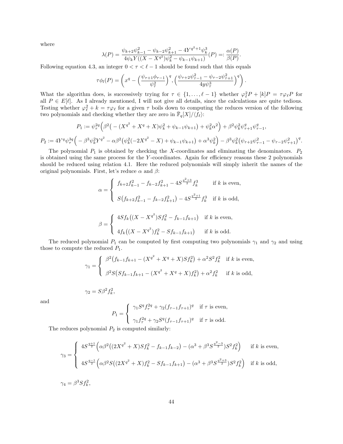where

 $P_2 :=$ 

$$
\lambda(P) = \frac{\psi_{k+2}\psi_{k-1}^2 - \psi_{k-2}\psi_{k+1}^2 - 4Y^{q^2+1}\psi_k^3}{4\psi_k Y((X - X^{q^2})\psi_k^2 - \psi_{k-1}\psi_{k+1})}(P) =: \frac{\alpha(P)}{\beta(P)}.
$$

Following equation 4.3, an integer  $0 < \tau < \ell - 1$  should be found such that this equals

$$
\tau \phi_l(P) = \left( x^q - \left( \frac{\psi_{\tau+1} \phi_{\tau-1}}{\psi_{\tau}^2} \right)^q, \left( \frac{\psi_{\tau+2} \psi_{\tau-1}^2 - \psi_{\tau-2} \psi_{\tau+1}^2}{4y \psi_{\tau}^3} \right)^q \right).
$$

What the algorithm does, is successively trying for  $\tau \in \{1, \ldots, \ell - 1\}$  whether  $\varphi_{\ell}^2 P + [k]P = \tau \varphi_{\ell} P$  for all  $P \in E[\ell]$ . As I already mentioned, I will not give all details, since the calculations are quite tedious. Testing whether  $\varphi_{\ell}^2 + k = \tau \varphi_{\ell}$  for a given  $\tau$  boils down to computing the reduces version of the following two polynomials and checking whether they are zero in  $\bar{\mathbb{F}}_q[X]/\langle f_\ell\rangle$ :

$$
P_1 := \psi_{\tau}^{2q} \Big( \beta^2 \big( - (X^{q^2} + X^q + X)\psi_k^2 + \psi_{k-1}\psi_{k+1} \big) + \psi_k^2 \alpha^2 \Big) + \beta^2 \psi_k^2 \psi_{\tau+1}^q \psi_{\tau-1}^q,
$$
  

$$
4Y^q \psi_{\tau}^{3q} \Big( - \beta^3 \psi_k^2 Y^{q^2} - \alpha \beta^2 \big( \psi_k^2 (-2X^{q^2} - X) + \psi_{k-1} \psi_{k+1} \big) + \alpha^3 \psi_k^2 \Big) - \beta^3 \psi_k^2 \big( \psi_{\tau+2} \psi_{\tau-1}^2 - \psi_{\tau-2} \psi_{\tau+1}^2 \big)^q.
$$

The polynomial  $P_1$  is obtained by checking the X-coordinates and eliminating the denominators.  $P_2$ is obtained using the same process for the  $Y$ -coordinates. Again for efficiency reasons these 2 polynomials should be reduced using relation 4.1. Here the reduced polynomials will simply inherit the names of the original polynomials. First, let's reduce  $\alpha$  and  $\beta$ :

$$
\alpha = \begin{cases}\nf_{k+2}f_{k-1}^2 - f_{k-2}f_{k+1}^2 - 4S^{\frac{q^2+3}{2}}f_k^3 & \text{if } k \text{ is even,} \\
S(f_{k+2}f_{k-1}^2 - f_{k-2}f_{k+1}^2) - 4S^{\frac{q^2+1}{2}}f_k^3 & \text{if } k \text{ is odd,} \\
\beta = \begin{cases}\n4Sf_k\left((X - X^{q^2})Sf_k^2 - f_{k-1}f_{k+1}\right) & \text{if } k \text{ is even,} \\
4f_k\left((X - X^{q^2})f_k^2 - Sf_{k-1}f_{k+1}\right) & \text{if } k \text{ is odd.}\n\end{cases}\n\end{cases}
$$

The reduced polynomial  $P_1$  can be computed by first computing two polynomials  $\gamma_1$  and  $\gamma_2$  and using those to compute the reduced  $P_1$ .

$$
\gamma_1 = \begin{cases} \beta^2 \big( f_{k-1} f_{k+1} - (X^{q^2} + X^q + X) S f_k^2 \big) + \alpha^2 S^2 f_k^2 & \text{if } k \text{ is even,} \\ \beta^2 S \big( S f_{k-1} f_{k+1} - (X^{q^2} + X^q + X) f_k^2 \big) + \alpha^2 f_k^2 & \text{if } k \text{ is odd,} \end{cases}
$$

 $\gamma_2 = S\beta^2 f_k^2,$ 

and

$$
P_1 = \begin{cases} \gamma_1 S^q f_\tau^{2q} + \gamma_2 (f_{\tau-1} f_{\tau+1})^q & \text{if } \tau \text{ is even,} \\ \gamma_1 f_\tau^{2q} + \gamma_2 S^q (f_{\tau-1} f_{\tau+1})^q & \text{if } \tau \text{ is odd.} \end{cases}
$$

The reduces polynomial  $P_2$  is computed similarly:

$$
\gamma_3 = \begin{cases} 4S^{\frac{q+1}{2}} \Big( \alpha \beta^2 \big( (2X^{q^2} + X) S f_k^2 - f_{k-1} f_{k-2} \big) - (\alpha^3 + \beta^3 S^{\frac{q^2-3}{2}}) S^2 f_k^2 \Big) & \text{if } k \text{ is even,} \\ 4S^{\frac{q-1}{2}} \Big( \alpha \beta^2 S \big( (2X^{q^2} + X) f_k^2 - S f_{k-1} f_{k+1} \big) - (\alpha^3 + \beta^3 S^{\frac{q^2+3}{2}}) S^2 f_k^2 \Big) & \text{if } k \text{ is odd,} \\ 74 = \beta^3 S f_k^2, \end{cases}
$$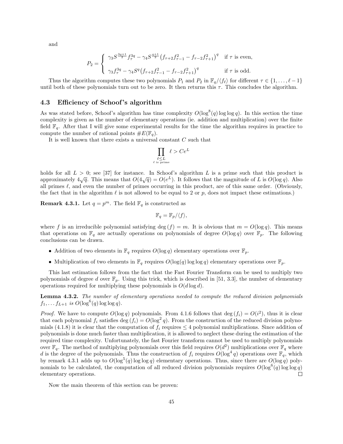and

$$
P_2 = \begin{cases} \gamma_3 S^{\frac{3q+1}{2}} f_\tau^{3q} - \gamma_4 S^{\frac{q+1}{2}} (f_{\tau+2} f_{\tau-1}^2 - f_{\tau-2} f_{\tau+1}^2)^q & \text{if } \tau \text{ is even,} \\ \gamma_3 f_\tau^{3q} - \gamma_4 S^q (f_{\tau+2} f_{\tau-1}^2 - f_{\tau-2} f_{\tau+1}^2)^q & \text{if } \tau \text{ is odd.} \end{cases}
$$

Thus the algorithm computes these two polynomials  $P_1$  and  $P_2$  in  $\mathbb{F}_q/\langle f_\ell \rangle$  for different  $\tau \in \{1, \ldots, \ell - 1\}$ until both of these polynomials turn out to be zero. It then returns this  $\tau$ . This concludes the algorithm.

### 4.3 Efficiency of Schoof 's algorithm

As was stated before, Schoof's algorithm has time complexity  $O(\log^8(q) \log \log q)$ . In this section the time complexity is given as the number of elementary operations (ie. addition and multiplication) over the finite field  $\mathbb{F}_q$ . After that I will give some experimental results for the time the algorithm requires in practice to compute the number of rational points  $\#E(\mathbb{F}_q)$ .

It is well known that there exists a universal constant C such that

$$
\prod_{\substack{\ell \leq L \\ \ell \text{ is prime}}} \ell > Ce^L
$$

holds for all  $L > 0$ ; see [37] for instance. In Schoof's algorithm L is a prime such that this product is approximately  $4\sqrt{q}$ . This means that  $O(4\sqrt{q}) = O(e^L)$ . It follows that the magnitude of L is  $O(\log q)$ . Also all primes  $\ell$ , and even the number of primes occurring in this product, are of this same order. (Obviously, the fact that in the algorithm  $\ell$  is not allowed to be equal to 2 or p, does not impact these estimations.)

**Remark 4.3.1.** Let  $q = p^m$ . The field  $\mathbb{F}_q$  is constructed as

$$
\mathbb{F}_q = \mathbb{F}_p / \langle f \rangle,
$$

where f is an irreducible polynomial satisfying deg  $(f) = m$ . It is obvious that  $m = O(\log q)$ . This means that operations on  $\mathbb{F}_q$  are actually operations on polynomials of degree  $O(\log q)$  over  $\mathbb{F}_p$ . The following conclusions can be drawn.

- Addition of two elements in  $\mathbb{F}_q$  requires  $O(\log q)$  elementary operations over  $\mathbb{F}_p$ .
- Multiplication of two elements in  $\mathbb{F}_q$  requires  $O(\log(q) \log \log q)$  elementary operations over  $\mathbb{F}_p$ .

This last estimation follows from the fact that the Fast Fourier Transform can be used to multiply two polynomials of degree d over  $\mathbb{F}_p$ . Using this trick, which is described in [51, 3.3], the number of elementary operations required for multiplying these polynomials is  $O(d \log d)$ .

Lemma 4.3.2. The number of elementary operations needed to compute the reduced division polynomials  $f_1, \ldots, f_{L+1}$  is  $O(\log^6(q) \log \log q)$ .

*Proof.* We have to compute  $O(\log q)$  polynomials. From 4.1.6 follows that  $\deg(f_i) = O(i^2)$ , thus it is clear that each polynomial  $f_i$  satisfies deg  $(f_i) = O(\log^2 q)$ . From the construction of the reduced division polynomials (4.1.8) it is clear that the computation of  $f_i$  requires  $\leq 4$  polynomial multiplications. Since addition of polynomials is done much faster than multiplication, it is allowed to neglect these during the estimation of the required time complexity. Unfortunately, the fast Fourier transform cannot be used to multiply polynomials over  $\mathbb{F}_q$ . The method of multiplying polynomials over this field requires  $O(d^2)$  multiplications over  $\mathbb{F}_q$  where d is the degree of the polynomials. Thus the construction of  $f_i$  requires  $O(\log^4 q)$  operations over  $\mathbb{F}_q$ , which by remark 4.3.1 adds up to  $O(\log^5(q) \log \log q)$  elementary operations. Thus, since there are  $O(\log q)$  polynomials to be calculated, the computation of all reduced division polynomials requires  $O(\log^6(q) \log \log q)$ elementary operations.  $\Box$ 

Now the main theorem of this section can be proven: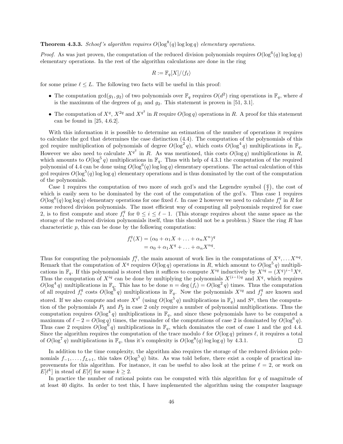# **Theorem 4.3.3.** Schoof's algorithm requires  $O(\log^8(q) \log \log q)$  elementary operations.

*Proof.* As was just proven, the computation of the reduced division polynomials requires  $O(\log^6(q) \log \log q)$ elementary operations. In the rest of the algorithm calculations are done in the ring

$$
R := \mathbb{F}_q[X]/\langle f_\ell \rangle
$$

for some prime  $\ell \leq L$ . The following two facts will be useful in this proof:

- The computation  $gcd(g_1, g_2)$  of two polynomials over  $\mathbb{F}_q$  requires  $O(d^2)$  ring operations in  $\mathbb{F}_q$ , where d is the maximum of the degrees of  $g_1$  and  $g_2$ . This statement is proven in [51, 3.1].
- The computation of  $X^q$ ,  $X^{2q}$  and  $X^{q^2}$  in R require  $O(\log q)$  operations in R. A proof for this statement can be found in [25, 4.6.2].

With this information it is possible to determine an estimation of the number of operations it requires to calculate the gcd that determines the case distinction (4.4). The computation of the polynomials of this gcd require multiplication of polynomials of degree  $O(\log^2 q)$ , which costs  $O(\log^4 q)$  multiplications in  $\mathbb{F}_q$ . However we also need to calculate  $X^{q^2}$  in R. As was mentioned, this costs  $O(\log q)$  multiplications in R, which amounts to  $O(\log^5 q)$  multiplications in  $\mathbb{F}_q$ . Thus with help of 4.3.1 the computation of the required polynomial of 4.4 can be done using  $O(\log^6(q) \log \log q)$  elementary operations. The actual calculation of this gcd requires  $O(\log^5(q) \log \log q)$  elementary operations and is thus dominated by the cost of the computation of the polynomials.

Case 1 requires the computation of two more of such gcd's and the Legendre symbol  $\left(\frac{q}{\ell}\right)$ , the cost of which is easily seen to be dominated by the cost of the computation of the gcd's. Thus case 1 requires  $O(\log^6(q) \log \log q)$  elementary operations for one fixed  $\ell$ . In case 2 however we need to calculate  $f_i^q$  in R for some reduced division polynomials. The most efficient way of computing all polynomials required for case 2, is to first compute and store  $f_i^q$  for  $0 \leq i \leq \ell - 1$ . (This storage requires about the same space as the storage of the reduced division polynomials itself, thus this should not be a problem.) Since the ring R has characteristic p, this can be done by the following computation:

$$
f_i^q(X) = (\alpha_0 + \alpha_1 X + \dots + \alpha_n X^n)^q
$$
  
=  $\alpha_0 + \alpha_1 X^q + \dots + \alpha_n X^{nq}$ .

Thus for computing the polynomials  $f_i^q$ , the main amount of work lies in the computations of  $X^q, \ldots X^{nq}$ . Remark that the computation of  $X^q$  requires  $O(\log q)$  operations in R, which amount to  $O(\log^5 q)$  multiplications in  $\mathbb{F}_q$ . If this polynomial is stored then it suffices to compute  $X^{iq}$  inductively by  $X^{iq} = (X^q)^{i-1} X^q$ . Thus the computation of  $X^{iq}$  can be done by multiplying the polynomials  $X^{(i-1)q}$  and  $X^q$ , which requires  $O(\log^4 q)$  multiplications in  $\mathbb{F}_q$ . This has to be done  $n = \deg(f_i) = O(\log^2 q)$  times. Thus the computation of all required  $f_i^q$  costs  $O(\log^6 q)$  multiplications in  $\mathbb{F}_q$ . Now the polynomials  $X^{iq}$  and  $f_j^q$  are known and stored. If we also compute and store  $X^{q^2}$  (using  $O(\log^5 q)$  multiplications in  $\mathbb{F}_q$ ) and  $S^q$ , then the computation of the polynomials  $P_1$  and  $P_2$  in case 2 only require a number of polynomial multiplications. Thus the computation requires  $O(\log^4 q)$  multiplications in  $\mathbb{F}_q$ , and since these polynomials have to be computed a maximum of  $\ell - 2 = O(\log q)$  times, the remainder of the computations of case 2 is dominated by  $O(\log^6 q)$ . Thus case 2 requires  $O(\log^6 q)$  multiplications in  $\mathbb{F}_q$ , which dominates the cost of case 1 and the gcd 4.4. Since the algorithm requires the computation of the trace modulo  $\ell$  for  $O(\log q)$  primes  $\ell$ , it requires a total of  $O(\log^7 q)$  multiplications in  $\mathbb{F}_q$ , thus it's complexity is  $O(\log^8(q) \log \log q)$  by 4.3.1.  $\Box$ 

In addition to the time complexity, the algorithm also requires the storage of the reduced division polynomials  $f_{-1}, \ldots, f_{L+1}$ , this takes  $O(\log^5 q)$  bits. As was told before, there exist a couple of practical improvements for this algorithm. For instance, it can be useful to also look at the prime  $\ell = 2$ , or work on  $E[\ell^k]$  in stead of  $E[\ell]$  for some  $k \geq 2$ .

In practice the number of rational points can be computed with this algorithm for  $q$  of magnitude of at least 40 digits. In order to test this, I have implemented the algorithm using the computer language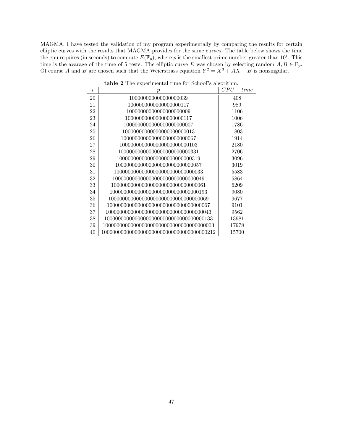MAGMA. I have tested the validation of my program experimentally by comparing the results for certain elliptic curves with the results that MAGMA provides for the same curves. The table below shows the time the cpu requires (in seconds) to compute  $E(\mathbb{F}_p)$ , where p is the smallest prime number greater than  $10^i$ . This time is the avarage of the time of 5 tests. The elliptic curve E was chosen by selecting random  $A, B \in \mathbb{F}_p$ . Of course A and B are chosen such that the Weierstrass equation  $Y^2 = X^3 + AX + B$  is nonsingular.

| İ. | $\boldsymbol{p}$                         | $CPU-time$ |
|----|------------------------------------------|------------|
| 20 | 100000000000000000039                    | 408        |
| 21 | 1000000000000000000117                   | 989        |
| 22 | 100000000000000000000009                 | 1106       |
| 23 | 100000000000000000000117                 | 1006       |
| 24 | 1000000000000000000000007                | 1786       |
| 25 | 10000000000000000000000013               | 1803       |
| 26 | 1000000000000000000000000067             | 1914       |
| 27 | 1000000000000000000000000103             | 2180       |
| 28 | 100000000000000000000000000331           | 2706       |
| 29 | 1000000000000000000000000000319          | 3096       |
| 30 | 1000000000000000000000000000057          | 3019       |
| 31 | 10000000000000000000000000000033         | 5583       |
| 32 | 1000000000000000000000000000000049       | 5864       |
| 33 |                                          | 6209       |
| 34 | 100000000000000000000000000000000193     | 9080       |
| 35 |                                          | 9677       |
| 36 | 10000000000000000000000000000000000067   | 9101       |
| 37 | 100000000000000000000000000000000000043  | 9562       |
| 38 | 1000000000000000000000000000000000000133 | 13981      |
| 39 |                                          | 17978      |
| 40 |                                          | 15700      |

table 2 The experimental time for Schoof's algorithm.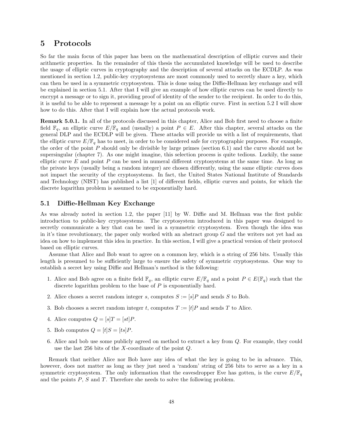# 5 Protocols

So far the main focus of this paper has been on the mathematical description of elliptic curves and their arithmetic properties. In the remainder of this thesis the accumulated knowledge will be used to describe the usage of elliptic curves in cryptography and the description of several attacks on the ECDLP. As was mentioned in section 1.2, public-key cryptosystems are most commonly used to secretly share a key, which can then be used in a symmetric cryptosystem. This is done using the Diffie-Hellman key exchange and will be explained in section 5.1. After that I will give an example of how elliptic curves can be used directly to encrypt a message or to sign it, providing proof of identity of the sender to the recipient. In order to do this, it is useful to be able to represent a message by a point on an elliptic curve. First in section 5.2 I will show how to do this. After that I will explain how the actual protocols work.

Remark 5.0.1. In all of the protocols discussed in this chapter, Alice and Bob first need to choose a finite field  $\mathbb{F}_q$ , an elliptic curve  $E/\mathbb{F}_q$  and (usually) a point  $P \in E$ . After this chapter, several attacks on the general DLP and the ECDLP will be given. These attacks will provide us with a list of requirements, that the elliptic curve  $E/\mathbb{F}_q$  has to meet, in order to be considered safe for cryptographic purposes. For example, the order of the point P should only be divisible by large primes (section 6.1) and the curve should not be supersingular (chapter 7). As one might imagine, this selection process is quite tedious. Luckily, the same elliptic curve  $E$  and point  $P$  can be used in numeral different cryptosystems at the same time. As long as the private keys (usually being a random integer) are chosen differently, using the same elliptic curves does not impact the security of the cryptosystems. In fact, the United States National Institute of Standards and Technology (NIST) has published a list [1] of different fields, elliptic curves and points, for which the discrete logarithm problem is assumed to be exponentially hard.

## 5.1 Diffie-Hellman Key Exchange

As was already noted in section 1.2, the paper [11] by W. Diffie and M. Hellman was the first public introduction to public-key cryptosystems. The cryptosystem introduced in this paper was designed to secretly communicate a key that can be used in a symmetric cryptosystem. Even though the idea was in it's time revolutionary, the paper only worked with an abstract group  $G$  and the writers not yet had an idea on how to implement this idea in practice. In this section, I will give a practical version of their protocol based on elliptic curves.

Assume that Alice and Bob want to agree on a common key, which is a string of 256 bits. Usually this length is presumed to be sufficiently large to ensure the safety of symmetric cryptosystems. One way to establish a secret key using Diffie and Hellman's method is the following:

- 1. Alice and Bob agree on a finite field  $\mathbb{F}_q$ , an elliptic curve  $E/\mathbb{F}_q$  and a point  $P \in E(\mathbb{F}_q)$  such that the discrete logarithm problem to the base of P is exponentially hard.
- 2. Alice choses a secret random integer s, computes  $S := [s]P$  and sends S to Bob.
- 3. Bob chooses a secret random integer t, computes  $T := [t]P$  and sends T to Alice.
- 4. Alice computes  $Q = [s]T = [st]P$ .
- 5. Bob computes  $Q = [t]S = [ts]P$ .
- 6. Alice and bob use some publicly agreed on method to extract a key from Q. For example, they could use the last 256 bits of the X-coordinate of the point Q.

Remark that neither Alice nor Bob have any idea of what the key is going to be in advance. This, however, does not matter as long as they just need a 'random' string of 256 bits to serve as a key in a symmetric cryptosystem. The only information that the eavesdropper Eve has gotten, is the curve  $E/\mathbb{F}_q$ and the points  $P$ ,  $S$  and  $T$ . Therefore she needs to solve the following problem.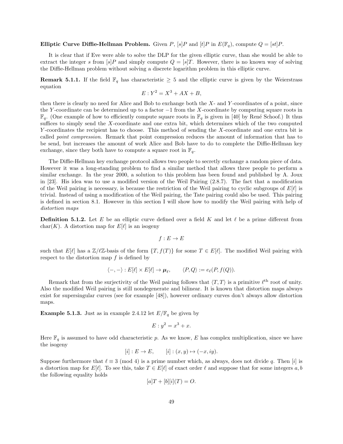#### Elliptic Curve Diffie-Hellman Problem. Given P,  $[s]P$  and  $[t]P$  in  $E(\mathbb{F}_q)$ , compute  $Q = [st]P$ .

It is clear that if Eve were able to solve the DLP for the given elliptic curve, than she would be able to extract the integer s from [s]P and simply compute  $Q = [s]T$ . However, there is no known way of solving the Diffie-Hellman problem without solving a discrete logarithm problem in this elliptic curve.

**Remark 5.1.1.** If the field  $\mathbb{F}_q$  has characteristic  $\geq$  5 and the elliptic curve is given by the Weierstrass equation

$$
E: Y^2 = X^3 + AX + B,
$$

then there is clearly no need for Alice and Bob to exchange both the X- and Y -coordinates of a point, since the Y -coordinate can be determined up to a factor −1 from the X-coordinate by computing square roots in  $\mathbb{F}_q$ . (One example of how to efficiently compute square roots in  $\mathbb{F}_q$  is given in [40] by René Schoof.) It thus suffices to simply send the X-coordinate and one extra bit, which determines which of the two computed Y -coordinates the recipient has to choose. This method of sending the X-coordinate and one extra bit is called *point compression*. Remark that point compression reduces the amount of information that has to be send, but increases the amount of work Alice and Bob have to do to complete the Diffie-Hellman key exchange, since they both have to compute a square root in  $\mathbb{F}_q$ .

The Diffie-Hellman key exchange protocol allows two people to secretly exchange a random piece of data. However it was a long-standing problem to find a similar method that allows three people to perform a similar exchange. In the year 2000, a solution to this problem has been found and published by A. Joux in [23]. His idea was to use a modified version of the Weil Pairing (2.8.7). The fact that a modification of the Weil pairing is necessary, is because the restriction of the Weil pairing to cyclic subgroups of  $E[\ell]$  is trivial. Instead of using a modification of the Weil pairing, the Tate pairing could also be used. This pairing is defined in section 8.1. However in this section I will show how to modify the Weil pairing with help of distortion maps

**Definition 5.1.2.** Let E be an elliptic curve defined over a field K and let  $\ell$  be a prime different from char(K). A distortion map for  $E[\ell]$  is an isogeny

$$
f: E \to E
$$

such that  $E[\ell]$  has a  $\mathbb{Z}/\ell\mathbb{Z}$ -basis of the form  $\{T, f(T)\}\$ for some  $T \in E[\ell]$ . The modified Weil pairing with respect to the distortion map  $f$  is defined by

$$
\langle -, - \rangle : E[\ell] \times E[\ell] \to \mu_{\ell}, \qquad \langle P, Q \rangle := e_{\ell}(P, f(Q)).
$$

Remark that from the surjectivity of the Weil pairing follows that  $\langle T, T \rangle$  is a primitive  $\ell^{\text{th}}$  root of unity. Also the modified Weil pairing is still nondegenerate and bilinear. It is known that distortion maps always exist for supersingular curves (see for example [48]), however ordinary curves don't always allow distortion maps.

**Example 5.1.3.** Just as in example 2.4.12 let  $E/\mathbb{F}_q$  be given by

$$
E: y^2 = x^3 + x.
$$

Here  $\mathbb{F}_q$  is assumed to have odd characteristic p. As we know, E has complex multiplication, since we have the isogeny

$$
[i]: E \to E, \qquad [i]: (x, y) \mapsto (-x, iy).
$$

Suppose furthermore that  $\ell \equiv 3 \pmod{4}$  is a prime number which, as always, does not divide q. Then [i] is a distortion map for  $E[\ell]$ . To see this, take  $T \in E[\ell]$  of exact order  $\ell$  and suppose that for some integers a, b the following equality holds

$$
[a]T + [b][i](T) = O.
$$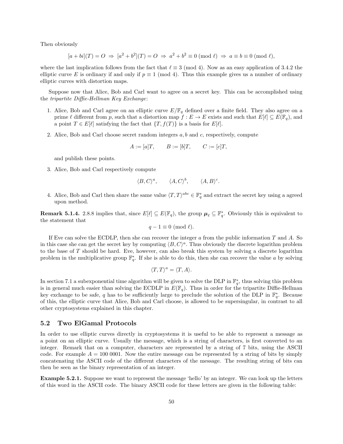Then obviously

$$
[a+bi](T) = O \Rightarrow [a^2+b^2](T) = O \Rightarrow a^2+b^2 \equiv 0 \pmod{\ell} \Rightarrow a \equiv b \equiv 0 \pmod{\ell},
$$

where the last implication follows from the fact that  $\ell \equiv 3 \pmod{4}$ . Now as an easy application of 3.4.2 the elliptic curve E is ordinary if and only if  $p \equiv 1 \pmod{4}$ . Thus this example gives us a number of ordinary elliptic curves with distortion maps.

Suppose now that Alice, Bob and Carl want to agree on a secret key. This can be accomplished using the tripartite Diffie-Hellman Key Exchange:

- 1. Alice, Bob and Carl agree on an elliptic curve  $E/\mathbb{F}_q$  defined over a finite field. They also agree on a prime  $\ell$  different from p, such that a distortion map  $f : E \to E$  exists and such that  $E[\ell] \subseteq E(\mathbb{F}_q)$ , and a point  $T \in E[\ell]$  satisfying the fact that  $\{T, f(T)\}\$ is a basis for  $E[\ell]$ .
- 2. Alice, Bob and Carl choose secret random integers  $a, b$  and  $c$ , respectively, compute

$$
A := [a]T, \qquad B := [b]T, \qquad C := [c]T,
$$

and publish these points.

3. Alice, Bob and Carl respectively compute

$$
\langle B, C \rangle^a, \qquad \langle A, C \rangle^b, \qquad \langle A, B \rangle^c.
$$

4. Alice, Bob and Carl then share the same value  $\langle T, T \rangle^{abc} \in \mathbb{F}_q^*$  and extract the secret key using a agreed upon method.

**Remark 5.1.4.** 2.8.8 implies that, since  $E[\ell] \subseteq E(\mathbb{F}_q)$ , the group  $\mu_\ell \subseteq \mathbb{F}_q^*$ . Obviously this is equivalent to the statement that

$$
q-1 \equiv 0 \pmod{\ell}.
$$

If Eve can solve the ECDLP, then she can recover the integer  $a$  from the public information  $T$  and  $A$ . So in this case she can get the secret key by computing  $\langle B, C \rangle^a$ . Thus obviously the discrete logarithm problem to the base of T should be hard. Eve, however, can also break this system by solving a discrete logarithm problem in the multiplicative group  $\mathbb{F}_q^*$ . If she is able to do this, then she can recover the value a by solving

$$
\langle T, T \rangle^a = \langle T, A \rangle.
$$

In section 7.1 a subexponential time algorithm will be given to solve the DLP in  $\mathbb{F}_q^*$ , thus solving this problem is in general much easier than solving the ECDLP in  $E(\mathbb{F}_q)$ . Thus in order for the tripartite Diffie-Hellman key exchange to be safe, q has to be sufficiently large to preclude the solution of the DLP in  $\mathbb{F}_q^*$ . Because of this, the elliptic curve that Alice, Bob and Carl choose, is allowed to be supersingular, in contrast to all other cryptosystems explained in this chapter.

## 5.2 Two ElGamal Protocols

In order to use elliptic curves directly in cryptosystems it is useful to be able to represent a message as a point on an elliptic curve. Usually the message, which is a string of characters, is first converted to an integer. Remark that on a computer, characters are represented by a string of 7 bits, using the ASCII code. For example  $A = 100 0001$ . Now the entire message can be represented by a string of bits by simply concatenating the ASCII code of the different characters of the message. The resulting string of bits can then be seen as the binary representation of an integer.

Example 5.2.1. Suppose we want to represent the message 'hello' by an integer. We can look up the letters of this word in the ASCII code. The binary ASCII code for these letters are given in the following table: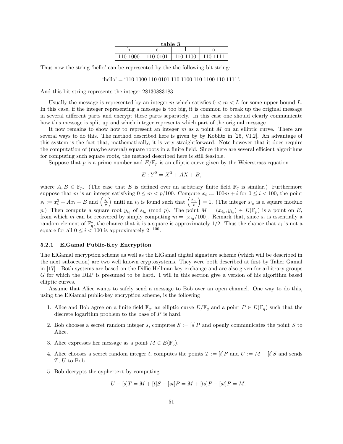| table 3. |          |          |        |  |  |
|----------|----------|----------|--------|--|--|
|          |          |          |        |  |  |
| 110 1000 | 110 0101 | 110 1100 | 110-11 |  |  |

Thus now the string 'hello' can be represented by the the following bit string:

```
'hello' = '110 1000 110 0101 110 1100 110 1100 110 1111'.
```
And this bit string represents the integer 28130883183.

Usually the message is represented by an integer m which satisfies  $0 < m < L$  for some upper bound L. In this case, if the integer representing a message is too big, it is common to break up the original message in several different parts and encrypt these parts separately. In this case one should clearly communicate how this message is split up and which integer represents which part of the original message.

It now remains to show how to represent an integer  $m$  as a point  $M$  on an elliptic curve. There are several ways to do this. The method described here is given by by Koblitz in [26, VI.2]. An advantage of this system is the fact that, mathematically, it is very straightforward. Note however that it does require the computation of (maybe several) square roots in a finite field. Since there are several efficient algorithms for computing such square roots, the method described here is still feasible.

Suppose that p is a prime number and  $E/\mathbb{F}_p$  is an elliptic curve given by the Weierstrass equation

$$
E: Y^2 = X^3 + AX + B,
$$

where  $A, B \in \mathbb{F}_p$ . (The case that E is defined over an arbitrary finite field  $\mathbb{F}_q$  is similar.) Furthermore suppose that m is an integer satisfying  $0 \le m < p/100$ . Compute  $x_i := 100m + i$  for  $0 \le i < 100$ , the point  $s_i := x_i^3 + Ax_i + B$  and  $\left(\frac{s_i}{p}\right)$  until an  $i_0$  is found such that  $\left(\frac{s_{i_0}}{p}\right) = 1$ . (The integer  $s_{i_0}$  is a square modulo p.) Then compute a square root  $y_{i_0}$  of  $s_{i_0} \pmod{p}$ . The point  $M = (x_{i_0}, y_{i_0}) \in E(\mathbb{F}_p)$  is a point on E, from which m can be recovered by simply computing  $m = \lfloor x_{i_0}/100 \rfloor$ . Remark that, since  $s_i$  is essentially a random element of  $\mathbb{F}_q^*$ , the chance that it is a square is approximately 1/2. Thus the chance that  $s_i$  is not a square for all  $0 \leq i < 100$  is approximately  $2^{-100}$ .

#### 5.2.1 ElGamal Public-Key Encryption

The ElGamal encryption scheme as well as the ElGamal digital signature scheme (which will be described in the next subsection) are two well known cryptosystems. They were both described at first by Taher Gamal in [17] . Both systems are based on the Diffie-Hellman key exchange and are also given for arbitrary groups G for which the DLP is presumed to be hard. I will in this section give a version of his algorithm based elliptic curves.

Assume that Alice wants to safely send a message to Bob over an open channel. One way to do this, using the ElGamal public-key encryption scheme, is the following

- 1. Alice and Bob agree on a finite field  $\mathbb{F}_q$ , an elliptic curve  $E/\mathbb{F}_q$  and a point  $P \in E(\mathbb{F}_q)$  such that the discrete logarithm problem to the base of  $P$  is hard.
- 2. Bob chooses a secret random integer s, computes  $S := [s]P$  and openly communicates the point S to Alice.
- 3. Alice expresses her message as a point  $M \in E(\mathbb{F}_q)$ .
- 4. Alice chooses a secret random integer t, computes the points  $T := [t]P$  and  $U := M + [t]S$  and sends T, U to Bob.
- 5. Bob decrypts the cyphertext by computing

$$
U - [s]T = M + [t]S - [st]P = M + [ts]P - [st]P = M.
$$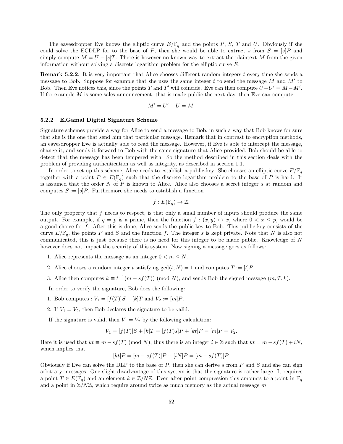The eavesdropper Eve knows the elliptic curve  $E/\mathbb{F}_q$  and the points P, S, T and U. Obviously if she could solve the ECDLP for to the base of P, then she would be able to extract s from  $S = [s]P$  and simply compute  $M = U - [s]T$ . There is however no known way to extract the plaintext M from the given information without solving a discrete logarithm problem for the elliptic curve E.

**Remark 5.2.2.** It is very important that Alice chooses different random integers t every time she sends a message to Bob. Suppose for example that she uses the same integer  $t$  to send the message  $M$  and  $M'$  to Bob. Then Eve notices this, since the points T and T' will coincide. Eve can then compute  $U-U' = M - M'$ . If for example  $M$  is some sales announcement, that is made public the next day, then Eve can compute

$$
M'=U'-U=M.
$$

#### 5.2.2 ElGamal Digital Signature Scheme

Signature schemes provide a way for Alice to send a message to Bob, in such a way that Bob knows for sure that she is the one that send him that particular message. Remark that in contrast to encryption methods, an eavesdropper Eve is actually able to read the message. However, if Eve is able to intercept the message, change it, and sends it forward to Bob with the same signature that Alice provided, Bob should be able to detect that the message has been tempered with. So the method described in this section deals with the problem of providing authentication as well as integrity, as described in section 1.1.

In order to set up this scheme, Alice needs to establish a public-key. She chooses an elliptic curve  $E/\mathbb{F}_q$ together with a point  $P \in E(\mathbb{F}_q)$  such that the discrete logarithm problem to the base of P is hard. It is assumed that the order  $N$  of  $P$  is known to Alice. Alice also chooses a secret integer  $s$  at random and computes  $S := [s]P$ . Furthermore she needs to establish a function

$$
f: E(\mathbb{F}_q) \to \mathbb{Z}.
$$

The only property that  $f$  needs to respect, is that only a small number of inputs should produce the same output. For example, if  $q = p$  is a prime, then the function  $f : (x, y) \mapsto x$ , where  $0 < x \leq p$ , would be a good choice for f. After this is done, Alice sends the public-key to Bob. This public-key consists of the curve  $E/\mathbb{F}_q$ , the points P and S and the function f. The integer s is kept private. Note that N is also not communicated, this is just because there is no need for this integer to be made public. Knowledge of N however does not impact the security of this system. Now signing a message goes as follows:

- 1. Alice represents the message as an integer  $0 < m \le N$ .
- 2. Alice chooses a random integer t satisfying  $gcd(t, N) = 1$  and computes  $T := [t]P$ .
- 3. Alice then computes  $k \equiv t^{-1}(m sf(T)) \pmod{N}$ , and sends Bob the signed message  $(m, T, k)$ .

In order to verify the signature, Bob does the following:

- 1. Bob computes :  $V_1 = [f(T)]S + [k]T$  and  $V_2 := [m]P$ .
- 2. If  $V_1 = V_2$ , then Bob declares the signature to be valid.

If the signature is valid, then  $V_1 = V_2$  by the following calculation:

$$
V_1 = [f(T)]S + [k]T = [f(T)s]P + [kt]P = [m]P = V_2.
$$

Here it is used that  $kt \equiv m - sf(T) \pmod{N}$ , thus there is an integer  $i \in \mathbb{Z}$  such that  $kt = m - sf(T) + iN$ , which implies that

$$
[kt]P = [m - sf(T)]P + [iN]P = [m - sf(T)]P.
$$

Obviously if Eve can solve the DLP to the base of P, then she can derive s from P and S and she can sign arbitrary messages. One slight disadvantage of this system is that the signature is rather large. It requires a point  $T \in E(\mathbb{F}_q)$  and an element  $k \in \mathbb{Z}/N\mathbb{Z}$ . Even after point compression this amounts to a point in  $\mathbb{F}_q$ and a point in  $\mathbb{Z}/N\mathbb{Z}$ , which require around twice as much memory as the actual message m.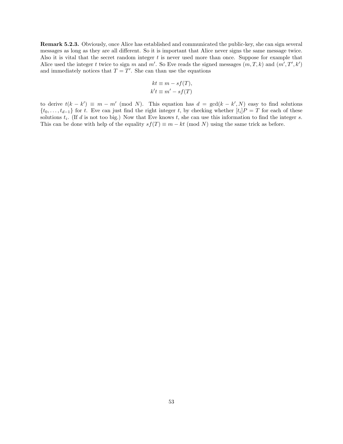Remark 5.2.3. Obviously, once Alice has established and communicated the public-key, she can sign several messages as long as they are all different. So it is important that Alice never signs the same message twice. Also it is vital that the secret random integer  $t$  is never used more than once. Suppose for example that Alice used the integer t twice to sign m and m'. So Eve reads the signed messages  $(m, T, k)$  and  $(m', T', k')$ and immediately notices that  $T = T'$ . She can than use the equations

$$
kt \equiv m - sf(T),
$$
  

$$
k't \equiv m' - sf(T)
$$

to derive  $t(k - k') \equiv m - m' \pmod{N}$ . This equation has  $d = \gcd(k - k', N)$  easy to find solutions  $\{t_0, \ldots, t_{d-1}\}$  for t. Eve can just find the right integer t, by checking whether  $[t_i]P = T$  for each of these solutions  $t_i$ . (If d is not too big.) Now that Eve knows  $t$ , she can use this information to find the integer s. This can be done with help of the equality  $sf(T) \equiv m - kt \pmod{N}$  using the same trick as before.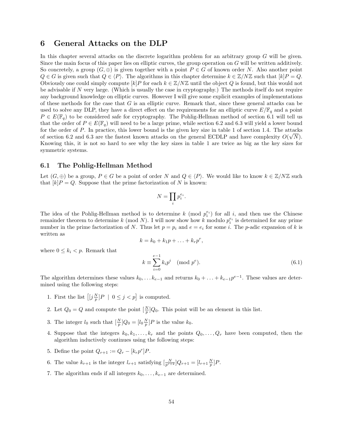# 6 General Attacks on the DLP

In this chapter several attacks on the discrete logarithm problem for an arbitrary group G will be given. Since the main focus of this paper lies on elliptic curves, the group operation on G will be written additively. So concretely, a group  $(G, \oplus)$  is given together with a point  $P \in G$  of known order N. Also another point  $Q \in G$  is given such that  $Q \in \langle P \rangle$ . The algorithms in this chapter determine  $k \in \mathbb{Z}/N\mathbb{Z}$  such that  $[k]P = Q$ . Obviously one could simply compute  $[k]P$  for each  $k \in \mathbb{Z}/N\mathbb{Z}$  until the object Q is found, but this would not be advisable if N very large. (Which is usually the case in cryptography.) The methods itself do not require any background knowledge on elliptic curves. However I will give some explicit examples of implementations of these methods for the case that  $G$  is an elliptic curve. Remark that, since these general attacks can be used to solve any DLP, they have a direct effect on the requirements for an elliptic curve  $E/\mathbb{F}_q$  and a point  $P \in E(\mathbb{F}_q)$  to be considered safe for cryptography. The Pohlig-Hellman method of section 6.1 will tell us that the order of  $P \in E(\mathbb{F}_q)$  will need to be a large prime, while section 6.2 and 6.3 will yield a lower bound for the order of P. In practice, this lower bound is the given key size in table 1 of section 1.4. The attacks of section 6.2 and 6.3 are the fastest known attacks on the general ECDLP and have complexity  $O(\sqrt{N})$ . Knowing this, it is not so hard to see why the key sizes in table 1 are twice as big as the key sizes for symmetric systems.

### 6.1 The Pohlig-Hellman Method

Let  $(G, \oplus)$  be a group,  $P \in G$  be a point of order N and  $Q \in \langle P \rangle$ . We would like to know  $k \in \mathbb{Z}/N\mathbb{Z}$  such that  $[k]P = Q$ . Suppose that the prime factorization of N is known:

$$
N=\prod_i p_i^{e_i}.
$$

The idea of the Pohlig-Hellman method is to determine k (mod  $p_i^{e_i}$ ) for all i, and then use the Chinese remainder theorem to determine k (mod N). I will now show how k modulo  $p_i^{e_i}$  is determined for any prime number in the prime factorization of N. Thus let  $p = p_i$  and  $e = e_i$  for some i. The p-adic expansion of k is written as

$$
k = k_0 + k_1 p + \ldots + k_r p^r,
$$

where  $0 \leq k_i < p$ . Remark that

$$
k \equiv \sum_{i=0}^{e-1} k_i p^i \pmod{p^e}.
$$
 (6.1)

The algorithm determines these values  $k_0, \ldots k_{e-1}$  and returns  $k_0 + \ldots + k_{e-1}p^{e-1}$ . These values are determined using the following steps:

- 1. First the list  $\left[ [j \frac{N}{p}]P \mid 0 \leq j < p \right]$  is computed.
- 2. Let  $Q_0 = Q$  and compute the point  $\left[\frac{N}{p}\right]Q_0$ . This point will be an element in this list.
- 3. The integer  $l_0$  such that  $\left[\frac{N}{p}\right]Q_0 = [l_0 \frac{N}{p}]P$  is the value  $k_0$ .
- 4. Suppose that the integers  $k_0, k_1, \ldots, k_r$  and the points  $Q_0, \ldots, Q_r$  have been computed, then the algorithm inductively continues using the following steps:
- 5. Define the point  $Q_{r+1} := Q_r [k_r p^r] P$ .
- 6. The value  $k_{r+1}$  is the integer  $l_{r+1}$  satisfying  $\left[\frac{N}{p^{r+2}}\right]Q_{r+1} = \left[l_{r+1}\frac{N}{p}\right]P$ .
- 7. The algorithm ends if all integers  $k_0, \ldots, k_{e-1}$  are determined.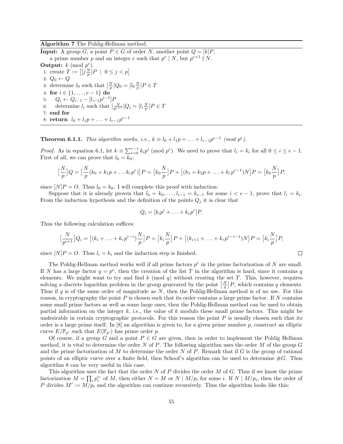#### Algorithm 7 The Pohlig-Hellman method.

**Input:** A group G, a point  $P \in G$  of order N, another point  $Q = [k]P$ , a prime number p and an integer e such that  $p^e \mid N$ , but  $p^{e+1} \nmid N$ . Output:  $k \pmod{p^e}$ . 1: create  $T := \left[ \left[ j \frac{N}{p} \right] P \: \mid \: 0 \leq j < p \right]$ 2:  $Q_0 \leftarrow Q$ 3: determine  $l_0$  such that  $\left[\frac{N}{p}\right]Q_0 = \left[l_0 \frac{N}{p}\right]P \in T$ 4: for  $i \in \{1, ..., e-1\}$  do 5:  $Q_i \leftarrow Q_{i-1} - [l_{i-1}p^{i-1}]F$ 6: determine  $l_i$  such that  $\left[\frac{N}{p^{i+1}}\right]Q_i = [l_i \frac{N}{p}]P \in T$ 7: end for 8:  $\textbf{return} \ \ l_0 + l_1 p + \ldots + l_{e-1} p^{e-1}$ 

**Theorem 6.1.1.** This algorithm works, i.e.,  $k \equiv l_0 + l_1p + \ldots + l_{e-1}p^{e-1} \pmod{p^e}$ .

*Proof.* As in equation 6.1, let  $k \equiv \sum_{i=0}^{e-1} k_i p^i \pmod{p^e}$ . We need to prove that  $l_i = k_i$  for all  $0 \le i \le e-1$ . First of all, we can prove that  $l_0 = k_0$ :

$$
\left[\frac{N}{p}\right]Q = \left[\frac{N}{p}(k_0 + k_1p + \dots k_rp^r)\right]P = \left[k_0\frac{N}{p}\right]P + \left[(k_1 + k_2p + \dots + k_rp^{r-1})N\right]P = \left[k_0\frac{N}{p}\right]P,
$$

since  $[N]P = O$ . Thus  $l_0 = k_0$ . I will complete this proof with induction:

Suppose that it is already proven that  $l_0 = k_0, \ldots, l_{i-1} = k_{i-1}$  for some  $i < e-1$ , prove that  $l_i = k_i$ . From the induction hypothesis and the definition of the points  $Q_j$  it is clear that

$$
Q_i = [k_i p^i + \ldots + k_r p^r] P.
$$

Thus the following calculation suffices:

$$
\left[\frac{N}{p^{i+1}}\right]Q_i = \left[(k_i + \ldots + k_r p^{r-i})\frac{N}{p}\right]P = \left[k_i \frac{N}{p}\right]P + \left[(k_{i+1} + \ldots + k_r p^{r-i-1})N\right]P = \left[k_i \frac{N}{p}\right]P,
$$

 $\Box$ 

since  $[N]P = O$ . Thus  $l_i = k_i$  and the induction step is finished.

The Pohlig-Hellman method works well if all prime factors  $p^e$  in the prime factorization of N are small. If N has a large factor  $q = p^e$ , then the creation of the list T in the algorithm is hard, since it contains q elements. We might want to try and find  $k \pmod{q}$  without creating the set T. This, however, requires solving a discrete logarithm problem in the group generated by the point  $\left[\frac{N}{q}\right]P$ , which contains q elements. Thus if q is of the same order of magnitude as N, then the Pohlig-Hellman method is of no use. For this reason, in cryptography the point  $P$  is chosen such that its order contains a large prime factor. If  $N$  contains some small prime factors as well as some large ones, then the Pohlig-Hellman method can be used to obtain partial information on the integer  $k$ , i.e., the value of  $k$  modulo these small prime factors. This might be undesirable in certain cryptographic protocols. For this reason the point  $P$  is usually chosen such that its order is a large prime itself. In [8] an algorithm is given to, for a given prime number p, construct an elliptic curve  $E/\mathbb{F}_{p'}$  such that  $E(\mathbb{F}_{p'})$  has prime order p.

Of course, if a group G and a point  $P \in G$  are given, then in order to implement the Pohlig Hellman method, it is vital to determine the order N of P. The following algorithm uses the order M of the group  $G$ and the prime factorization of  $M$  to determine the order  $N$  of  $P$ . Remark that if  $G$  is the group of rational points of an elliptic curve over a finite field, then Schoof's algorithm can be used to determine  $\#G$ . Thus algorithm 8 can be very useful in this case.

This algorithm uses the fact that the order  $N$  of  $P$  divides the order  $M$  of  $G$ . Thus if we know the prime factorization  $M = \prod_i p_i^{e_i}$  of M, then either  $N = M$  or  $N \mid M/p_i$  for some i. If  $N \mid M/p_i$ , then the order of P divides  $M' := M/p_i$  and the algorithm can continue recursively. Thus the algorithm looks like this: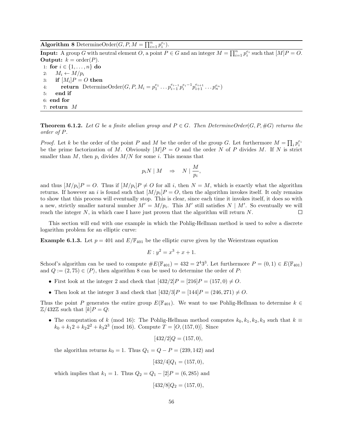**Algorithm 8** DetermineOrder( $G, P, M = \prod_{i=1}^{n} p_i^{e_i}$ ).

**Input:** A group G with neutral element O, a point  $P \in G$  and an integer  $M = \prod_{i=1}^{n} p_i^{e_i}$  such that  $[M]P = O$ . **Output:**  $k = \text{order}(P)$ . 1: for  $i \in \{1, ..., n\}$  do 2:  $M_i \leftarrow M/p_i$  $\quad \quad \text{if} \,\, [M_i] P = O \,\, \text{then}$ 4: **return** DetermineOrder $(G, P, M_i = p_1^{e_1} \dots p_{i-1}^{e_{i-1}} p_i^{e_i-1} p_{i+1}^{e_{i+1}} \dots p_n^{e_n})$ 5: end if 6: end for 7: return M

**Theorem 6.1.2.** Let G be a finite abelian group and  $P \in G$ . Then DetermineOrder(G, P, #G) returns the order of P.

*Proof.* Let k be the order of the point P and M be the order of the group G. Let furthermore  $M = \prod_i p_i^{e_i}$ be the prime factorization of M. Obviously  $[M]P = O$  and the order N of P divides M. If N is strict smaller than M, then  $p_i$  divides  $M/N$  for some i. This means that

$$
p_i N \mid M \quad \Rightarrow \quad N \mid \frac{M}{p_i},
$$

and thus  $[M/p_i]P = O$ . Thus if  $[M/p_i]P \neq O$  for all i, then  $N = M$ , which is exactly what the algorithm returns. If however an i is found such that  $[M/p_i]P = O$ , then the algorithm invokes itself. It only remains to show that this process will eventually stop. This is clear, since each time it invokes itself, it does so with a new, strictly smaller natural number  $M' = M/p_i$ . This M' still satisfies  $N \mid M'$ . So eventually we will reach the integer  $N$ , in which case I have just proven that the algorithm will return  $N$ .  $\Box$ 

This section will end with one example in which the Pohlig-Hellman method is used to solve a discrete logarithm problem for an elliptic curve:

**Example 6.1.3.** Let  $p = 401$  and  $E/\mathbb{F}_{401}$  be the elliptic curve given by the Weierstrass equation

$$
E: y^2 = x^3 + x + 1.
$$

Schoof's algorithm can be used to compute  $\#E(\mathbb{F}_{401}) = 432 = 2^4 3^3$ . Let furthermore  $P = (0, 1) \in E(\mathbb{F}_{401})$ and  $Q := (2, 75) \in \langle P \rangle$ , then algorithm 8 can be used to determine the order of P:

- First look at the integer 2 and check that  $[432/2]P = [216]P = (157, 0) \neq O$ .
- Then look at the integer 3 and check that  $[432/3]P = [144]P = (246, 271) \neq O$ .

Thus the point P generates the entire group  $E(\mathbb{F}_{401})$ . We want to use Pohlig-Hellman to determine  $k \in \mathbb{F}_{401}$  $\mathbb{Z}/432\mathbb{Z}$  such that  $[k]P = Q$ :

• The computation of k (mod 16): The Pohlig-Hellman method computes  $k_0, k_1, k_2, k_3$  such that  $k \equiv$  $k_0 + k_1 2 + k_2 2^2 + k_3 2^3 \pmod{16}$ . Compute  $T = [O, (157, 0)]$ . Since

$$
[432/2]Q = (157, 0),
$$

the algorithm returns  $k_0 = 1$ . Thus  $Q_1 = Q - P = (239, 142)$  and

$$
[432/4]Q_1 = (157, 0),
$$

which implies that  $k_1 = 1$ . Thus  $Q_2 = Q_1 - [2]P = (6, 285)$  and

$$
[432/8]Q_2 = (157, 0),
$$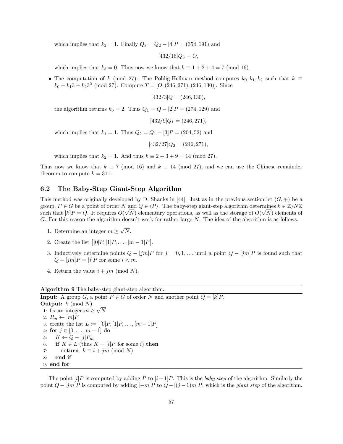which implies that  $k_2 = 1$ . Finally  $Q_3 = Q_2 - 4$  [P = (354, 191) and

$$
[432/16]Q_3 = O,
$$

which implies that  $k_3 = 0$ . Thus now we know that  $k \equiv 1 + 2 + 4 = 7 \pmod{16}$ .

• The computation of k (mod 27): The Pohlig-Hellman method computes  $k_0, k_1, k_2$  such that  $k \equiv$  $k_0 + k_1 3 + k_2 3^2 \pmod{27}$ . Compute  $T = [O, (246, 271), (246, 130)]$ . Since

 $[432/3]Q = (246, 130),$ 

the algorithm returns  $k_0 = 2$ . Thus  $Q_1 = Q - [2]P = (274, 129)$  and

$$
[432/9]Q_1 = (246, 271),
$$

which implies that  $k_1 = 1$ . Thus  $Q_2 = Q_1 - [3]P = (204, 52)$  and

 $[432/27]Q_2 = (246, 271),$ 

which implies that  $k_2 = 1$ . And thus  $k \equiv 2 + 3 + 9 = 14 \pmod{27}$ .

Thus now we know that  $k \equiv 7 \pmod{16}$  and  $k \equiv 14 \pmod{27}$ , and we can use the Chinese remainder theorem to compute  $k = 311$ .

## 6.2 The Baby-Step Giant-Step Algorithm

This method was originally developed by D. Shanks in [44]. Just as in the previous section let  $(G, \oplus)$  be a group,  $P \in G$  be a point of order  $N$  and  $Q \in \langle P \rangle$ . The baby-step giant-step algorithm determines  $k \in \mathbb{Z}/N\mathbb{Z}$ such that  $[k]P = Q$ . It requires  $O(\sqrt{N})$  elementary operations, as well as the storage of  $O(\sqrt{N})$  elements of G. For this reason the algorithm doesn't work for rather large  $N$ . The idea of the algorithm is as follows:

- 1. Determine an integer  $m \geq$ √ N.
- 2. Create the list  $[0]P, [1]P, \ldots, [m-1]P].$
- 3. Inductively determine points  $Q [jm]P$  for  $j = 0, 1, \ldots$  until a point  $Q [jm]P$  is found such that  $Q - [jm]P = [i]P$  for some  $i < m$ .
- 4. Return the value  $i + jm \pmod{N}$ .

### Algorithm 9 The baby-step giant-step algorithm.

**Input:** A group G, a point  $P \in G$  of order N and another point  $Q = [k]P$ . **Output:**  $k \pmod{N}$ . 1: fix an integer  $m \geq$ √ N 2:  $P_m \leftarrow [m]P$ 3: create the list  $L := [[0]P, [1]P, \ldots, [m-1]P]$ 4: for  $j \in [0, \ldots, m-1]$  do 5:  $K \leftarrow Q - [j]P_m$ 6: if  $K \in L$  (thus  $K = [i]P$  for some i) then 7: return  $k \equiv i + jm \pmod{N}$ 8: end if 9: end for

The point  $[i]P$  is computed by adding P to  $[i-1]P$ . This is the baby step of the algorithm. Similarly the point  $Q - [jm]P$  is computed by adding  $[-m]P$  to  $Q - [(j-1)m]P$ , which is the *giant step* of the algorithm.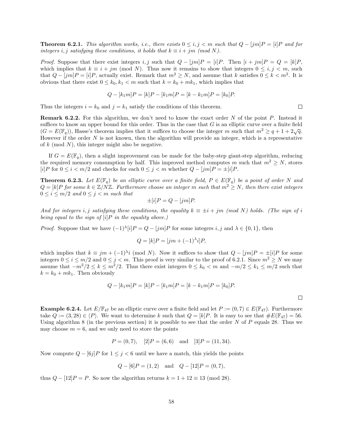**Theorem 6.2.1.** This algorithm works, i.e., there exists  $0 \le i, j \le m$  such that  $Q - [jm]P = [i]P$  and for integers i, j satisfying these conditions, it holds that  $k \equiv i + jm \pmod{N}$ .

*Proof.* Suppose that there exist integers i, j such that  $Q - [jm]P = [i]P$ . Then  $[i + jm]P = Q = [k]P$ , which implies that  $k \equiv i + jm \pmod{N}$ . Thus now it remains to show that integers  $0 \le i, j < m$ , such that  $Q - [jm]P = [i]P$ , actually exist. Remark that  $m^2 \geq N$ , and assume that k satisfies  $0 \leq k < m^2$ . It is obvious that there exist  $0 \leq k_0, k_1 < m$  such that  $k = k_0 + mk_1$ , which implies that

$$
Q - [k_1 m]P = [k]P - [k_1 m]P = [k - k_1 m]P = [k_0]P.
$$

Thus the integers  $i = k_0$  and  $j = k_1$  satisfy the conditions of this theorem.

**Remark 6.2.2.** For this algorithm, we don't need to know the exact order N of the point P. Instead it suffices to know an upper bound for this order. Thus in the case that  $G$  is an elliptic curve over a finite field  $(G = E(\mathbb{F}_q))$ , Hasse's theorem implies that it suffices to choose the integer m such that  $m^2 \ge q + 1 + 2\sqrt{q}$ . However if the order  $N$  is not known, then the algorithm will provide an integer, which is a representative of  $k \pmod{N}$ , this integer might also be negative.

If  $G = E(\mathbb{F}_q)$ , then a slight improvement can be made for the baby-step giant-step algorithm, reducing the required memory consumption by half. This improved method computes m such that  $m^2 \geq N$ , stores [i]P for  $0 \le i < m/2$  and checks for each  $0 \le j < m$  whether  $Q - [jm]P = \pm[i]P$ .

**Theorem 6.2.3.** Let  $E(\mathbb{F}_q)$  be an elliptic curve over a finite field,  $P \in E(\mathbb{F}_q)$  be a point of order N and  $Q = [k]P$  for some  $k \in \mathbb{Z}/N\mathbb{Z}$ . Furthermore choose an integer m such that  $m^2 \geq N$ , then there exist integers  $0 \leq i \leq m/2$  and  $0 \leq j < m$  such that

$$
\pm[i]P = Q - [jm]P.
$$

And for integers i, j satisfying these conditions, the equality  $k \equiv \pm i + jm \pmod{N}$  holds. (The sign of i being equal to the sign of  $[i]P$  in the equality above.)

*Proof.* Suppose that we have  $(-1)^{\lambda}[i]P = Q - [jm]P$  for some integers i, j and  $\lambda \in \{0, 1\}$ , then

$$
Q = [k]P = [jm + (-1)^{\lambda}i]P,
$$

which implies that  $k \equiv jm + (-1)^{\lambda}i \pmod{N}$ . Now it suffices to show that  $Q - [jm]P = \pm[i]P$  for some integers  $0 \le i \le m/2$  and  $0 \le j < m$ . This proof is very similar to the proof of 6.2.1. Since  $m^2 \ge N$  we may assume that  $-m^2/2 \le k \le m^2/2$ . Thus there exist integers  $0 \le k_0 < m$  and  $-m/2 \le k_1 \le m/2$  such that  $k = k_0 + mk_1$ . Then obviously

$$
Q - [k_1m]P = [k]P - [k_1m]P = [k - k_1m]P = [k_0]P.
$$

**Example 6.2.4.** Let  $E/\mathbb{F}_{47}$  be an elliptic curve over a finite field and let  $P := (0, 7) \in E(\mathbb{F}_{47})$ . Furthermore take  $Q := (3, 28) \in \langle P \rangle$ . We want to determine k such that  $Q = [k]P$ . It is easy to see that  $\#E(\mathbb{F}_{47}) = 56$ . Using algorithm 8 (in the previous section) it is possible to see that the order N of P equals 28. Thus we may choose  $m = 6$ , and we only need to store the points

$$
P = (0, 7), [2]P = (6, 6)
$$
 and  $[3]P = (11, 34).$ 

Now compute  $Q - \frac{6j}{P}$  for  $1 \leq j < 6$  until we have a match, this yields the points

$$
Q - [6]P = (1,2)
$$
 and  $Q - [12]P = (0,7)$ ,

thus  $Q - [12]P = P$ . So now the algorithm returns  $k = 1 + 12 \equiv 13 \pmod{28}$ .

 $\Box$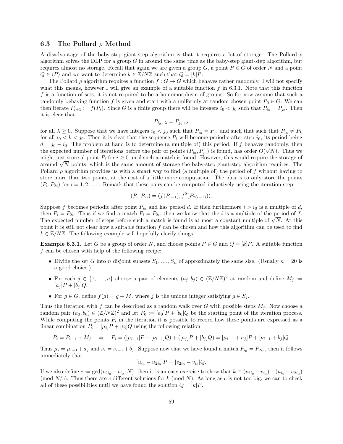### 6.3 The Pollard  $\rho$  Method

A disadvantage of the baby-step giant-step algorithm is that it requires a lot of storage. The Pollard  $\rho$ algorithm solves the DLP for a group  $G$  in around the same time as the baby-step giant-step algorithm, but requires almost no storage. Recall that again we are given a group  $G$ , a point  $P \in G$  of order N and a point  $Q \in \langle P \rangle$  and we want to determine  $k \in \mathbb{Z}/N\mathbb{Z}$  such that  $Q = [k]P$ .

The Pollard  $\rho$  algorithm requires a function  $f: G \to G$  which behaves rather randomly. I will not specify what this means, however I will give an example of a suitable function  $f$  in 6.3.1. Note that this function f is a function of sets, it is not required to be a homomorphism of groups. So for now assume that such a randomly behaving function f is given and start with a uniformly at random chosen point  $P_0 \in G$ . We can then iterate  $P_{i+1} := f(P_i)$ . Since G is a finite group there will be integers  $i_0 < j_0$  such that  $P_{i_0} = P_{j_0}$ . Then it is clear that

$$
P_{i_0+\lambda} = P_{j_0+\lambda}
$$

for all  $\lambda \geq 0$ . Suppose that we have integers  $i_0 < j_0$  such that  $P_{i_0} = P_{j_0}$  and such that such that  $P_{i_0} \neq P_k$ for all  $i_0 < k < j_0$ . Then it is clear that the sequence  $P_i$  will become periodic after step  $i_0$ , its period being  $d = j_0 - i_0$ . The problem at hand is to determine (a multiple of) this period. If f behaves randomly, then the expected number of iterations before the pair of points  $(P_{i_0}, P_{j_0})$  is found, has order  $O(\sqrt{N})$ . Thus we might just store al point  $P_i$  for  $i \geq 0$  until such a match is found. However, this would require the storage of might just store all point  $P_i$  for  $i \geq 0$  until such a match is found. However, this would require the storage of around  $\sqrt{N}$  points, which is the same amount of storage the baby-step giant-step algorithm requires. Pollard  $\rho$  algorithm provides us with a smart way to find (a multiple of) the period of f without having to store more than two points, at the cost of a little more computation. The idea is to only store the points  $(P_i, P_{2i})$  for  $i = 1, 2, \ldots$ . Remark that these pairs can be computed inductively using the iteration step

$$
(P_i, P_{2i}) = (f(P_{i-1}), f^2(P_{2(i-1)})).
$$

Suppose f becomes periodic after point  $P_{i_0}$  and has period d. If then furthermore  $i > i_0$  is a multiple of d, then  $P_i = P_{2i}$ . Thus if we find a match  $P_i = P_{2i}$ , then we know that the *i* is a multiple of the period of f. then  $P_i = P_{2i}$ . Thus if we find a match  $P_i = P_{2i}$ , then we know that the *i* is a multiple of the period of *J*.<br>The expected number of steps before such a match is found is at most a constant multiple of  $\sqrt{N}$ . At th point it is still not clear how a suitable function  $f$  can be chosen and how this algorithm can be used to find  $k \in \mathbb{Z}/N\mathbb{Z}$ . The following example will hopefully clarify things.

**Example 6.3.1.** Let G be a group of order N, and choose points  $P \in G$  and  $Q = [k]P$ . A suitable function  $f$  can be chosen with help of the following recipe:

- Divide the set G into n disjoint subsets  $S_1, \ldots, S_n$  of approximately the same size. (Usually  $n = 20$  is a good choice.)
- For each  $j \in \{1, \ldots, n\}$  choose a pair of elements  $(a_j, b_j) \in (\mathbb{Z}/N\mathbb{Z})^2$  at random and define  $M_j :=$  $[a_i]P + [b_i]Q.$
- For  $g \in G$ , define  $f(g) = g + M_j$  where j is the unique integer satisfying  $g \in S_j$ .

Thus the iteration with f can be described as a random walk over G with possible steps  $M_j$ . Now choose a random pair  $(a_0, b_0) \in (\mathbb{Z}/N\mathbb{Z})^2$  and let  $P_0 := [a_0]P + [b_0]Q$  be the starting point of the iteration process. While computing the points  $P_i$  in the iteration it is possible to record how these points are expressed as a linear combination  $P_i = [\mu_i]P + [\nu_i]Q$  using the following relation:

$$
P_i = P_{i-1} + M_j \quad \Rightarrow \quad P_i = ([\mu_{i-1}]P + [\nu_{i-1}]Q) + ([a_j]P + [b_j]Q) = [\mu_{i-1} + a_j]P + [\nu_{i-1} + b_j]Q.
$$

Thus  $\mu_i = \mu_{i-1} + a_j$  and  $\nu_i = \nu_{i-1} + b_j$ . Suppose now that we have found a match  $P_{i_0} = P_{2i_0}$ , then it follows immediately that

$$
[u_{i_0} - u_{2i_0}]P = [v_{2i_0} - v_{i_0}]Q.
$$

If we also define  $c := \gcd(v_{2i_0} - v_{i_0}, N)$ , then it is an easy exercise to show that  $k \equiv (v_{2i_0} - v_{i_0})^{-1}(u_{i_0} - u_{2i_0})$ (mod  $N/c$ ). Thus there are c different solutions for k (mod N). As long as c is not too big, we can to check all of these possibilities until we have found the solution  $Q = [k]P$ .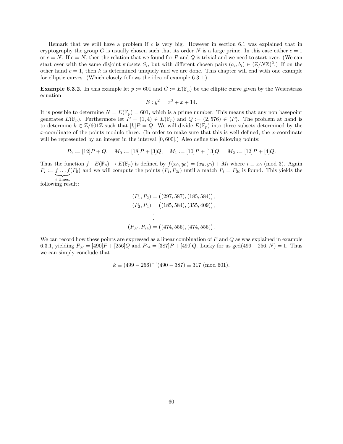Remark that we still have a problem if c is very big. However in section 6.1 was explained that in cryptography the group G is usually chosen such that its order N is a large prime. In this case either  $c = 1$ or  $c = N$ . If  $c = N$ , then the relation that we found for P and Q is trivial and we need to start over. (We can start over with the same disjoint subsets  $S_i$ , but with different chosen pairs  $(a_i, b_i) \in (\mathbb{Z}/N\mathbb{Z})^2$ .) If on the other hand  $c = 1$ , then k is determined uniquely and we are done. This chapter will end with one example for elliptic curves. (Which closely follows the idea of example 6.3.1.)

**Example 6.3.2.** In this example let  $p := 601$  and  $G := E(\mathbb{F}_p)$  be the elliptic curve given by the Weierstrass equation

$$
E: y^2 = x^3 + x + 14.
$$

It is possible to determine  $N = E(\mathbb{F}_p) = 601$ , which is a prime number. This means that any non basepoint generates  $E(\mathbb{F}_p)$ . Furthermore let  $P = (1, 4) \in E(\mathbb{F}_p)$  and  $Q := (2, 576) \in \langle P \rangle$ . The problem at hand is to determine  $k \in \mathbb{Z}/601\mathbb{Z}$  such that  $[k]P = Q$ . We will divide  $E(\mathbb{F}_p)$  into three subsets determined by the x-coordinate of the points modulo three. (In order to make sure that this is well defined, the  $x$ -coordinate will be represented by an integer in the interval  $[0, 600]$ .) Also define the following points:

$$
P_0 := [12]P + Q, \quad M_0 := [18]P + [3]Q, \quad M_1 := [10]P + [13]Q, \quad M_2 := [12]P + [4]Q.
$$

Thus the function  $f : E(\mathbb{F}_p) \to E(\mathbb{F}_p)$  is defined by  $f(x_0, y_0) = (x_0, y_0) + M_i$  where  $i \equiv x_0 \pmod{3}$ . Again  $P_i := f \dots f(P_0)$  and we will compute the points  $(P_i, P_{2i})$  until a match  $P_i = P_{2i}$  is found. This yields the  $\sum_{i \text{ times.}}$ following result:

$$
(P_1, P_2) = ((297, 587), (185, 584)),
$$
  
\n
$$
(P_2, P_4) = ((185, 584), (355, 409)),
$$
  
\n
$$
\vdots
$$
  
\n
$$
(P_{37}, P_{74}) = ((474, 555), (474, 555)).
$$

We can record how these points are expressed as a linear combination of  $P$  and  $Q$  as was explained in example 6.3.1, yielding  $P_{37} = [490]P + [256]Q$  and  $P_{74} = [387]P + [499]Q$ . Lucky for us gcd(499 – 256, N) = 1. Thus we can simply conclude that

$$
k \equiv (499 - 256)^{-1}(490 - 387) \equiv 317 \pmod{601}.
$$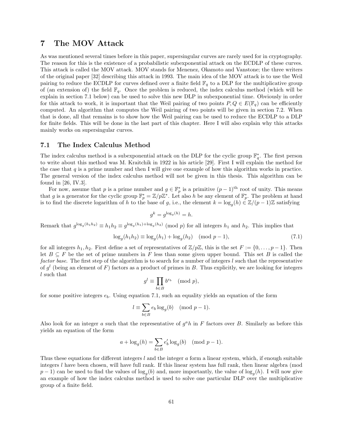# 7 The MOV Attack

As was mentioned several times before in this paper, supersingular curves are rarely used for in cryptography. The reason for this is the existence of a probabilistic subexponential attack on the ECDLP of these curves. This attack is called the MOV attack. MOV stands for Menenez, Okamoto and Vanstone; the three writers of the original paper [32] describing this attack in 1993. The main idea of the MOV attack is to use the Weil pairing to reduce the ECDLP for curves defined over a finite field  $\mathbb{F}_q$  to a DLP for the multiplicative group of (an extension of) the field  $\mathbb{F}_q$ . Once the problem is reduced, the index calculus method (which will be explain in section 7.1 below) can be used to solve this new DLP in subexponential time. Obviously in order for this attack to work, it is important that the Weil pairing of two points  $P, Q \in E(\mathbb{F}_q)$  can be efficiently computed. An algorithm that computes the Weil pairing of two points will be given in section 7.2. When that is done, all that remains is to show how the Weil pairing can be used to reduce the ECDLP to a DLP for finite fields. This will be done in the last part of this chapter. Here I will also explain why this attacks mainly works on supersingular curves.

## 7.1 The Index Calculus Method

The index calculus method is a subexponential attack on the DLP for the cyclic group  $\mathbb{F}_q^*$ . The first person to write about this method was M. Kraitchik in 1922 in his article [29]. First I will explain the method for the case that  $q$  is a prime number and then I will give one example of how this algorithm works in practice. The general version of the index calculus method will not be given in this thesis. This algorithm can be found in  $[26, IV.3]$ .

For now, assume that p is a prime number and  $g \in \mathbb{F}_p^*$  is a primitive  $(p-1)$ <sup>th</sup> root of unity. This means that g is a generator for the cyclic group  $\mathbb{F}_p^* = \mathbb{Z}/p\mathbb{Z}^*$ . Let also h be any element of  $\mathbb{F}_p^*$ . The problem at hand is to find the discrete logarithm of h to the base of g, i.e., the element  $k = \log_g(h) \in \mathbb{Z}/(p-1)\mathbb{Z}$  satisfying

$$
g^k = g^{\log_g(h)} = h.
$$

Remark that  $g^{\log_g(h_1h_2)} \equiv h_1h_2 \equiv g^{\log_g(h_1)+\log_g(h_2)} \pmod{p}$  for all integers  $h_1$  and  $h_2$ . This implies that

$$
\log_g(h_1 h_2) \equiv \log_g(h_1) + \log_g(h_2) \pmod{p-1},\tag{7.1}
$$

for all integers  $h_1, h_2$ . First define a set of representatives of  $\mathbb{Z}/p\mathbb{Z}$ , this is the set  $F := \{0, \ldots, p-1\}$ . Then let  $B \subseteq F$  be the set of prime numbers in F less than some given upper bound. This set B is called the factor base. The first step of the algorithm is to search for a number of integers l such that the representative of  $g^l$  (being an element of F) factors as a product of primes in B. Thus explicitly, we are looking for integers l such that

$$
g^l\equiv \prod_{b\in B} b^{e_b}\pmod{p},
$$

for some positive integers  $e_b$ . Using equation 7.1, such an equality yields an equation of the form

$$
l \equiv \sum_{b \in B} e_b \log_g(b) \pmod{p-1}.
$$

Also look for an integer a such that the representative of  $g^a h$  in F factors over B. Similarly as before this yields an equation of the form

$$
a + \log_g(h) = \sum_{b \in B} e'_b \log_g(b) \pmod{p-1}.
$$

Thus these equations for different integers  $l$  and the integer  $a$  form a linear system, which, if enough suitable integers l have been chosen, will have full rank. If this linear system has full rank, then linear algebra (mod  $(p-1)$  can be used to find the values of  $\log_g(b)$  and, more importantly, the value of  $\log_g(h)$ . I will now give an example of how the index calculus method is used to solve one particular DLP over the multiplicative group of a finite field.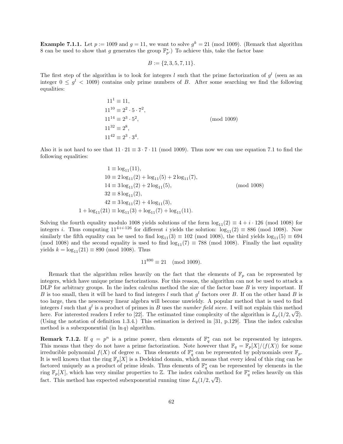**Example 7.1.1.** Let  $p := 1009$  and  $g = 11$ , we want to solve  $g^k = 21 \pmod{1009}$ . (Remark that algorithm 8 can be used to show that g generates the group  $\mathbb{F}_p^*$ .) To achieve this, take the factor base

$$
B := \{2, 3, 5, 7, 11\}.
$$

The first step of the algorithm is to look for integers l such that the prime factorization of  $g^l$  (seen as an integer  $0 \leq g^{l} < 1009$  contains only prime numbers of B. After some searching we find the following equalities:

$$
111 \equiv 11,
$$
  
\n
$$
1110 \equiv 22 \cdot 5 \cdot 72,
$$
  
\n
$$
1114 \equiv 23 \cdot 52,
$$
  
\n
$$
1132 \equiv 28,
$$
  
\n
$$
1142 \equiv 23 \cdot 34.
$$
  
\n(mod 1009)

Also it is not hard to see that  $11 \cdot 21 \equiv 3 \cdot 7 \cdot 11 \pmod{1009}$ . Thus now we can use equation 7.1 to find the following equalities:

$$
1 \equiv \log_{11}(11),
$$
  
\n
$$
10 \equiv 2\log_{11}(2) + \log_{11}(5) + 2\log_{11}(7),
$$
  
\n
$$
14 \equiv 3\log_{11}(2) + 2\log_{11}(5),
$$
  
\n
$$
32 \equiv 8\log_{11}(2),
$$
  
\n
$$
42 \equiv 3\log_{11}(2) + 4\log_{11}(3),
$$
  
\n
$$
1 + \log_{11}(21) \equiv \log_{11}(3) + \log_{11}(7) + \log_{11}(11).
$$
  
\n(mod 1008)

Solving the fourth equality modulo 1008 yields solutions of the form  $log_{11}(2) \equiv 4 + i \cdot 126 \pmod{1008}$  for integers i. Thus computing  $11^{4+i\cdot126}$  for different i yields the solution:  $log_{11}(2) \equiv 886 \pmod{1008}$ . Now similarly the fifth equality can be used to find  $\log_{11}(3) \equiv 102 \pmod{1008}$ , the third yields  $\log_{11}(5) \equiv 694$ (mod 1008) and the second equality is used to find  $log_{11}(7) \equiv 788 \pmod{1008}$ . Finally the last equality yields  $k = \log_{11}(21) \equiv 890 \pmod{1008}$ . Thus

$$
11^{890} \equiv 21 \pmod{1009}.
$$

Remark that the algorithm relies heavily on the fact that the elements of  $\mathbb{F}_p$  can be represented by integers, which have unique prime factorizations. For this reason, the algorithm can not be used to attack a DLP for arbitrary groups. In the index calculus method the size of the factor base  $B$  is very important. If B is too small, then it will be hard to find integers l such that  $g^l$  factors over B. If on the other hand B is too large, then the nescessary linear algebra will become unwieldy. A popular method that is used to find integers l such that  $g^l$  is a product of primes in B uses the number field sieve. I will not explain this method here. For interested readers I refer to [22]. The estimated time complexity of the algorithm is  $L_p(1/2, \sqrt{2})$ . (Using the notation of definition 1.3.4.) This estimation is derived in [31, p.129]. Thus the index calculus method is a subexponential (in  $\ln q$ ) algorithm.

**Remark 7.1.2.** If  $q = p^n$  is a prime power, then elements of  $\mathbb{F}_q^*$  can not be represented by integers. This means that they do not have a prime factorization. Note however that  $\mathbb{F}_q = \mathbb{F}_p[X]/\langle f(X) \rangle$  for some irreducible polynomial  $f(X)$  of degree n. Thus elements of  $\mathbb{F}_q^*$  can be represented by polynomials over  $\mathbb{F}_p$ . It is well known that the ring  $\mathbb{F}_p[X]$  is a Dedekind domain, which means that every ideal of this ring can be factored uniquely as a product of prime ideals. Thus elements of  $\mathbb{F}_q^*$  can be represented by elements in the ring  $\mathbb{F}_p[X]$ , which has very similar properties to Z. The index calculus method for  $\mathbb{F}_q^*$  relies heavily on this fact. This method has expected subexponential running time  $L_q(1/2, \sqrt{2})$ .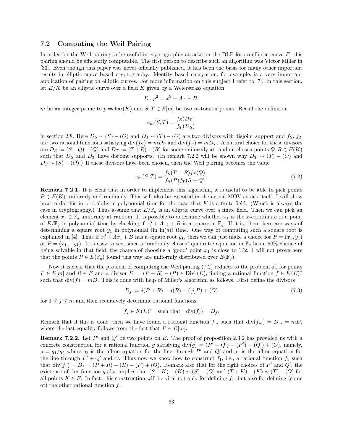## 7.2 Computing the Weil Pairing

In order for the Weil pairing to be useful in cryptographic attacks on the DLP for an elliptic curve  $E$ , this pairing should be efficiently computable. The first person to describe such an algorithm was Victor Miller in [33]. Even though this paper was never officially published, it has been the basis for many other important results in elliptic curve based cryptography. Identity based encryption, for example, is a very important application of pairing on elliptic curves. For more information on this subject I refer to [7]. In this section, let  $E/K$  be an elliptic curve over a field K given by a Weierstrass equation

$$
E: y^2 = x^3 + Ax + B,
$$

m be an integer prime to  $p = \text{char}(K)$  and  $S, T \in E[m]$  be two m-torsion points. Recall the definition

$$
e_m(S,T) = \frac{f_S(D_T)}{f_T(D_S)}
$$

in section 2.8. Here  $D_S \sim (S) - (O)$  and  $D_T \sim (T) - (O)$  are two divisors with disjoint support and  $f_S$ ,  $f_T$ are two rational functions satisfying  $div(f_S) = mD_S$  and  $div(f_T) = mD_T$ . A natural choice for these divisors are  $D_S := (S + Q) - (Q)$  and  $D_T := (T + R) - (R)$  for some uniformly at random chosen points  $Q, R \in E(K)$ such that  $D_S$  and  $D_T$  have disjoint supports. (In remark 7.2.2 will be shown why  $D_T \sim (T) - (O)$  and  $D_S \sim (S) - (O)$ .) If these divisors have been chosen, then the Weil pairing becomes the value

$$
e_m(S,T) = \frac{f_S(T+R)f_T(Q)}{f_S(R)f_T(S+Q)}.\t(7.2)
$$

Remark 7.2.1. It is clear that in order to implement this algorithm, it is useful to be able to pick points  $P \in E(K)$  uniformly and randomly. This will also be essential in the actual MOV attack itself. I will show how to do this in probabilistic polynomial time for the case that  $K$  is a finite field. (Which is always the case in cryptography.) Thus assume that  $E/\mathbb{F}_q$  is an elliptic curve over a finite field. Then we can pick an element  $x_1 \in \mathbb{F}_q$  uniformly at random. It is possible to determine whether  $x_1$  is the x-coordinate of a point of  $E/\mathbb{F}_q$  in polynomial time by checking if  $x_1^3 + Ax_1 + B$  is a square in  $\mathbb{F}_q$ . If it is, then there are ways of determining a square root  $y_1$  in polynomial (in  $\ln(q)$ ) time. One way of computing such a square root is explained in [4]. Thus if  $x_1^3 + Ax_1 + B$  has a square root  $y_1$ , then we can just make a choice for  $P = (x_1, y_1)$ or  $P = (x_1, -y_1)$ . It is easy to see, since a 'randomly chosen' quadratic equation in  $\mathbb{F}_q$  has a 50% chance of being solvable in that field, the chance of choosing a 'good' point  $x_1$  is close to  $1/2$ . I will not prove here that the points  $P \in E(\mathbb{F}_q)$  found this way are uniformly distributed over  $E(\mathbb{F}_q)$ .

Now it is clear that the problem of computing the Weil pairing (7.2) reduces to the problem of, for points  $P \in E[m]$  and  $R \in E$  and a divisor  $D := (P + R) - (R) \in Div^0(E)$ , finding a rational function  $f \in K(E)^*$ such that  $\text{div}(f) = mD$ . This is done with help of Miller's algorithm as follows. First define the divisors

$$
D_j := j(P + R) - j(R) - ([j]P) + (O)
$$
\n(7.3)

for  $1 \leq j \leq m$  and then recursively determine rational functions

$$
f_j \in K(E)^*
$$
 such that  $div(f_j) = D_j$ .

Remark that if this is done, then we have found a rational function  $f_m$  such that  $\text{div}(f_m) = D_m = mD$ , where the last equality follows from the fact that  $P \in E[m]$ .

**Remark 7.2.2.** Let  $P'$  and  $Q'$  be two points on E. The proof of proposition 2.3.2 has provided us with a concrete construction for a rational function g satisfying  $\text{div}(g) = (P' + Q') - (P') - (Q') + (O)$ , namely,  $g = g_1/g_2$  where  $g_2$  is the affine equation for the line through P' and Q' and  $g_1$  is the affine equation for the line through  $P' + Q'$  and O. Thus now we know how to construct  $f_1$ , i.e., a rational function  $f_1$  such that  $\text{div}(f_1) = D_1 = (P + R) - (R) - (P) + (O)$ . Remark also that for the right choices of P' and Q', the existence of this function g also implies that  $(S + K) - (K) \sim (S) - (O)$  and  $(T + K) - (K) \sim (T) - (O)$  for all points  $K \in E$ . In fact, this construction will be vital not only for defining  $f_1$ , but also for defining (some of) the other rational function  $f_i$ .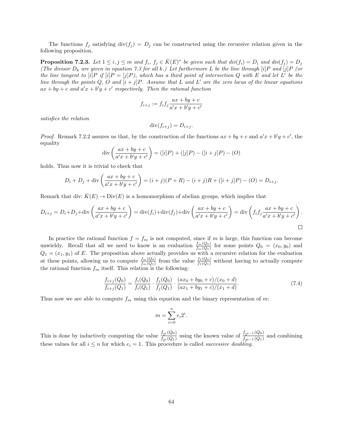The functions  $f_j$  satisfying  $div(f_j) = D_j$  can be constructed using the recursive relation given in the following proposition.

**Proposition 7.2.3.** Let  $1 \leq i, j \leq m$  and  $f_i, f_j \in \overline{K}(E)^*$  be given such that  $div(f_i) = D_i$  and  $div(f_j) = D_j$ (The divisor  $D_k$  are given in equation 7.3 for all k.) Let furthermore L be the line through [i]P and [j]P (or the line tangent to [i]P if [i]P = [j]P), which has a third point of intersection Q with E and let L' be the line through the points Q, O and  $[i + j]P$ . Assume that L and L' are the zero locus of the linear equations  $ax + by + c$  and  $a'x + b'y + c'$  respectively. Then the rational function

$$
f_{i+j} := f_i f_j \frac{ax + by + c}{a'x + b'y + c'}
$$

satisfies the relation

$$
\operatorname{div}(f_{i+j}) = D_{i+j}.
$$

*Proof.* Remark 7.2.2 assures us that, by the construction of the functions  $ax + by + c$  and  $a'x + b'y + c'$ , the equality

$$
\operatorname{div}\left(\frac{ax+by+c}{a'x+b'y+c'}\right) = ([i]P) + ([j]P) - ([i+j]P) - (O)
$$

holds. Thus now it is trivial to check that

$$
D_i + D_j + \text{div}\left(\frac{ax + by + c}{a'x + b'y + c'}\right) = (i + j)(P + R) - (i + j)R + ([i + j]P) - (O) = D_{i+j}.
$$

Remark that div:  $K(E) \to Div(E)$  is a homomorphism of abelian groups, which implies that

$$
D_{i+j} = D_i + D_j + \text{div}\left(\frac{ax+by+c}{a'x+b'y+c'}\right) = \text{div}(f_i) + \text{div}(f_j) + \text{div}\left(\frac{ax+by+c}{a'x+b'y+c'}\right) = \text{div}\left(f_i f_j \frac{ax+by+c}{a'x+b'y+c'}\right).
$$

In practice the rational function  $f = f_m$  is not computed, since if m is large, this function can become unwieldy. Recall that all we need to know is an evaluation  $\frac{f_m(Q_0)}{f_m(Q_1)}$  for some points  $Q_0 = (x_0, y_0)$  and  $Q_1 = (x_1, y_1)$  of E. The proposition above actually provides us with a recursive relation for the evaluation at these points, allowing us to compute  $\frac{f_m(Q_0)}{f_m(Q_1)}$  from the value  $\frac{f_1(Q_0)}{f_1(Q_1)}$  without having to actually compute the rational function  $f_m$  itself. This relation is the following:

$$
\frac{f_{i+j}(Q_0)}{f_{i+j}(Q_1)} = \frac{f_i(Q_0)}{f_i(Q_1)} \cdot \frac{f_j(Q_0)}{f_j(Q_1)} \cdot \frac{(ax_0 + by_0 + c)/(x_0 + d)}{(ax_1 + by_1 + c)/(x_1 + d)}.\tag{7.4}
$$

Thus now we are able to compute  $f_m$  using this equation and the binary representation of m:

$$
m = \sum_{i=0}^{n} e_i 2^i.
$$

This is done by inductively computing the value  $\frac{f_{2i}(Q_0)}{f_{2i}(Q_1)}$  using the known value of  $\frac{f_{2i-1}(Q_0)}{f_{2i-1}(Q_1)}$  and combining these values for all  $i \leq n$  for which  $e_i = 1$ . This procedure is called *successive doubling*.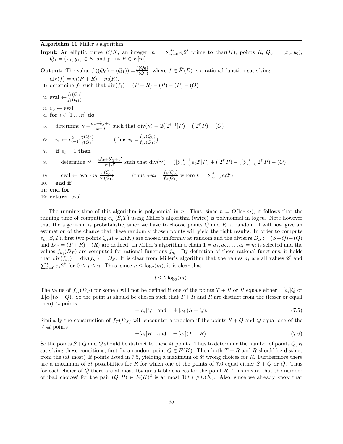#### Algorithm 10 Miller's algorithm.

**Input:** An elliptic curve  $E/K$ , an integer  $m = \sum_{i=0}^{n} e_i 2^i$  prime to char $(K)$ , points  $R$ ,  $Q_0 = (x_0, y_0)$ ,  $Q_1 = (x_1, y_1) \in E$ , and point  $P \in E[m]$ . **Output:** The value  $f((Q_0) - (Q_1)) = \frac{f(Q_0)}{f(Q_1)}$ , where  $f \in \overline{K}(E)$  is a rational function satisfying  $div(f) = m(P + R) - m(R).$ 1: determine  $f_1$  such that  $div(f_1) = (P + R) - (R) - (P) - (O)$ 2: eval  $\leftarrow$   $\frac{f_1(Q_0)}{f_1(Q_1)}$  $f_1(Q_1)$ 3:  $v_0 \leftarrow \text{eval}$ 4: for  $i \in [1 \dots n]$  do 5: determine  $\gamma = \frac{ax + by + c}{x + d}$  $\frac{+by+c}{x+d}$  such that  $\text{div}(\gamma) = 2([2^{i-1}]P) - ([2^i]P) - (O)$ 6:  $v_i \leftarrow v_{i-1}^2 \cdot \frac{\gamma(Q_0)}{\gamma(Q_1)}$  $\frac{\gamma(Q_0)}{\gamma(Q_1)}$  (thus  $v_i = \frac{f_{2^i}(Q_0)}{f_{2^i}(Q_1)}$  $\frac{J_2i(80)}{f_{2i}(Q_1)}$ 7: if  $e_i = 1$  then 8: determine  $\gamma' = \frac{a'x + b'y + c'}{x + d'}$  $\frac{1}{x+d'}$  such that  $\text{div}(\gamma') = ( [\sum_{j=0}^{i-1} e_i 2^i] P ) + ([2^i] P ) - ([\sum_{j=0}^{i} 2^i] P ) - (O)$ 9: eval  $\leftarrow$  eval  $\cdot v_i \cdot \frac{\gamma'(Q_0)}{\gamma'(Q_1)}$  $\frac{\gamma'(Q_0)}{\gamma'(Q_1)}$  (thus  $eval = \frac{f_k(Q_0)}{f_k(Q_1)}$  $\frac{f_k(Q_0)}{f_k(Q_1)}$  where  $k = \sum_{j=0}^i e_i 2^i$  $10:$  end if 11: end for 12: return eval

The running time of this algorithm is polynomial in n. Thus, since  $n = O(\log m)$ , it follows that the running time of computing  $e_m(S,T)$  using Miller's algorithm (twice) is polynomial in log m. Note however that the algorithm is probabilistic, since we have to choose points  $Q$  and  $R$  at random. I will now give an estimation of the chance that these randomly chosen points will yield the right results. In order to compute  $e_m(S,T)$ , first two points  $Q, R \in E(K)$  are chosen uniformly at random and the divisors  $D_S := (S+Q) - (Q)$ and  $D_T = (T + R) - (R)$  are defined. In Miller's algorithm a chain  $1 = a_1, a_2, \ldots, a_t = m$  is selected and the values  $f_{a_i}(D_T)$  are computed for rational functions  $f_{a_i}$ . By definition of these rational functions, it holds that  $div(f_{a_t}) = div(f_m) = D_S$ . It is clear from Miller's algorithm that the values  $a_i$  are all values  $2^j$  and  $\sum_{k=0}^{j} e_k 2^k$  for  $0 \le j \le n$ . Thus, since  $n \le \log_2(m)$ , it is clear that

$$
t \le 2\log_2(m).
$$

The value of  $f_{a_i}(D_T)$  for some i will not be defined if one of the points  $T + R$  or R equals either  $\pm [a_i]Q$  or  $\pm[a_i](S+Q)$ . So the point R should be chosen such that  $T+R$  and R are distinct from the (lesser or equal then) 4t points

$$
\pm [a_i]Q \quad \text{and} \quad \pm [a_i](S+Q). \tag{7.5}
$$

Similarly the construction of  $f_T(D_S)$  will encounter a problem if the points  $S + Q$  and Q equal one of the  $\leq 4t$  points

$$
\pm [a_i]R \quad \text{and} \quad \pm [a_i](T+R). \tag{7.6}
$$

So the points  $S+Q$  and Q should be distinct to these 4t points. Thus to determine the number of points  $Q, R$ satisfying these conditions, first fix a random point  $Q \in E(K)$ . Then both  $T + R$  and R should be distinct from the (at most) 4t points listed in 7.5, yielding a maximum of 8t wrong choices for R. Furthermore there are a maximum of 8t possibilities for R for which one of the points of 7.6 equal either  $S + Q$  or Q. Thus for each choice of  $Q$  there are at most 16t unsuitable choices for the point  $R$ . This means that the number of 'bad choices' for the pair  $(Q, R) \in E(K)^2$  is at most  $16t * \#E(K)$ . Also, since we already know that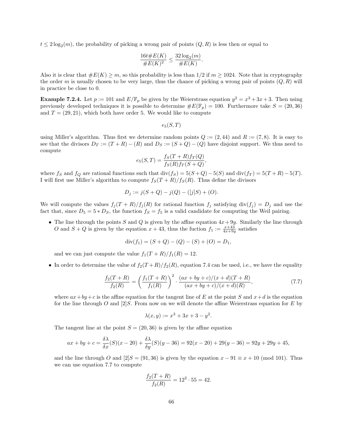$t \leq 2\log_2(m)$ , the probability of picking a wrong pair of points  $(Q, R)$  is less then or equal to

$$
\frac{16t \# E(K)}{\# E(K)^2} \le \frac{32 \log_2(m)}{\# E(K)}.
$$

Also it is clear that  $\#E(K) \geq m$ , so this probability is less than 1/2 if  $m \geq 1024$ . Note that in cryptography the order m is usually chosen to be very large, thus the chance of picking a wrong pair of points  $(Q, R)$  will in practice be close to 0.

**Example 7.2.4.** Let  $p := 101$  and  $E/\mathbb{F}_p$  be given by the Weierstrass equation  $y^2 = x^3 + 3x + 3$ . Then using previously developed techniques it is possible to determine  $\#E(\mathbb{F}_p) = 100$ . Furthermore take  $S = (20, 36)$ and  $T = (29, 21)$ , which both have order 5. We would like to compute

 $e_5(S,T)$ 

using Miller's algorithm. Thus first we determine random points  $Q := (2, 44)$  and  $R := (7, 8)$ . It is easy to see that the divisors  $D_T := (T + R) - (R)$  and  $D_S := (S + Q) - (Q)$  have disjoint support. We thus need to compute

$$
e_5(S,T) = \frac{f_S(T+R)f_T(Q)}{f_S(R)f_T(S+Q)},
$$

where f<sub>S</sub> and f<sub>Q</sub> are rational functions such that div(f<sub>S</sub>) = 5(S + Q) – 5(S) and div(f<sub>T</sub>) = 5(T + R) – 5(T). I will first use Miller's algorithm to compute  $f_S(T + R)/f_S(R)$ . Thus define the divisors

$$
D_j := j(S + Q) - j(Q) - ([j]S) + (O).
$$

We will compute the values  $f_j(T + R)/f_j(R)$  for rational function  $f_j$  satisfying div( $f_j$ ) =  $D_j$  and use the fact that, since  $D_5 = 5 * D_S$ , the function  $f_S = f_5$  is a valid candidate for computing the Weil pairing.

• The line through the points S and Q is given by the affine equation  $4x + 9y$ . Similarly the line through O and  $S + Q$  is given by the equation  $x + 43$ , thus the fuction  $f_1 := \frac{x+43}{4x+9y}$  satisfies

$$
div(f_1) = (S + Q) - (Q) - (S) + (O) = D_1,
$$

and we can just compute the value  $f_1(T + R)/f_1(R) = 12$ .

• In order to determine the value of  $f_2(T+R)/f_2(R)$ , equation 7.4 can be used, i.e., we have the equality

$$
\frac{f_2(T+R)}{f_2(R)} = \left(\frac{f_1(T+R)}{f_1(R)}\right)^2 \cdot \frac{(ax+by+c)/(x+d)(T+R)}{(ax+by+c)/(x+d)(R)},\tag{7.7}
$$

where  $ax + by + c$  is the affine equation for the tangent line of E at the point S and  $x + d$  is the equation for the line through O and  $[2]S$ . From now on we will denote the affine Weierstrass equation for E by

$$
\lambda(x, y) := x^3 + 3x + 3 - y^2.
$$

The tangent line at the point  $S = (20, 36)$  is given by the affine equation

$$
ax + by + c = \frac{\delta \lambda}{\delta x}(S)(x - 20) + \frac{\delta \lambda}{\delta y}(S)(y - 36) = 92(x - 20) + 29(y - 36) = 92y + 29y + 45,
$$

and the line through O and  $[2]S = (91, 36)$  is given by the equation  $x - 91 \equiv x + 10 \pmod{101}$ . Thus we can use equation 7.7 to compute

$$
\frac{f_2(T+R)}{f_2(R)} = 12^2 \cdot 55 = 42.
$$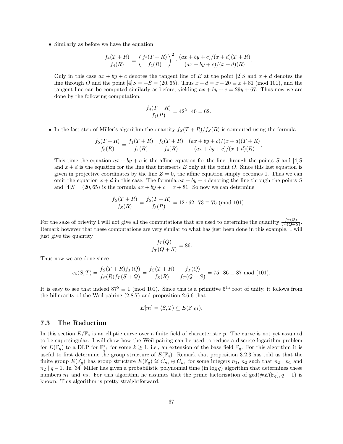• Similarly as before we have the equation

$$
\frac{f_4(T+R)}{f_4(R)} = \left(\frac{f_2(T+R)}{f_2(R)}\right)^2 \cdot \frac{(ax+by+c)/(x+d)(T+R)}{(ax+by+c)/(x+d)(R)}.
$$

Only in this case  $ax + by + c$  denotes the tangent line of E at the point [2]S and  $x + d$  denotes the line through O and the point  $[4]S = -S = (20, 65)$ . Thus  $x + d = x - 20 \equiv x + 81 \pmod{101}$ , and the tangent line can be computed similarly as before, yielding  $ax + by + c = 29y + 67$ . Thus now we are done by the following computation:

$$
\frac{f_4(T+R)}{f_4(R)} = 42^2 \cdot 40 = 62.
$$

• In the last step of Miller's algorithm the quantity  $f_S(T + R)/f_S(R)$  is computed using the formula

$$
\frac{f_5(T+R)}{f_5(R)} = \frac{f_1(T+R)}{f_1(R)} \cdot \frac{f_4(T+R)}{f_4(R)} \cdot \frac{(ax+by+c)/(x+d)(T+R)}{(ax+by+c)/(x+d)(R)}.
$$

This time the equation  $ax + by + c$  is the affine equation for the line through the points S and [4]S and  $x + d$  is the equation for the line that intersects E only at the point O. Since this last equation is given in projective coordinates by the line  $Z = 0$ , the affine equation simply becomes 1. Thus we can omit the equation  $x + d$  in this case. The formula  $ax + by + c$  denoting the line through the points S and  $[4]S = (20, 65)$  is the formula  $ax + by + c = x + 81$ . So now we can determine

$$
\frac{f_S(T+R)}{f_S(R)} = \frac{f_5(T+R)}{f_5(R)} = 12 \cdot 62 \cdot 73 \equiv 75 \pmod{101}.
$$

For the sake of brievity I will not give all the computations that are used to determine the quantity  $\frac{fr(Q)}{fr(Q+s)}$ . Remark however that these computations are very similar to what has just been done in this example. I will just give the quantity

$$
\frac{f_T(Q)}{f_T(Q+S)} = 86.
$$

Thus now we are done since

$$
e_5(S,T) = \frac{f_S(T+R)f_T(Q)}{f_S(R)f_T(S+Q)} = \frac{f_S(T+R)}{f_S(R)} \cdot \frac{f_T(Q)}{f_T(Q+S)} = 75 \cdot 86 \equiv 87 \mod (101).
$$

It is easy to see that indeed  $87^5 \equiv 1 \pmod{101}$ . Since this is a primitive  $5^{th}$  root of unity, it follows from the bilinearity of the Weil pairing (2.8.7) and proposition 2.6.6 that

$$
E[m] = \langle S, T \rangle \subseteq E(\mathbb{F}_{101}).
$$

# 7.3 The Reduction

In this section  $E/\mathbb{F}_q$  is an elliptic curve over a finite field of characteristic p. The curve is not yet assumed to be supersingular. I will show how the Weil pairing can be used to reduce a discrete logarithm problem for  $E(\mathbb{F}_q)$  to a DLP for  $\mathbb{F}_{q^k}^*$  for some  $k \geq 1$ , i.e., an extension of the base field  $\mathbb{F}_q$ . For this algorithm it is useful to first determine the group structure of  $E(\mathbb{F}_q)$ . Remark that proposition 3.2.3 has told us that the finite group  $E(\mathbb{F}_q)$  has group structure  $E(\mathbb{F}_q) \cong C_{n_1}$   $\oplus C_{n_2}$  for some integers  $n_1$ ,  $n_2$  such that  $n_2 | n_1$  and  $n_2 | q - 1$ . In [34] Miller has given a probabilistic polynomial time (in log q) algorithm that determines these numbers  $n_1$  and  $n_2$ . For this algorithm he assumes that the prime factorization of  $gcd(\#E(\mathbb{F}_q), q-1)$  is known. This algorithm is pretty straightforward.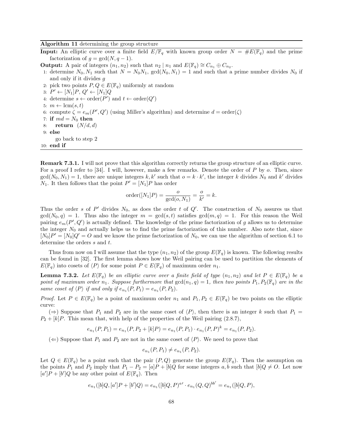Algorithm 11 determining the group structure

**Input:** An elliptic curve over a finite field  $E/\mathbb{F}_q$  with known group order  $N = \#E(\mathbb{F}_q)$  and the prime factorization of  $g = \gcd(N, q - 1)$ .

**Output:** A pair of integers  $(n_1, n_2)$  such that  $n_2 | n_1$  and  $E(\mathbb{F}_q) \cong C_{n_1} \oplus C_{n_2}$ .

1: determine  $N_0, N_1$  such that  $N = N_0N_1$ ,  $gcd(N_0, N_1) = 1$  and such that a prime number divides  $N_0$  if and only if it divides g

2: pick two points  $P, Q \in E(\mathbb{F}_q)$  uniformly at random

3:  $P' \leftarrow [N_1]P, Q' \leftarrow [N_1]Q$ 

4: determine  $s \leftarrow \text{order}(P')$  and  $t \leftarrow \text{order}(Q')$ 

- 5:  $m \leftarrow \text{lcm}(s, t)$
- 6: compute  $\zeta = e_m(P', Q')$  (using Miller's algorithm) and determine  $d = \text{order}(\zeta)$
- 7: if  $md = N_0$  then
- 8: return  $(N/d, d)$
- 9: else
- go back to step 2

10: end if

Remark 7.3.1. I will not prove that this algorithm correctly returns the group structure of an elliptic curve. For a proof I refer to [34]. I will, however, make a few remarks. Denote the order of P by o. Then, since  $gcd(N_0, N_1) = 1$ , there are unique integers k, k' such that  $o = k \cdot k'$ , the integer k divides  $N_0$  and k' divides  $N_1$ . It then follows that the point  $P' = [N_1]P$  has order

order(
$$
[N_1]P
$$
) =  $\frac{o}{\gcd(o, N_1)} = \frac{o}{k'} = k$ .

Thus the order s of P' divides  $N_0$ , as does the order t of Q'. The construction of  $N_0$  assures us that  $gcd(N_0, q) = 1$ . Thus also the integer  $m = gcd(s, t)$  satisfies  $gcd(m, q) = 1$ . For this reason the Weil pairing  $e_m(P', Q')$  is actually defined. The knowledge of the prime factorization of g allows us to determine the integer  $N_0$  and actually helps us to find the prime factorization of this number. Also note that, since  $[N_0]P'=[N_0]Q'=O$  and we know the prime factorization of  $N_0$ , we can use the algorithm of section 6.1 to determine the orders s and t.

Thus from now on I will assume that the type  $(n_1, n_2)$  of the group  $E(\mathbb{F}_q)$  is known. The following results can be found in [32]. The first lemma shows how the Weil pairing can be used to partition the elements of  $E(\mathbb{F}_q)$  into cosets of  $\langle P \rangle$  for some point  $P \in E(\mathbb{F}_q)$  of maximum order  $n_1$ .

**Lemma 7.3.2.** Let  $E(\mathbb{F}_q)$  be an elliptic curve over a finite field of type  $(n_1, n_2)$  and let  $P \in E(\mathbb{F}_q)$  be a point of maximum order  $n_1$ . Suppose furthermore that  $gcd(n_1, q) = 1$ , then two points  $P_1, P_2(\mathbb{F}_q)$  are in the same coset of  $\langle P \rangle$  if and only if  $e_{n_1}(P, P_1) = e_{n_1}(P, P_2)$ .

*Proof.* Let  $P \in E(\mathbb{F}_q)$  be a point of maximum order  $n_1$  and  $P_1, P_2 \in E(\mathbb{F}_q)$  be two points on the elliptic curve:

 $(\Rightarrow)$  Suppose that  $P_1$  and  $P_2$  are in the same coset of  $\langle P \rangle$ , then there is an integer k such that  $P_1 =$  $P_2 + [k]P$ . This mean that, with help of the properties of the Weil pairing (2.8.7),

$$
e_{n_1}(P,P_1) = e_{n_1}(P,P_2 + [k]P) = e_{n_1}(P,P_1) \cdot e_{n_1}(P,P)^k = e_{n_1}(P,P_2).
$$

(←) Suppose that  $P_1$  and  $P_2$  are not in the same coset of  $\langle P \rangle$ . We need to prove that

$$
e_{n_1}(P, P_1) \neq e_{n_1}(P, P_2).
$$

Let  $Q \in E(\mathbb{F}_q)$  be a point such that the pair  $(P,Q)$  generate the group  $E(\mathbb{F}_q)$ . Then the assumption on the points  $P_1$  and  $P_2$  imply that  $P_1 - P_2 = [a]P + [b]Q$  for some integers a, b such that  $[b]Q \neq O$ . Let now  $[a']P + [b']Q$  be any other point of  $E(\mathbb{F}_q)$ . Then

$$
e_{n_1}([b]Q,[a']P+[b']Q)=e_{n_1}([b]Q,P)^{a'}\cdot e_{n_1}(Q,Q)^{bb'}=e_{n_1}([b]Q,P),
$$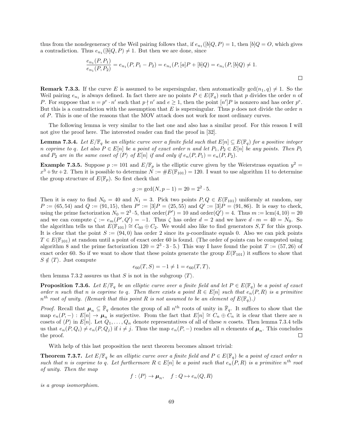thus from the nondegeneracy of the Weil pairing follows that, if  $e_{n_1}([b]Q, P) = 1$ , then  $[b]Q = O$ , which gives a contradiction. Thus  $e_{n_1}([b]Q, P) \neq 1$ . But then we are done, since

$$
\frac{e_{n_1}(P,P_1)}{e_{n_1}(P,P_2)} = e_{n_1}(P,P_1 - P_2) = e_{n_1}(P,[a]P + [b]Q) = e_{n_1}(P,[b]Q) \neq 1.
$$

 $\Box$ 

**Remark 7.3.3.** If the curve E is assumed to be supersingular, then automatically  $gcd(n_1, q) \neq 1$ . So the Weil pairing  $e_{n_1}$  is always defined. In fact there are no points  $P \in E(\mathbb{F}_q)$  such that p divides the order n of P. For suppose that  $n = p^e \cdot n'$  such that  $p \nmid n'$  and  $e \geq 1$ , then the point  $[n']P$  is nonzero and has order  $p^e$ . But this is a contradiction with the assumption that E is supersingular. Thus  $p$  does not divide the order  $n$ of P. This is one of the reasons that the MOV attack does not work for most ordinary curves.

The following lemma is very similar to the last one and also has a similar proof. For this reason I will not give the proof here. The interested reader can find the proof in [32].

**Lemma 7.3.4.** Let  $E/\mathbb{F}_q$  be an elliptic curve over a finite field such that  $E[n] \subseteq E(\mathbb{F}_q)$  for a positive integer n coprime to q. Let also  $P \in E[n]$  be a point of exact order n and let  $P_1, P_2 \in E[n]$  be any points. Then  $P_1$ and  $P_2$  are in the same coset of  $\langle P \rangle$  of  $E[n]$  if and only if  $e_n(P, P_1) = e_n(P, P_2)$ .

**Example 7.3.5.** Suppose  $p := 101$  and  $E/\mathbb{F}_p$  is the elliptic curve given by the Weierstrass equation  $y^2 =$  $x^3+9x+2$ . Then it is possible to determine  $N := \#E(\mathbb{F}_{101}) = 120$ . I want to use algorithm 11 to determine the group structure of  $E(\mathbb{F}_p)$ . So first check that

$$
g := \gcd(N, p - 1) = 20 = 2^2 \cdot 5.
$$

Then it is easy to find  $N_0 = 40$  and  $N_1 = 3$ . Pick two points  $P, Q \in E(\mathbb{F}_{101})$  uniformly at random, say  $P := (65, 54)$  and  $Q := (91, 15)$ , then  $P' := [3]P = (25, 55)$  and  $Q' := [3]P = (91, 86)$ . It is easy to check, using the prime factorization  $N_0 = 2^3 \cdot 5$ , that order $(P') = 10$  and order $(Q') = 4$ . Thus  $m := \text{lcm}(4, 10) = 20$ and we can compute  $\zeta := e_m(P', Q') = -1$ . Thus  $\zeta$  has order  $d = 2$  and we have  $d \cdot m = 40 = N_0$ . So the algorithm tells us that  $E(\mathbb{F}_{101}) \cong C_{60} \oplus C_2$ . We would also like to find generators  $S, T$  for this group. It is clear that the point  $S := (94, 0)$  has order 2 since its y-coordinate equals 0. Also we can pick points  $T \in E(\mathbb{F}_{101})$  at random until a point of exact order 60 is found. (The order of points can be computed using algorithm 8 and the prime factorization  $120 = 2^3 \cdot 3 \cdot 5$ .) This way I have found the point  $T := (57, 26)$  of exact order 60. So if we want to show that these points generate the group  $E(\mathbb{F}_{101})$  it suffices to show that  $S \notin \langle T \rangle$ . Just compute

$$
e_{60}(T, S) = -1 \neq 1 = e_{60}(T, T),
$$

then lemma 7.3.2 assures us that S is not in the subgroup  $\langle T \rangle$ .

**Proposition 7.3.6.** Let  $E/\mathbb{F}_q$  be an elliptic curve over a finite field and let  $P \in E(\mathbb{F}_q)$  be a point of exact order n such that n is coprime to q. Then there exists a point  $R \in E[n]$  such that  $e_n(P, R)$  is a primitive  $n^{th}$  root of unity. (Remark that this point R is not assumed to be an element of  $E(\mathbb{F}_q)$ .)

*Proof.* Recall that  $\mu_n \subseteq \overline{\mathbb{F}}_q$  denotes the group of all  $n^{\text{th}}$  roots of unity in  $\overline{\mathbb{F}}_q$ . It suffices to show that the map  $e_n(P, -): E[n] \to \mu_n$  is surjective. From the fact that  $E[n] \cong C_n \oplus C_n$  it is clear that there are n cosets of  $\langle P \rangle$  in  $E[n]$ . Let  $Q_1, \ldots, Q_n$  denote representatives of all of these n cosets. Then lemma 7.3.4 tells us that  $e_n(P, Q_i) \neq e_n(P, Q_j)$  if  $i \neq j$ . Thus the map  $e_n(P, -)$  reaches all n elements of  $\mu_n$ . This concludes the proof.  $\Box$ 

With help of this last proposition the next theorem becomes almost trivial:

**Theorem 7.3.7.** Let  $E/\mathbb{F}_q$  be an elliptic curve over a finite field and  $P \in E(\mathbb{F}_q)$  be a point of exact order n such that n is coprime to q. Let furthermore  $R \in E[n]$  be a point such that  $e_n(P,R)$  is a primitive  $n^{th}$  root of unity. Then the map

 $f : \langle P \rangle \to \mu_n, \quad f : Q \mapsto e_n(Q, R)$ 

is a group isomorphism.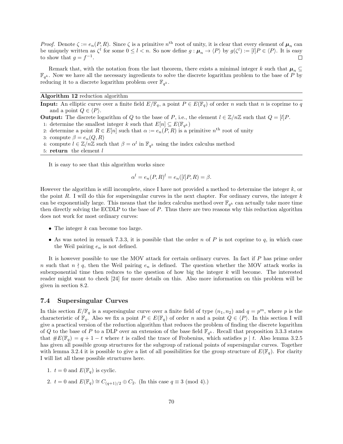*Proof.* Denote  $\zeta := e_n(P, R)$ . Since  $\zeta$  is a primitive  $n^{\text{th}}$  root of unity, it is clear that every element of  $\mu_n$  can be uniquely written as  $\zeta^l$  for some  $0 \leq l < n$ . So now define  $g: \mu_n \to \langle P \rangle$  by  $g(\zeta^l) := [l]P \in \langle P \rangle$ . It is easy to show that  $g = f^{-1}$ .  $\Box$ 

Remark that, with the notation from the last theorem, there exists a minimal integer k such that  $\mu_n \subseteq$  $\mathbb{F}_{q^k}$ . Now we have all the necessary ingredients to solve the discrete logarithm problem to the base of P by reducing it to a discrete logarithm problem over  $\mathbb{F}_{q^k}$ .

Algorithm 12 reduction algorithm

**Input:** An elliptic curve over a finite field  $E/\mathbb{F}_q$ , a point  $P \in E(\mathbb{F}_q)$  of order n such that n is coprime to q and a point  $Q \in \langle P \rangle$ .

**Output:** The discrete logarithm of Q to the base of P, i.e., the element  $l \in \mathbb{Z}/n\mathbb{Z}$  such that  $Q = [l]P$ .

- 1: determine the smallest integer k such that  $E[n] \subseteq E(\mathbb{F}_{q^k})$
- 2: determine a point  $R \in E[n]$  such that  $\alpha := e_n(P, R)$  is a primitive  $n^{\text{th}}$  root of unity
- 3: compute  $\beta = e_n(Q, R)$
- 4: compute  $l \in \mathbb{Z}/n\mathbb{Z}$  such that  $\beta = \alpha^l$  in  $\mathbb{F}_{q^k}$  using the index calculus method
- 5: return the element l

It is easy to see that this algorithm works since

$$
\alpha^{l} = e_n(P, R)^{l} = e_n([l]P, R) = \beta.
$$

However the algorithm is still incomplete, since I have not provided a method to determine the integer  $k$ , or the point R. I will do this for supersingular curves in the next chapter. For ordinary curves, the integer  $k$ can be exponentially large. This means that the index calculus method over  $\mathbb{F}_{q^k}$  can actually take more time then directly solving the ECDLP to the base of P. Thus there are two reasons why this reduction algorithm does not work for most ordinary curves:

- The integer  $k$  can become too large.
- As was noted in remark 7.3.3, it is possible that the order n of P is not coprime to q, in which case the Weil pairing  $e_n$  is not defined.

It is however possible to use the MOV attack for certain ordinary curves. In fact if P has prime order n such that  $n \nmid q$ , then the Weil pairing  $e_n$  is defined. The question whether the MOV attack works in subexponential time then reduces to the question of how big the integer  $k$  will become. The interested reader might want to check [24] for more details on this. Also more information on this problem will be given in section 8.2.

### 7.4 Supersingular Curves

In this section  $E/\mathbb{F}_q$  is a supersingular curve over a finite field of type  $(n_1, n_2)$  and  $q = p^m$ , where p is the characteristic of  $\mathbb{F}_q$ . Also we fix a point  $P \in E(\mathbb{F}_q)$  of order n and a point  $Q \in \langle P \rangle$ . In this section I will give a practical version of the reduction algorithm that reduces the problem of finding the discrete logarithm of Q to the base of P to a DLP over an extension of the base field  $\mathbb{F}_{q^k}$ . Recall that proposition 3.3.3 states that  $\#E(\mathbb{F}_q) = q + 1 - t$  where t is called the trace of Frobenius, which satisfies  $p \mid t$ . Also lemma 3.2.5 has given all possible group structures for the subgroup of rational points of supersingular curves. Together with lemma 3.2.4 it is possible to give a list of all possibilities for the group structure of  $E(\mathbb{F}_q)$ . For clarity I will list all these possible structures here.

- 1.  $t = 0$  and  $E(\mathbb{F}_q)$  is cyclic.
- 2.  $t = 0$  and  $E(\mathbb{F}_q) \cong C_{(q+1)/2} \oplus C_2$ . (In this case  $q \equiv 3 \pmod{4}$ .)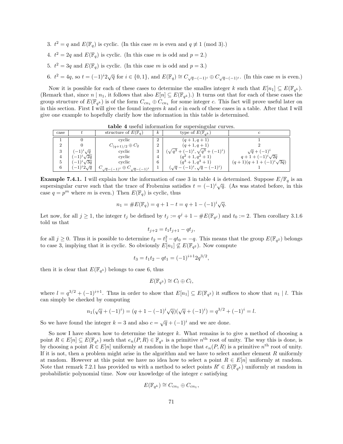- 3.  $t^2 = q$  and  $E(\mathbb{F}_q)$  is cyclic. (In this case m is even and  $q \neq 1 \pmod{3}$ .)
- 4.  $t^2 = 2q$  and  $E(\mathbb{F}_q)$  is cyclic. (In this case m is odd and  $p = 2$ .)
- 5.  $t^2 = 3q$  and  $E(\mathbb{F}_q)$  is cyclic. (In this case m is odd and  $p = 3$ .)
- 6.  $t^2 = 4q$ , so  $t = (-1)^i 2\sqrt{q}$  for  $i \in \{0, 1\}$ , and  $E(\mathbb{F}_q) \cong C_{\sqrt{q} (-1)^i} \oplus C_{\sqrt{q} (-1)^i}$ . (In this case m is even.)

Now it is possible for each of these cases to determine the smalles integer k such that  $E[n_1] \subseteq E(\mathbb{F}_{q^k})$ . (Remark that, since  $n \mid n_1$ , it follows that also  $E[n] \subseteq E(\mathbb{F}_{q^k})$ .) It turns out that for each of these cases the group structure of  $E(\mathbb{F}_{q^k})$  is of the form  $C_{cn_1} \oplus C_{cn_1}$  for some integer c. This fact will prove useful later on in this section. First I will give the found integers  $k$  and  $c$  in each of these cases in a table. After that I will give one example to hopefully clarify how the information in this table is determined.

case <sup>t</sup> structure of <sup>E</sup>(Fq) <sup>k</sup> type of <sup>E</sup>(Fq<sup>k</sup> ) <sup>c</sup>  $\begin{array}{|c|c|c|c|c|c|c|c|}\n\hline\n1 & 0 & \text{cyclic} & 2 & (q+1, q+1) \\
2 & 0 & C_{(q+1)/2} & \oplus C_2 & 2 & (q+1, q+1) \\
\hline\n\end{array}$ 2 0  $C_{(q+1)/2} \oplus C_2$  2  $(q+1, q+1)$  2  $\begin{array}{c|c} 2 & 0 & C_{(q+1)/2} \oplus C_2 \ 3 & (-1)^i \sqrt{q} & \text{cyclic} \end{array} \qquad \begin{array}{c} 2 \ 3 \end{array}$  $\sqrt{q^3 + (-1)^i}, \sqrt{q^3 + (-1)^i}$  $\frac{2}{\sqrt{q} + (-1)^i}$ 4  $(-1)^i \sqrt{2q}$  $\frac{2q}{2q}$  cyclic  $\begin{pmatrix} 3 & (\sqrt{q^2 + (-1)}, \sqrt{q^2 + (-1)}) \\ 4 & (q^2 + 1, q^2 + 1) \end{pmatrix}$   $\begin{pmatrix} \sqrt{q^2 + (-1)} \\ q + 1 + (-1)^i \end{pmatrix}$  $q+1+(-1)^{i}\sqrt{2q}$ 5  $(-1)^i \sqrt{3q}$  $\frac{2q}{3q}$  cyclic  $\begin{pmatrix} 4 \\ 6 \end{pmatrix}$   $\begin{pmatrix} q+1, q+1 \\ (q^3+1, q^3+1) \end{pmatrix}$   $\begin{pmatrix} q+1+(-1) \sqrt{2q} \\ (q+1)(q+1+(-1)^i \sqrt{2q} \end{pmatrix}$  $(q+1)(q+1+(-1)^{i}\sqrt{3q})$ 6  $(-1)^i 2\sqrt{q}$  $C_{\sqrt{q} - (-1)^i}$  ⊕  $C_{\sqrt{q} - (-1)^i}$  | 6  $\sqrt{q} - (-1)^i, \sqrt{q} - (-1)^i$ ) 1

table 4 useful information for supersingular curves.

**Example 7.4.1.** I will explain how the information of case 3 in table 4 is determined. Suppose  $E/\mathbb{F}_q$  is an supersingular curve such that the trace of Frobenius satisfies  $t = (-1)^i \sqrt{q}$ . (As was stated before, in this case  $q = p^m$  where m is even.) Then  $E(\mathbb{F}_q)$  is cyclic, thus

$$
n_1 = \#E(\mathbb{F}_q) = q + 1 - t = q + 1 - (-1)^i \sqrt{q}.
$$

Let now, for all  $j \ge 1$ , the integer  $t_j$  be defined by  $t_j := q^j + 1 - \#E(\mathbb{F}_{q^j})$  and  $t_0 := 2$ . Then corollary 3.1.6 told us that

$$
t_{j+2} = t_1 t_{j+1} - q t_j,
$$

for all  $j \geq 0$ . Thus it is possible to determine  $t_2 = t_1^2 - qt_0 = -q$ . This means that the group  $E(\mathbb{F}_{q^2})$  belongs to case 3, implying that it is cyclic. So obviously  $E[n_1] \not\subseteq E(\mathbb{F}_{q^2})$ . Now compute

$$
t_3 = t_1 t_2 - qt_1 = (-1)^{i+1} 2q^{3/2},
$$

then it is clear that  $E(\mathbb{F}_{q^3})$  belongs to case 6, thus

$$
E(\mathbb{F}_{q^3}) \cong C_l \oplus C_l,
$$

where  $l = q^{3/2} + (-1)^{i+1}$ . Thus in order to show that  $E[n_1] \subseteq E(\mathbb{F}_{q^3})$  it suffices to show that  $n_1 \mid l$ . This can simply be checked by computing

$$
n_1(\sqrt{q} + (-1)^i) = (q + 1 - (-1)^i \sqrt{q})(\sqrt{q} + (-1)^i) = q^{3/2} + (-1)^i = l.
$$

So we have found the integer  $k = 3$  and also  $c = \sqrt{q} + (-1)^i$  and we are done.

So now I have shown how to determine the integer  $k$ . What remains is to give a method of choosing a point  $R \in E[n] \subseteq E(\mathbb{F}_{q^k})$  such that  $e_n(P,R) \in \mathbb{F}_{q^k}$  is a primitive  $n^{\text{th}}$  root of unity. The way this is done, is by choosing a point  $R \in E[n]$  uniformly at random in the hope that  $e_n(P, R)$  is a primitive  $n^{\text{th}}$  root of unity. If it is not, then a problem might arise in the algorithm and we have to select another element  $R$  uniformly at random. However at this point we have no idea how to select a point  $R \in E[n]$  uniformly at random. Note that remark 7.2.1 has provided us with a method to select points  $R' \in E(\mathbb{F}_{q^k})$  uniformly at random in probabilistic polynomial time. Now our knowledge of the integer  $c$  satisfying

$$
E(\mathbb{F}_{q^k}) \cong C_{cn_1} \oplus C_{cn_1},
$$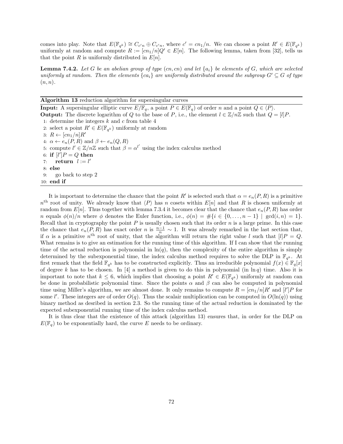comes into play. Note that  $E(\mathbb{F}_{q^k}) \cong C_{c'n} \oplus C_{c'n}$ , where  $c' = cn_1/n$ . We can choose a point  $R' \in E(\mathbb{F}_{q^k})$ uniformly at random and compute  $R := [cn_1/n]Q' \in E[n]$ . The following lemma, taken from [32], tells us that the point R is uniformly distributed in  $E[n]$ .

**Lemma 7.4.2.** Let G be an abelian group of type  $(cn, cn)$  and let  $\{a_i\}$  be elements of G, which are selected uniformly at random. Then the elements  ${ca_i}$  are uniformly distributed around the subgroup  $G' \subseteq G$  of type  $(n, n).$ 

Algorithm 13 reduction algorithm for supersingular curves

**Input:** A supersingular elliptic curve  $E/\mathbb{F}_q$ , a point  $P \in E(\mathbb{F}_q)$  of order n and a point  $Q \in \langle P \rangle$ . **Output:** The discrete logarithm of Q to the base of P, i.e., the element  $l \in \mathbb{Z}/n\mathbb{Z}$  such that  $Q = [l]P$ . 1: determine the integers  $k$  and  $c$  from table 4 2: select a point  $R' \in E(\mathbb{F}_{q^k})$  uniformly at random 3:  $R \leftarrow [cn_1/n]R'$ 4:  $\alpha \leftarrow e_n(P, R)$  and  $\beta \leftarrow e_n(Q, R)$ 5: compute  $l' \in \mathbb{Z}/n\mathbb{Z}$  such that  $\beta = \alpha^{l'}$  using the index calculus method 6: if  $[l']P = Q$  then 7: return  $l := l'$ 8: else 9: go back to step 2 10: end if

It is important to determine the chance that the point R' is selected such that  $\alpha = e_n(P, R)$  is a primitive  $n<sup>th</sup>$  root of unity. We already know that  $\langle P \rangle$  has n cosets within  $E[n]$  and that R is chosen uniformly at random from  $E[n]$ . Thus together with lemma 7.3.4 it becomes clear that the chance that  $e_n(P, R)$  has order n equals  $\phi(n)/n$  where  $\phi$  denotes the Euler function, i.e.,  $\phi(n) = #\{i \in \{0, \ldots, n-1\} \mid \gcd(i,n) = 1\}$ . Recall that in cryptography the point  $P$  is usually chosen such that its order  $n$  is a large prime. In this case the chance that  $e_n(P, R)$  has exact order n is  $\frac{n-1}{n} \sim 1$ . It was already remarked in the last section that, if  $\alpha$  is a primitive  $n^{\text{th}}$  root of unity, that the algorithm will return the right value l such that  $[l]P = Q$ . What remains is to give an estimation for the running time of this algorithm. If I can show that the running time of the actual reduction is polynomial in  $\ln(q)$ , then the complexity of the entire algorithm is simply determined by the subexponential time, the index calculus method requires to solve the DLP in  $\mathbb{F}_{q^k}$ . At first remark that the field  $\mathbb{F}_{q^k}$  has to be constructed explicitly. Thus an irreducible polynomial  $f(x) \in \mathbb{F}_q[x]$ of degree k has to be chosen. In [4] a method is given to do this in polynomial (in  $\ln q$ ) time. Also it is important to note that  $k \leq 6$ , which implies that choosing a point  $R' \in E(\mathbb{F}_{q^k})$  uniformly at random can be done in probabilistic polynomial time. Since the points  $\alpha$  and  $\beta$  can also be computed in polynomial time using Miller's algorithm, we are almost done. It only remains to compute  $R = [cn_1/n]R'$  and  $[l']P$  for some l'. These integers are of order  $O(q)$ . Thus the scalair multiplication can be computed in  $O(\ln(q))$  using binary method as desribed in section 2.3. So the running time of the actual reduction is dominated by the expected subexponential running time of the index calculus method.

It is thus clear that the existence of this attack (algorithm 13) ensures that, in order for the DLP on  $E(\mathbb{F}_q)$  to be exponentially hard, the curve E needs to be ordinary.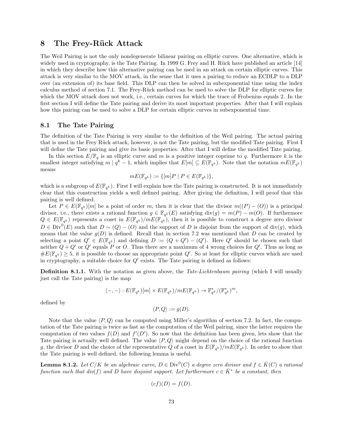## 8 The Frey-Rück Attack

The Weil Pairing is not the only nondegenerate bilinear pairing on elliptic curves. One alternative, which is widely used in cryptography, is the Tate Pairing. In 1999 G. Frey and H. Rück have published an article [14] in which they describe how this alternative pairing can be used in an attack on certain elliptic curves. This attack is very similar to the MOV attack, in the sense that it uses a pairing to reduce an ECDLP to a DLP over (an extension of) its base field. This DLP can then be solved in subexponential time using the index calculus method of section 7.1. The Frey-R¨uck method can be used to solve the DLP for elliptic curves for which the MOV attack does not work, i.e., certain curves for which the trace of Frobenius equals 2. In the first section I will define the Tate pairing and derive its most important properties. After that I will explain how this pairing can be used to solve a DLP for certain elliptic curves in subexponential time.

## 8.1 The Tate Pairing

The definition of the Tate Pairing is very similar to the definition of the Weil pairing. The actual pairing that is used in the Frey Rück attack, however, is not the Tate pairing, but the modified Tate pairing. First I will define the Tate pairing and give its basic properties. After that I will define the modified Tate pairing.

In this section  $E/\mathbb{F}_q$  is an elliptic curve and m is a positive integer coprime to q. Furthermore k is the smallest integer satisfying  $m \mid q^k-1$ , which implies that  $E[m] \subseteq E(\mathbb{F}_{q^k})$ . Note that the notation  $mE(\mathbb{F}_{q^k})$ means

$$
mE(\mathbb{F}_{q^k}) := \{ [m]P \mid P \in E(\mathbb{F}_{q^k}) \},
$$

which is a subgroup of  $E(\mathbb{F}_{q^k})$ . First I will explain how the Tate pairing is constructed. It is not immediately clear that this construction yields a well defined pairing. After giving the definition, I will proof that this pairing is well defined.

Let  $P \in E(\mathbb{F}_{q^k})[m]$  be a point of order m, then it is clear that the divisor  $m((P) - (O))$  is a principal divisor, i.e., there exists a rational function  $g \in \mathbb{F}_{q^k}(E)$  satisfying  $\text{div}(g) = m(P) - m(O)$ . If furthermore  $Q \in E(\mathbb{F}_{q^k})$  represents a coset in  $E(\mathbb{F}_{q^k})/mE(\mathbb{F}_{q^k})$ , then it is possible to construct a degree zero divisor  $D \in Div^{0}(E)$  such that  $D \sim (Q) - (O)$  and the support of D is disjoint from the support of div(g), which means that the value  $g(D)$  is defined. Recall that in section 7.2 was mentioned that D can be created by selecting a point  $Q' \in E(\mathbb{F}_{q^k})$  and defining  $D := (Q + Q') - (Q')$ . Here  $Q'$  should be chosen such that neither  $Q + Q'$  or  $Q'$  equals P or O. Thus there are a maximum of 4 wrong choices for  $Q'$ . Thus as long as  $\#E(\mathbb{F}_{q^k}) \geq 5$ , it is possible to choose an appropriate point  $Q'$ . So at least for elliptic curves which are used in cryptography, a suitable choice for  $Q'$  exists. The Tate pairing is defined as follows:

**Definition 8.1.1.** With the notation as given above, the Tate-Lichtenbaum pairing (which I will usually just call the Tate pairing) is the map

$$
\langle -, - \rangle : E(\mathbb{F}_{q^k})[m] \times E(\mathbb{F}_{q^k})/mE(\mathbb{F}_{q^k}) \to \mathbb{F}_{q^k}^*/(\mathbb{F}_{q^k}^*)^m,
$$

defined by

$$
\langle P, Q \rangle := g(D).
$$

Note that the value  $\langle P, Q \rangle$  can be computed using Miller's algorithm of section 7.2. In fact, the computation of the Tate pairing is twice as fast as the computation of the Weil pairing, since the latter requires the computation of two values  $f(D)$  and  $f'(D')$ . So now that the definition has been given, lets show that the Tate pairing is actually well defined. The value  $\langle P, Q \rangle$  might depend on the choice of the rational function g, the divisor D and the choice of the representative Q of a coset in  $E(\mathbb{F}_{q^k})/mE(\mathbb{F}_{q^k})$ . In order to show that the Tate pairing is well defined, the following lemma is useful.

**Lemma 8.1.2.** Let  $C/K$  be an algebraic curve,  $D \in Div^0(C)$  a degree zero divisor and  $f \in \overline{K}(C)$  a rational function such that  $div(f)$  and D have disjoint support. Let furthermore  $c \in \overline{K}^*$  be a constant, then

$$
(cf)(D) = f(D).
$$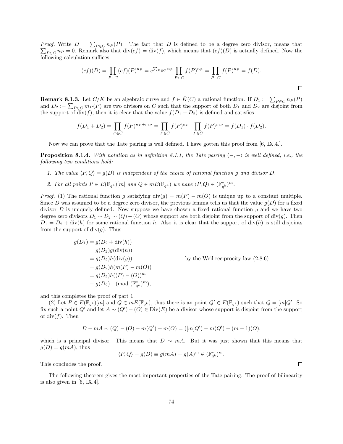*Proof.* Write  $D = \sum_{P \in C} n_P(P)$ . The fact that D is defined to be a degree zero divisor, means that  $\sum_{P \in C} n_P = 0$ . Remark also that  $\text{div}(cf) = \text{div}(f)$ , which means that  $(cf)(D)$  is actually defined. Now the following calculation suffices:

$$
(cf)(D) = \prod_{P \in C} (cf)(P)^{n_P} = c^{\sum_{P \in C} n_P} \prod_{P \in C} f(P)^{n_P} = \prod_{P \in C} f(P)^{n_P} = f(D).
$$

**Remark 8.1.3.** Let  $C/K$  be an algebraic curve and  $f \in \overline{K}(C)$  a rational function. If  $D_1 := \sum_{P \in C} n_P(P)$ and  $D_2 := \sum_{P \in C} m_P(P)$  are two divisors on C such that the support of both  $D_1$  and  $D_2$  are disjoint from the support of div(f), then it is clear that the value  $f(D_1 + D_2)$  is defined and satisfies

$$
f(D_1 + D_2) = \prod_{P \in C} f(P)^{n_P + m_P} = \prod_{P \in C} f(P)^{n_P} \cdot \prod_{P \in C} f(P)^{m_P} = f(D_1) \cdot f(D_2).
$$

Now we can prove that the Tate pairing is well defined. I have gotten this proof from [6, IX.4.].

**Proposition 8.1.4.** With notation as in definition 8.1.1, the Tate pairing  $\langle -, - \rangle$  is well defined, i.e., the following two conditions hold:

- 1. The value  $\langle P, Q \rangle = g(D)$  is independent of the choice of rational function g and divisor D.
- 2. For all points  $P \in E(\mathbb{F}_{q^k})[m]$  and  $Q \in mE(\mathbb{F}_{q^k})$  we have  $\langle P, Q \rangle \in (\mathbb{F}_{q^k}^*)^m$ .

*Proof.* (1) The rational function g satisfying  $\text{div}(g) = m(P) - m(O)$  is unique up to a constant multiple. Since D was assumed to be a degree zero divisor, the previous lemma tells us that the value  $q(D)$  for a fixed divisor D is uniquely defined. Now suppose we have chosen a fixed rational function  $g$  and we have two degree zero divisors  $D_1 \sim D_2 \sim (Q) - (O)$  whose support are both disjoint from the support of div(g). Then  $D_1 = D_2 + \text{div}(h)$  for some rational function h. Also it is clear that the support of  $\text{div}(h)$  is still disjoints from the support of  $div(g)$ . Thus

$$
g(D_1) = g(D_2 + \text{div}(h))
$$
  
=  $g(D_2)g(\text{div}(h))$   
=  $g(D_2)h(\text{div}(g))$   
=  $g(D_2)h(m(P) - m(O))$   
=  $g(D_2)h((P) - (O))^m$   
=  $g(D_2)$  (mod  $(\mathbb{F}_{q^k}^*)^m$ ),

by the Weil reciprocity law  $(2.8.6)$ 

and this completes the proof of part 1.

(2) Let  $P \in E(\mathbb{F}_{q^k})[m]$  and  $Q \in mE(\mathbb{F}_{q^k})$ , thus there is an point  $Q' \in E(\mathbb{F}_{q^k})$  such that  $Q = [m]Q'$ . So fix such a point Q' and let  $A \sim (Q') - (O) \in Div(E)$  be a divisor whose support is disjoint from the support of div $(f)$ . Then

$$
D - mA \sim (Q) - (O) - m(Q') + m(O) = ([m]Q') - m(Q') + (m - 1)(O),
$$

which is a principal divisor. This means that  $D \sim mA$ . But it was just shown that this means that  $g(D) = g(mA)$ , thus

$$
\langle P, Q \rangle = g(D) \equiv g(mA) = g(A)^m \in (\mathbb{F}_{q^k}^*)^m.
$$

This concludes the proof.

The following theorem gives the most important properties of the Tate pairing. The proof of bilinearity is also given in [6, IX.4].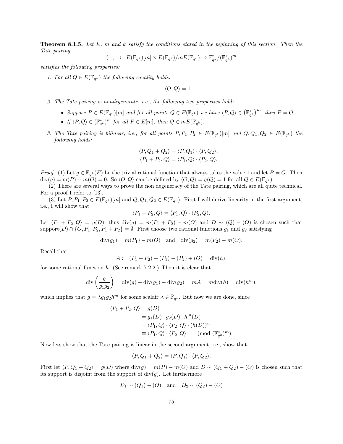**Theorem 8.1.5.** Let  $E$ ,  $m$  and  $k$  satisfy the conditions stated in the beginning of this section. Then the Tate pairing

$$
\langle-,-\rangle:E(\mathbb{F}_{q^k})[m]\times E(\mathbb{F}_{q^k})/mE(\mathbb{F}_{q^k})\rightarrow \mathbb{F}_{q^k}^*/(\mathbb{F}_{q^k}^*)^m
$$

satisfies the following properties:

1. For all  $Q \in E(\mathbb{F}_{q^k})$  the following equality holds:

$$
\langle O, Q \rangle = 1.
$$

- 2. The Tate pairing is nondegenerate, i.e., the following two properties hold:
	- Suppose  $P \in E(\mathbb{F}_{q^k})[m]$  and for all points  $Q \in E(\mathbb{F}_{q^k})$  we have  $\langle P, Q \rangle \in (\mathbb{F}_{q^k}^*)^m$ , then  $P = O$ .
	- If  $\langle P, Q \rangle \in (\mathbb{F}_{q^k}^*)^m$  for all  $P \in E[m]$ , then  $Q \in mE(\mathbb{F}_{q^k})$ .
- 3. The Tate pairing is bilinear, i.e., for all points  $P, P_1, P_2 \in E(\mathbb{F}_{q^k})[m]$  and  $Q, Q_1, Q_2 \in E(\mathbb{F}_{q^k})$  the following holds:

$$
\langle P, Q_1 + Q_2 \rangle = \langle P, Q_1 \rangle \cdot \langle P, Q_2 \rangle,
$$
  

$$
\langle P_1 + P_2, Q \rangle = \langle P_1, Q \rangle \cdot \langle P_2, Q \rangle.
$$

*Proof.* (1) Let  $g \in \mathbb{F}_{q^k}(E)$  be the trivial rational function that always takes the value 1 and let  $P = O$ . Then  $\text{div}(g) = m(P) - m(O) = 0.$  So  $\langle O, Q \rangle$  can be defined by  $\langle O, Q \rangle = g(Q) = 1$  for all  $Q \in E(\mathbb{F}_{q^k})$ .

(2) There are several ways to prove the non degeneracy of the Tate pairing, which are all quite technical. For a proof I refer to [13].

(3) Let  $P, P_1, P_2 \in E(\mathbb{F}_{q^k})[m]$  and  $Q, Q_1, Q_2 \in E(\mathbb{F}_{q^k})$ . First I will derive linearity in the first argument, i.e., I will show that

$$
\langle P_1 + P_2, Q \rangle = \langle P_1, Q \rangle \cdot \langle P_2, Q \rangle.
$$

Let  $\langle P_1 + P_2, Q \rangle = g(D)$ , thus div $(g) = m(P_1 + P_2) - m(O)$  and  $D \sim (Q) - (O)$  is chosen such that support $(D) \cap \{O, P_1, P_2, P_1 + P_2\} = \emptyset$ . First choose two rational functions  $g_1$  and  $g_2$  satisfying

$$
div(g_1) = m(P_1) - m(O)
$$
 and  $div(g_2) = m(P_2) - m(O)$ .

Recall that

$$
A := (P_1 + P_2) - (P_1) - (P_2) + (O) = \text{div}(h),
$$

for some rational function  $h$ . (See remark 7.2.2.) Then it is clear that

$$
\operatorname{div}\left(\frac{g}{g_1g_2}\right) = \operatorname{div}(g) - \operatorname{div}(g_1) - \operatorname{div}(g_2) = mA = m\operatorname{div}(h) = \operatorname{div}(h^m),
$$

which implies that  $g = \lambda g_1 g_2 h^m$  for some scalair  $\lambda \in \bar{\mathbb{F}}_{q^k}$ . But now we are done, since

$$
\langle P_1 + P_2, Q \rangle = g(D)
$$
  
=  $g_1(D) \cdot g_2(D) \cdot h^m(D)$   
=  $\langle P_1, Q \rangle \cdot \langle P_2, Q \rangle \cdot (h(D))^m$   
 $\equiv \langle P_1, Q \rangle \cdot \langle P_2, Q \rangle \pmod{(\mathbb{F}_{q^k}^*)^m}.$ 

Now lets show that the Tate pairing is linear in the second argument, i.e., show that

$$
\langle P, Q_1 + Q_2 \rangle = \langle P, Q_1 \rangle \cdot \langle P, Q_2 \rangle.
$$

First let  $\langle P, Q_1 + Q_2 \rangle = g(D)$  where  $\text{div}(g) = m(P) - m(O)$  and  $D \sim (Q_1 + Q_2) - (O)$  is chosen such that its support is disjoint from the support of  $div(q)$ . Let furthermore

$$
D_1 \sim (Q_1) - (O)
$$
 and  $D_2 \sim (Q_2) - (O)$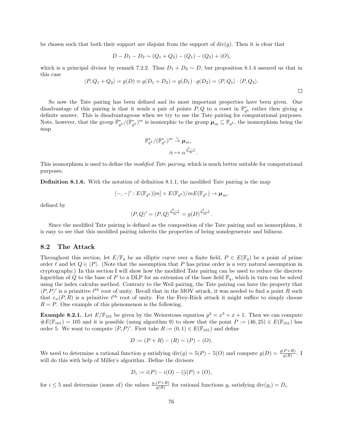be chosen such that both their support are disjoint from the support of  $div(q)$ . Then it is clear that

$$
D - D_1 - D_2 \sim (Q_1 + Q_2) - (Q_1) - (Q_2) + (O),
$$

which is a principal divisor by remark 7.2.2. Thus  $D_1 + D_2 \sim D$ , but proposition 8.1.4 assured us that in this case

$$
\langle P, Q_1 + Q_2 \rangle = g(D) \equiv g(D_1 + D_2) = g(D_1) \cdot g(D_2) = \langle P, Q_1 \rangle \cdot \langle P, Q_2 \rangle.
$$

 $\Box$ 

So now the Tate pairing has been defined and its most important properties have been given. One disadvantage of this pairing is that it sends a pair of points  $P, Q$  to a coset in  $\mathbb{F}_{q^k}^*$  rather then giving a definite answer. This is disadvantageous when we try to use the Tate pairing for computational purposes. Note, however, that the group  $\mathbb{F}_{q^k}^*/(\mathbb{F}_{q^k}^*)^m$  is isomorphic to the group  $\mu_m \subseteq \mathbb{F}_{q^k}$ , the isomorphism being the map

$$
\mathbb{F}_{q^k}^*/(\mathbb{F}_{q^k}^*)^m \overset{\sim}{\to} \boldsymbol{\mu}_m,
$$
  

$$
\bar{\alpha} \mapsto \alpha^{\frac{q^k-1}{m}}.
$$

This isomorphism is used to define the *modified Tate pairing*, which is much better suitable for computational purposes.

Definition 8.1.6. With the notation of definition 8.1.1, the modified Tate pairing is the map

$$
\langle -, - \rangle' : E(\mathbb{F}_{q^k})[m] \times E(\mathbb{F}_{q^k})/mE(\mathbb{F}_{q^k}) \to \mu_m,
$$

defined by

$$
\langle P, Q \rangle' = \langle P, Q \rangle^{\frac{q^k - 1}{m}} = g(D)^{\frac{q^k - 1}{m}}.
$$

Since the modified Tate pairing is defined as the composition of the Tate pairing and an isomorphism, it is easy to see that this modified pairing inherits the properties of being nondegenerate and bilinear.

## 8.2 The Attack

Throughout this section, let  $E/\mathbb{F}_q$  be an elliptic curve over a finite field,  $P \in E(\mathbb{F}_q)$  be a point of prime order  $\ell$  and let  $Q \in \langle P \rangle$ . (Note that the assumption that P has prime order is a very natural assumption in cryptography.) In this section I will show how the modified Tate pairing can be used to reduce the discrete logarithm of Q to the base of P to a DLP for an extension of the base field  $\mathbb{F}_q$ , which in turn can be solved using the index calculus method. Contrary to the Weil pairing, the Tate pairing can have the property that  $\langle P, P \rangle'$  is a primitive  $\ell^{\text{th}}$  root of unity. Recall that in the MOV attack, it was needed to find a point R such that  $e_n(P, R)$  is a primitive  $\ell^{\text{th}}$  root of unity. For the Frey-Rück attack it might suffice to simply choose  $R = P$ . One example of this phenomenon is the following.

**Example 8.2.1.** Let  $E/\mathbb{F}_{101}$  be given by the Weierstrass equation  $y^2 = x^3 + x + 1$ . Then we can compute  $\#E(\mathbb{F}_{101}) = 105$  and it is possible (using algorithm 9) to show that the point  $P := (46, 25) \in E(\mathbb{F}_{101})$  has order 5. We want to compute  $\langle P, P \rangle'$ . First take  $R := (0, 1) \in E(\mathbb{F}_{101})$  and define

$$
D := (P + R) - (R) \sim (P) - (O).
$$

We need to determine a rational function g satisfying  $\text{div}(g) = 5(P) - 5(O)$  and compute  $g(D) = \frac{g(P+R)}{g(R)}$ . I will do this with help of Miller's algorithm. Define the divisors

$$
D_i := i(P) - i(O) - ([i]P) + (O),
$$

for  $i \leq 5$  and determine (some of) the values  $\frac{g_i(P+R)}{g(R)}$  for rational functions  $g_i$  satisfying  $\text{div}(g_i) = D_i$ .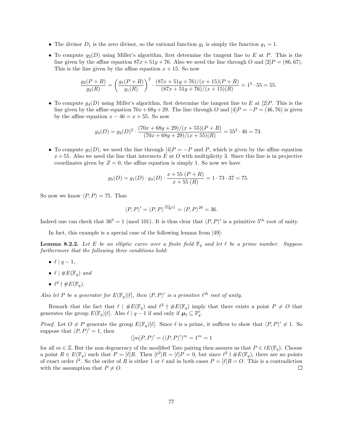- The divisor  $D_1$  is the zero divisor, so the rational function  $g_1$  is simply the function  $g_1 = 1$ .
- To compute  $g_2(D)$  using Miller's algorithm, first determine the tangent line to E at P. This is the line given by the affine equation  $87x + 51y + 76$ . Also we need the line through O and  $[2]P = (86, 67)$ . This is the line given by the affine equation  $x + 15$ . So now

$$
\frac{g_2(P+R)}{g_2(R)} = \left(\frac{g_1(P+R)}{g_1(R)}\right)^2 \cdot \frac{(87x+51y+76)/(x+15)(P+R)}{(87x+51y+76)/(x+15)(R)} = 1^2 \cdot 55 = 55.
$$

• To compute  $g_4(D)$  using Miller's algorithm, first determine the tangent line to E at  $[2]P$ . This is the line given by the affine equation  $70x+68y+29$ . The line through O and  $[4]P = -P = (46, 76)$  is given by the affine equation  $x - 46 = x + 55$ . So now

$$
g_4(D) = g_2(D)^2 \cdot \frac{(70x + 68y + 29)/(x + 55)(P + R)}{(70x + 68y + 29)/(x + 55)(R)} = 55^2 \cdot 46 = 73.
$$

• To compute  $g_5(D)$ , we need the line through  $[4]P = -P$  and P, which is given by the affine equation  $x + 55$ . Also we need the line that intersects E at O with multiplicity 3. Since this line is in projective coordinates given by  $Z = 0$ , the affine equation is simply 1. So now we have

$$
g_5(D) = g_1(D) \cdot g_4(D) \cdot \frac{x + 55 (P + R)}{x + 55 (R)} = 1 \cdot 73 \cdot 37 = 75.
$$

So now we know  $\langle P, P \rangle = 75$ . Thus

$$
\langle P, P \rangle' = \langle P, P \rangle^{\frac{101-1}{5}} = \langle P, P \rangle^{20} = 36.
$$

Indeed one can check that  $36^5 = 1 \pmod{101}$ . It is thus clear that  $\langle P, P \rangle'$  is a primitive  $5^{\text{th}}$  root of unity.

In fact, this example is a special case of the following lemma from [49]:

**Lemma 8.2.2.** Let E be an elliptic curve over a finite field  $\mathbb{F}_q$  and let  $\ell$  be a prime number. Suppose furthermore that the following three conditions hold:

- $\ell \mid q-1$ ,
- $\ell \mid \#E(\mathbb{F}_q)$  and
- $\ell^2 \nmid \#E(\mathbb{F}_q)$ .

Also let P be a generator for  $E(\mathbb{F}_q)[\ell]$ , then  $\langle P, P \rangle'$  is a primitive  $\ell^{th}$  root of unity.

Remark that the fact that  $\ell \mid \#E(\mathbb{F}_q)$  and  $\ell^2 \nmid \#E(\mathbb{F}_q)$  imply that there exists a point  $P \neq O$  that generates the group  $E(\mathbb{F}_q)[\ell]$ . Also  $\ell \mid q-1$  if and only if  $\mu_\ell \subseteq \mathbb{F}_q^*$ .

*Proof.* Let  $O \neq P$  generate the group  $E(\mathbb{F}_q)[\ell]$ . Since  $\ell$  is a prime, it suffices to show that  $\langle P, P \rangle' \neq 1$ . So suppose that  $\langle P, P \rangle' = 1$ , then

$$
\langle [m]P, P \rangle' = (\langle P, P \rangle')^m = 1^m = 1
$$

for all  $m \in \mathbb{Z}$ . But the non degeneracy of the modified Tate pairing then assures us that  $P \in \ell E(\mathbb{F}_q)$ . Choose a point  $R \in E(\mathbb{F}_q)$  such that  $P = [\ell]R$ . Then  $[\ell^2]R = [\ell]P = 0$ , but since  $\ell^2 \nmid \#E(\mathbb{F}_q)$ , there are no points of exact order  $\ell^2$ . So the order of R is either 1 or  $\ell$  and in both cases  $P = [\ell]R = O$ . This is a contradiction with the assumption that  $P \neq O$ .  $\Box$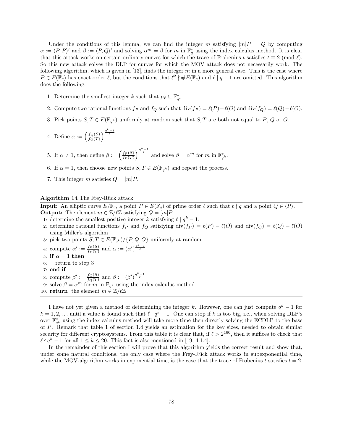Under the conditions of this lemma, we can find the integer m satisfying  $[m]P = Q$  by computing  $\alpha := \langle P, P \rangle'$  and  $\beta := \langle P, Q \rangle'$  and solving  $\alpha^m = \beta$  for m in  $\mathbb{F}_q^*$  using the index calculus method. It is clear that this attack works on certain ordinary curves for which the trace of Frobenius t satisfies  $t \equiv 2 \pmod{l}$ . So this new attack solves the DLP for curves for which the MOV attack does not necessarily work. The following algorithm, which is given in [13], finds the integer  $m$  in a more general case. This is the case where  $P \in E(\mathbb{F}_q)$  has exact order  $\ell$ , but the conditions that  $\ell^2 \nmid \#E(\mathbb{F}_q)$  and  $\ell \mid q-1$  are omitted. This algorithm does the following:

- 1. Determine the smallest integer k such that  $\mu_{\ell} \subseteq \mathbb{F}_{q^k}^*$ .
- 2. Compute two rational functions  $f_P$  and  $f_Q$  such that  $\text{div}(f_P) = \ell(P) \ell(O)$  and  $\text{div}(f_Q) = \ell(Q) \ell(O)$ .
- 3. Pick points  $S, T \in E(\mathbb{F}_{q^k})$  uniformly at random such that  $S, T$  are both not equal to P, Q or O.
- 4. Define  $\alpha := \left( \frac{f_Q(S)}{f_Q(T)} \right)$  $\frac{f_Q(S)}{f_Q(T)}\bigg)^{\frac{q^k-1}{\ell}}.$

5. If  $\alpha \neq 1$ , then define  $\beta := \left(\frac{f_P(S)}{f_P(T)}\right)$  $\frac{f_P(S)}{f_P(T)}\Big)^{\frac{q^k-1}{\ell}}$  and solve  $\beta = \alpha^m$  for  $m$  in  $\mathbb{F}_{q^k}^*$ .

- 6. If  $\alpha = 1$ , then choose new points  $S, T \in E(\mathbb{F}_{q^k})$  and repeat the process.
- 7. This integer m satisfies  $Q = [m]P$ .

#### Algorithm 14 The Frey-Rück attack

**Input:** An elliptic curve  $E/\mathbb{F}_q$ , a point  $P \in E(\mathbb{F}_q)$  of prime order  $\ell$  such that  $\ell \nmid q$  and a point  $Q \in \langle P \rangle$ . **Output:** The element  $m \in \mathbb{Z}/\ell\mathbb{Z}$  satisfying  $Q = [m]P$ .

- 1: determine the smallest positive integer k satisfying  $\ell | q^k 1$ .
- 2: determine rational functions  $f_P$  and  $f_Q$  satisfying  $\text{div}(f_P) = \ell(P) \ell(O)$  and  $\text{div}(f_Q) = \ell(Q) \ell(O)$ using Miller's algorithm
- 3: pick two points  $S, T \in E(\mathbb{F}_{q^k}) / \{P, Q, O\}$  uniformly at random
- 4: compute  $\alpha' := \frac{f_P(S)}{f_P(T)}$  $\frac{f_P(S)}{f_P(T)}$  and  $\alpha := (\alpha')^{\frac{q^k-1}{\ell}}$
- 5: if  $\alpha = 1$  then
- 6: return to step 3
- 7: end if
- 8: compute  $\beta' := \frac{f_Q(S)}{f_Q(T)}$  $\frac{f_Q(S)}{f_Q(T)}$  and  $\beta := (\beta')^{\frac{q^k-1}{\ell}}$
- 9: solve  $\beta = \alpha^m$  for m in  $\mathbb{F}_{q^k}$  using the index calculus method
- 10: return the element  $m \in \mathbb{Z}/\ell\mathbb{Z}$

I have not yet given a method of determining the integer k. However, one can just compute  $q^k-1$  for  $k = 1, 2, \ldots$  until a value is found such that  $\ell \mid q^k - 1$ . One can stop if k is too big, i.e., when solving DLP's over  $\mathbb{F}_{q^k}^*$  using the index calculus method will take more time then directly solving the ECDLP to the base of P. Remark that table 1 of section 1.4 yields an estimation for the key sizes, needed to obtain similar security for different cryptosystems. From this table it is clear that, if  $\ell > 2^{160}$ , then it suffices to check that  $\ell \nmid q^k - 1$  for all  $1 \leq k \leq 20$ . This fact is also mentioned in [19, 4.1.4].

In the remainder of this section I will prove that this algorithm yields the correct result and show that, under some natural conditions, the only case where the Frey-Rück attack works in subexponential time, while the MOV-algorithm works in exponential time, is the case that the trace of Frobenius t satisfies  $t = 2$ .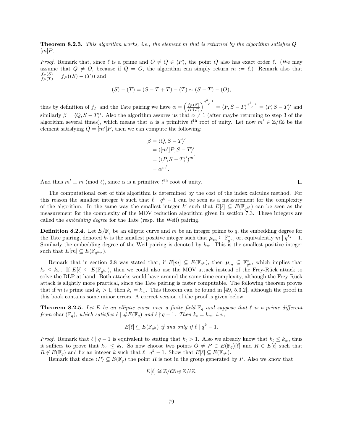**Theorem 8.2.3.** This algorithm works, i.e., the element m that is returned by the algorithm satisfies  $Q =$  $[m]P$ .

*Proof.* Remark that, since  $\ell$  is a prime and  $O \neq Q \in \langle P \rangle$ , the point Q also has exact order  $\ell$ . (We may assume that  $Q \neq O$ , because if  $Q = O$ , the algorithm can simply return  $m := \ell$ .) Remark also that  $\frac{f_P(S)}{f_P(T)} = f_P((S) - (T))$  and

$$
(S) - (T) = (S - T + T) - (T) \sim (S - T) - (O),
$$

thus by definition of  $f_P$  and the Tate pairing we have  $\alpha = \left(\frac{f_P(S)}{f_P(T)}\right)$  $\frac{f_P(S)}{f_P(T)}\Big)^{\frac{q^k-1}{\ell}} = \langle P, S-T \rangle^{\frac{q^k-1}{\ell}} = \langle P, S-T \rangle'$  and similarly  $\beta = \langle Q, S - T \rangle'$ . Also the algorithm assures us that  $\alpha \neq 1$  (after maybe returning to step 3 of the algorithm several times), which means that  $\alpha$  is a primitive  $\ell^{\text{th}}$  root of unity. Let now  $m' \in \mathbb{Z}/\ell\mathbb{Z}$  be the element satisfying  $Q = [m']P$ , then we can compute the following:

$$
\beta = \langle Q, S - T \rangle'
$$
  
=  $\langle [m']P, S - T \rangle'$   
=  $(\langle P, S - T \rangle')^{m'}$   
=  $\alpha^{m'}$ .

And thus  $m' \equiv m \pmod{\ell}$ , since  $\alpha$  is a primitive  $\ell^{\text{th}}$  root of unity.

The computational cost of this algorithm is determined by the cost of the index calculus method. For this reason the smallest integer k such that  $\ell \mid q^k - 1$  can be seen as a measurement for the complexity of the algorithm. In the same way the smallest integer k' such that  $E[\ell] \subseteq E(\mathbb{F}_{q^{k'}})$  can be seen as the measurement for the complexity of the MOV reduction algorithm given in section 7.3. These integers are called the embedding degree for the Tate (resp. the Weil) pairing.

**Definition 8.2.4.** Let  $E/\mathbb{F}_q$  be an elliptic curve and m be an integer prime to q, the embedding degree for the Tate pairing, denoted  $k_t$  is the smallest positive integer such that  $\mu_m \subseteq \mathbb{F}_{q^{k_t}}^*$  or, equivalently  $m \mid q^{k_t} - 1$ . Similarly the embedding degree of the Weil pairing is denoted by  $k_w$ . This is the smallest positive integer such that  $E[m] \subseteq E(\mathbb{F}_{q^{k_w}})$ .

Remark that in section 2.8 was stated that, if  $E[m] \subseteq E(\mathbb{F}_{q^k})$ , then  $\mu_m \subseteq \mathbb{F}_{q^k}^*$ , which implies that  $k_t \leq k_w$ . If  $E[\ell] \subseteq E(\mathbb{F}_{q^{k_t}})$ , then we could also use the MOV attack instead of the Frey-Rück attack to solve the DLP at hand. Both attacks would have around the same time complexity, although the Frey-Rück attack is slightly more practical, since the Tate pairing is faster computable. The following theorem proves that if m is prime and  $k_t > 1$ , then  $k_t = k_w$ . This theorem can be found in [49, 5.3.2], although the proof in this book contains some minor errors. A correct version of the proof is given below.

**Theorem 8.2.5.** Let E be an elliptic curve over a finite field  $\mathbb{F}_q$  and suppose that  $\ell$  is a prime different from char  $(\mathbb{F}_q)$ , which satisfies  $\ell \mid \#E(\mathbb{F}_q)$  and  $\ell \nmid q - 1$ . Then  $k_t = k_w$ , i.e.,

$$
E[\ell] \subseteq E(\mathbb{F}_{q^k}) \text{ if and only if } \ell \mid q^k - 1.
$$

*Proof.* Remark that  $\ell \nmid q - 1$  is equivalent to stating that  $k_t > 1$ . Also we already know that  $k_t \leq k_w$ , thus it suffices to prove that  $k_w \leq k_t$ . So now choose two points  $O \neq P \in E(\mathbb{F}_q)[\ell]$  and  $R \in E[\ell]$  such that  $R \notin E(\mathbb{F}_q)$  and fix an integer k such that  $\ell \mid q^k - 1$ . Show that  $E[\ell] \subseteq E(\mathbb{F}_{q^k})$ .

Remark that since  $\langle P \rangle \subseteq E(\mathbb{F}_q)$  the point R is not in the group generated by P. Also we know that

$$
E[\ell] \cong \mathbb{Z}/\ell \mathbb{Z} \oplus \mathbb{Z}/\ell \mathbb{Z},
$$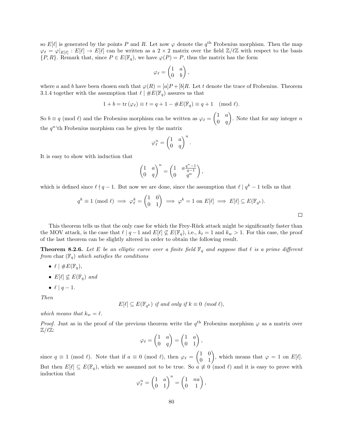so  $E[\ell]$  is generated by the points P and R. Let now  $\varphi$  denote the  $q^{\text{th}}$  Frobenius morphism. Then the map  $\varphi_{\ell} = \varphi|_{E[\ell]} : E[\ell] \to E[\ell]$  can be written as a  $2 \times 2$  matrix over the field  $\mathbb{Z}/\ell\mathbb{Z}$  with respect to the basis  $\{P, R\}$ . Remark that, since  $P \in E(\mathbb{F}_q)$ , we have  $\varphi(P) = P$ , thus the matrix has the form

$$
\varphi_{\ell} = \begin{pmatrix} 1 & a \\ 0 & b \end{pmatrix},
$$

where a and b have been chosen such that  $\varphi(R) = [a]P + [b]R$ . Let t denote the trace of Frobenius. Theorem 3.1.4 together with the assumption that  $\ell \mid \#E(\mathbb{F}_q)$  assures us that

$$
1 + b = \operatorname{tr}(\varphi_\ell) \equiv t = q + 1 - \#E(\mathbb{F}_q) \equiv q + 1 \pmod{\ell}.
$$

So  $b \equiv q \pmod{\ell}$  and the Frobenius morphism can be written as  $\varphi_{\ell} = \begin{pmatrix} 1 & a \\ 0 & a \end{pmatrix}$  $0 \quad q$ ). Note that for any integer  $n$ the  $q^n$ 'th Frobenius morphism can be given by the matrix

$$
\varphi^n_\ell=\begin{pmatrix} 1 & a \\ 0 & q\end{pmatrix}^n.
$$

It is easy to show with induction that

$$
\begin{pmatrix} 1 & a \\ 0 & q \end{pmatrix}^n = \begin{pmatrix} 1 & a\frac{q^n - 1}{q - 1} \\ 0 & q^n \end{pmatrix},
$$

which is defined since  $\ell \nmid q - 1$ . But now we are done, since the assumption that  $\ell | q^k - 1$  tells us that

$$
q^k \equiv 1 \pmod{\ell} \implies \varphi_{\ell}^k = \begin{pmatrix} 1 & 0 \\ 0 & 1 \end{pmatrix} \implies \varphi^k = 1 \text{ on } E[\ell] \implies E[\ell] \subseteq E(\mathbb{F}_{q^k}).
$$

This theorem tells us that the only case for which the Frey-Rück attack might be significantly faster than the MOV attack, is the case that  $\ell \mid q - 1$  and  $E[\ell] \not\subseteq E(\mathbb{F}_q)$ , i.e.,  $k_t = 1$  and  $k_w > 1$ . For this case, the proof of the last theorem can be slightly altered in order to obtain the following result.

**Theorem 8.2.6.** Let E be an elliptic curve over a finite field  $\mathbb{F}_q$  and suppose that  $\ell$  is a prime different from char  $(\mathbb{F}_q)$  which satisfies the conditions

- $\ell \mid \#E(\mathbb{F}_q),$
- $E[\ell] \nsubseteq E(\mathbb{F}_q)$  and
- $\ell \mid q-1$ .

Then

 $E[\ell] \subseteq E(\mathbb{F}_{q^k})$  if and only if  $k \equiv 0 \pmod{\ell}$ ,

which means that  $k_w = \ell$ .

*Proof.* Just as in the proof of the previous theorem write the  $q^{\text{th}}$  Frobenius morphism  $\varphi$  as a matrix over  $\mathbb{Z}/\ell\mathbb{Z}$ :

$$
\varphi_{\ell} = \begin{pmatrix} 1 & a \\ 0 & q \end{pmatrix} = \begin{pmatrix} 1 & a \\ 0 & 1 \end{pmatrix},
$$

since  $q \equiv 1 \pmod{\ell}$ . Note that if  $a \equiv 0 \pmod{\ell}$ , then  $\varphi_{\ell} = \begin{pmatrix} 1 & 0 \\ 0 & 1 \end{pmatrix}$ , which means that  $\varphi = 1$  on  $E[\ell]$ . But then  $E[\ell] \subseteq E(\mathbb{F}_q)$ , which we assumed not to be true. So  $\alpha \neq 0 \pmod{\ell}$  and it is easy to prove with induction that

$$
\varphi^n_\ell=\begin{pmatrix} 1 & a \\ 0 & 1 \end{pmatrix}^n=\begin{pmatrix} 1 & na \\ 0 & 1 \end{pmatrix},
$$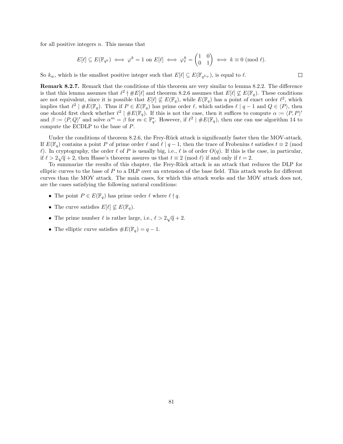for all positive integers  $n$ . This means that

$$
E[\ell] \subseteq E(\mathbb{F}_{q^k}) \iff \varphi^k = 1 \text{ on } E[\ell] \iff \varphi^k_{\ell} = \begin{pmatrix} 1 & 0 \\ 0 & 1 \end{pmatrix} \iff k \equiv 0 \text{ (mod } \ell).
$$

 $\Box$ 

So  $k_w$ , which is the smallest positive integer such that  $E[\ell] \subseteq E(\mathbb{F}_{q^{k_w}})$ , is equal to  $\ell$ .

Remark 8.2.7. Remark that the conditions of this theorem are very similar to lemma 8.2.2. The difference is that this lemma assumes that  $\ell^2 \nmid \# E[\ell]$  and theorem 8.2.6 assumes that  $E[\ell] \nsubseteq E(\mathbb{F}_q)$ . These conditions are not equivalent, since it is possible that  $E[\ell] \nsubseteq E(\mathbb{F}_q)$ , while  $E(\mathbb{F}_q)$  has a point of exact order  $\ell^2$ , which implies that  $\ell^2 \mid \#E(\mathbb{F}_q)$ . Thus if  $P \in E(\mathbb{F}_q)$  has prime order  $\ell$ , which satisfies  $\ell \mid q-1$  and  $Q \in \langle P \rangle$ , then one should first check whether  $\ell^2 \mid \#E(\mathbb{F}_q)$ . If this is not the case, then it suffices to compute  $\alpha := \langle P, P \rangle'$ and  $\beta := \langle P, Q \rangle'$  and solve  $\alpha^m = \beta$  for  $m \in \mathbb{F}_q^*$ . However, if  $\ell^2 \mid \#E(\mathbb{F}_q)$ , then one can use algorithm 14 to compute the ECDLP to the base of P.

Under the conditions of theorem 8.2.6, the Frey-Rück attack is significantly faster then the MOV-attack. If  $E(\mathbb{F}_q)$  contains a point P of prime order  $\ell$  and  $\ell \mid q-1$ , then the trace of Frobenius t satisfies  $t \equiv 2 \pmod{4}$  $\ell$ ). In cryptography, the order  $\ell$  of P is usually big, i.e.,  $\ell$  is of order  $O(q)$ . If this is the case, in particular, if  $\ell > 2\sqrt{q} + 2$ , then Hasse's theorem assures us that  $t \equiv 2 \pmod{\ell}$  if and only if  $t = 2$ .

To summarize the results of this chapter, the Frey-Rück attack is an attack that reduces the DLP for elliptic curves to the base of  $P$  to a DLP over an extension of the base field. This attack works for different curves than the MOV attack. The main cases, for which this attack works and the MOV attack does not, are the cases satisfying the following natural conditions:

- The point  $P \in E(\mathbb{F}_q)$  has prime order  $\ell$  where  $\ell \nmid q$ .
- The curve satisfies  $E[\ell] \nsubseteq E(\mathbb{F}_q)$ .
- The prime number  $\ell$  is rather large, i.e.,  $\ell > 2\sqrt{q} + 2$ .
- The elliptic curve satisfies  $\#E(\mathbb{F}_q) = q 1$ .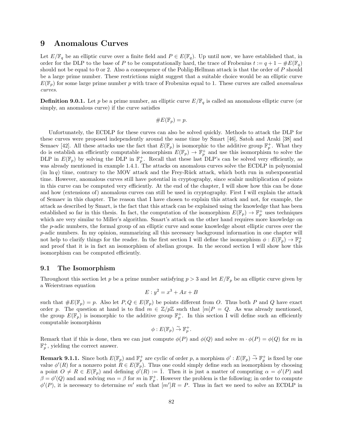## 9 Anomalous Curves

Let  $E/\mathbb{F}_q$  be an elliptic curve over a finite field and  $P \in E(\mathbb{F}_q)$ . Up until now, we have established that, in order for the DLP to the base of P to be computationally hard, the trace of Frobenius  $t := q + 1 - \#E(\mathbb{F}_q)$ should not be equal to 0 or 2. Also a consequence of the Pohlig-Hellman attack is that the order of P should be a large prime number. These restrictions might suggest that a suitable choice would be an elliptic curve  $E(\mathbb{F}_p)$  for some large prime number p with trace of Frobenius equal to 1. These curves are called *anomalous* curves.

**Definition 9.0.1.** Let p be a prime number, an elliptic curve  $E/\mathbb{F}_q$  is called an anomalous elliptic curve (or simply, an anomalous curve) if the curve satisfies

$$
\#E(\mathbb{F}_p)=p.
$$

Unfortunately, the ECDLP for these curves can also be solved quickly. Methods to attack the DLP for these curves were proposed independently around the same time by Smart [46], Satoh and Araki [38] and Semaev [42]. All these attacks use the fact that  $E(\mathbb{F}_p)$  is isomorphic to the additive group  $\mathbb{F}_p^+$ . What they do is establish an efficiently computable isomorphism  $E(\mathbb{F}_p) \to \mathbb{F}_p^+$  and use this isomorphism to solve the DLP in  $E(\mathbb{F}_p)$  by solving the DLP in  $\mathbb{F}_p^+$ . Recall that these last DLP's can be solved very efficiently, as was already mentioned in example 1.4.1. The attacks on anomalous curves solve the ECDLP in polynomial  $(in \ln q)$  time, contrary to the MOV attack and the Frey-Rück attack, which both run in subexponential time. However, anomalous curves still have potential in cryptography, since scalair multiplication of points in this curve can be computed very efficiently. At the end of the chapter, I will show how this can be done and how (extensions of) anomalous curves can still be used in cryptography. First I will explain the attack of Semaev in this chapter. The reason that I have chosen to explain this attack and not, for example, the attack as described by Smart, is the fact that this attack can be explained using the knowledge that has been established so far in this thesis. In fact, the computation of the isomorphism  $E(\mathbb{F}_p) \to \mathbb{F}_p^+$  uses techniques which are very similar to Miller's algorithm. Smart's attack on the other hand requires more knowledge on the p-adic numbers, the formal group of an elliptic curve and some knowledge about elliptic curves over the p-adic numbers. In my opinion, summarizing all this necessary background information in one chapter will not help to clarify things for the reader. In the first section I will define the isomorphism  $\phi: E(\mathbb{F}_p) \to \mathbb{F}_p^+$ and proof that it is in fact an isomorphism of abelian groups. In the second section I will show how this isomorphism can be computed efficiently.

#### 9.1 The Isomorphism

Throughout this section let p be a prime number satisfying  $p > 3$  and let  $E/\mathbb{F}_p$  be an elliptic curve given by a Weierstrass equation

$$
E: y^2 = x^3 + Ax + B
$$

such that  $\#E(\mathbb{F}_p) = p$ . Also let  $P, Q \in E(\mathbb{F}_p)$  be points different from O. Thus both P and Q have exact order p. The question at hand is to find  $m \in \mathbb{Z}/p\mathbb{Z}$  such that  $[m]P = Q$ . As was already mentioned, the group  $E(\mathbb{F}_p)$  is isomorphic to the additive group  $\mathbb{F}_p^+$ . In this section I will define such an efficiently computable isomorphism

$$
\phi: E(\mathbb{F}_p) \overset{\sim}{\to} \mathbb{F}_p^+.
$$

Remark that if this is done, then we can just compute  $\phi(P)$  and  $\phi(Q)$  and solve  $m \cdot \phi(P) = \phi(Q)$  for m in  $\mathbb{F}_p^+$ , yielding the correct answer.

**Remark 9.1.1.** Since both  $E(\mathbb{F}_p)$  and  $\mathbb{F}_p^+$  are cyclic of order p, a morphism  $\phi' : E(\mathbb{F}_p) \overset{\sim}{\to} \mathbb{F}_p^+$  is fixed by one value  $\phi'(R)$  for a nonzero point  $R \in E(\mathbb{F}_p)$ . Thus one could simply define such an isomorphism by choosing a point  $O \neq R \in E(\mathbb{F}_p)$  and defining  $\phi'(R) := \overline{1}$ . Then it is just a matter of computing  $\alpha = \phi'(P)$  and  $\beta = \phi'(Q)$  and and solving  $m\alpha = \beta$  for m in  $\mathbb{F}_p^+$ . However the problem is the following; in order to compute  $\phi'(P)$ , it is necessary to determine m' such that  $[m']R = P$ . Thus in fact we need to solve an ECDLP in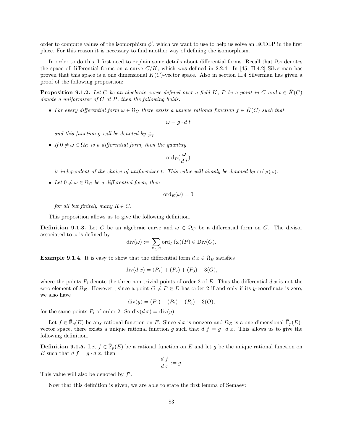order to compute values of the isomorphism  $\phi'$ , which we want to use to help us solve an ECDLP in the first place. For this reason it is necessary to find another way of defining the isomorphism.

In order to do this, I first need to explain some details about differential forms. Recall that  $\Omega_C$  denotes the space of differential forms on a curve  $C/K$ , which was defined in 2.2.4. In [45, II.4.2] Silverman has proven that this space is a one dimensional  $K(C)$ -vector space. Also in section II.4 Silverman has given a proof of the following proposition:

**Proposition 9.1.2.** Let C be an algebraic curve defined over a field K, P be a point in C and  $t \in \overline{K}(C)$ denote a uniformizer of  $C$  at  $P$ , then the following holds:

• For every differential form  $\omega \in \Omega_C$  there exists a unique rational function  $f \in \overline{K}(C)$  such that

$$
\omega = g \cdot d \ t
$$

and this function g will be denoted by  $\frac{\omega}{d\,t}$ .

• If  $0 \neq \omega \in \Omega_C$  is a differential form, then the quantity

$$
\mathrm{ord}_P(\frac{\omega}{d\ t})
$$

is independent of the choice of uniformizer t. This value will simply be denoted by  $\text{ord}_P(\omega)$ .

• Let  $0 \neq \omega \in \Omega_C$  be a differential form, then

 $\mathrm{ord}_B(\omega) = 0$ 

for all but finitely many  $R \in \mathbb{C}$ .

This proposition allows us to give the following definition.

**Definition 9.1.3.** Let C be an algebraic curve and  $\omega \in \Omega_C$  be a differential form on C. The divisor associated to  $\omega$  is defined by

$$
\operatorname{div}(\omega) := \sum_{P \in C} \operatorname{ord}_P(\omega)(P) \in \operatorname{Div}(C).
$$

**Example 9.1.4.** It is easy to show that the differential form  $d x \in \Omega_E$  satisfies

$$
\operatorname{div}(d\ x) = (P_1) + (P_2) + (P_3) - 3(O),
$$

where the points  $P_i$  denote the three non trivial points of order 2 of E. Thus the differential d x is not the zero element of  $\Omega_E$ . However, since a point  $O \neq P \in E$  has order 2 if and only if its y-coordinate is zero. we also have

$$
div(y) = (P_1) + (P_2) + (P_3) - 3(O),
$$

for the same points  $P_i$  of order 2. So  $div(d x) = div(y)$ .

Let  $f \in \bar{\mathbb{F}}_p(E)$  be any rational function on E. Since d x is nonzero and  $\Omega_E$  is a one dimensional  $\bar{\mathbb{F}}_p(E)$ vector space, there exists a unique rational function g such that  $d f = g \cdot d x$ . This allows us to give the following definition.

**Definition 9.1.5.** Let  $f \in \bar{\mathbb{F}}_p(E)$  be a rational function on E and let g be the unique rational function on E such that  $d f = g \cdot d x$ , then

$$
\frac{d}{d} \frac{f}{x} := g.
$$

This value will also be denoted by  $f'$ .

Now that this definition is given, we are able to state the first lemma of Semaev: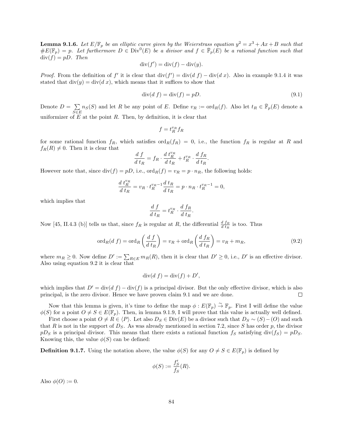**Lemma 9.1.6.** Let  $E/\mathbb{F}_p$  be an elliptic curve given by the Weierstrass equation  $y^2 = x^3 + Ax + B$  such that  $\#E(\mathbb{F}_p) = p$ . Let furthermore  $D \in Div^0(E)$  be a divisor and  $f \in \overline{\mathbb{F}}_p(E)$  be a rational function such that  $div(f) = pD$ . Then

$$
\operatorname{div}(f') = \operatorname{div}(f) - \operatorname{div}(y).
$$

*Proof.* From the definition of f' it is clear that  $\text{div}(f') = \text{div}(d f) - \text{div}(d x)$ . Also in example 9.1.4 it was stated that  $div(y) = div(d x)$ , which means that it suffices to show that

$$
\operatorname{div}(d f) = \operatorname{div}(f) = pD. \tag{9.1}
$$

Denote  $D = \sum$  $\sum_{S \in E} n_S(S)$  and let R be any point of E. Define  $v_R := \text{ord}_R(f)$ . Also let  $t_R \in \bar{\mathbb{F}}_p(E)$  denote a uniformizer of  $E$  at the point  $R$ . Then, by definition, it is clear that

$$
f=t^{\scriptscriptstyle v_R}_R f_R
$$

for some rational function  $f_R$ , which satisfies  $\text{ord}_R(f_R) = 0$ , i.e., the function  $f_R$  is regular at R and  $f_R(R) \neq 0$ . Then it is clear that

$$
\frac{d f}{d t_R} = f_R \cdot \frac{d t_R^{v_R}}{d t_R} + t_R^{v_R} \cdot \frac{d f_R}{d t_R}.
$$

However note that, since  $div(f) = pD$ , i.e.,  $\text{ord}_R(f) = v_R = p \cdot n_R$ , the following holds:

$$
\frac{d\ t_R^{v_R}}{d\ t_R} = v_R \cdot t_R^{v_R - 1} \frac{d\ t_R}{d\ t_R} = p \cdot n_R \cdot t_R^{v_R - 1} = 0,
$$

which implies that

$$
\frac{d f}{d t_R} = t_R^{v_R} \cdot \frac{d f_R}{d t_R}
$$

Now [45, II.4.3 (b)] tells us that, since  $f_R$  is regular at R, the differential  $\frac{d f_R}{d t_R}$  is too. Thus

$$
\operatorname{ord}_R(d\ f) = \operatorname{ord}_R\left(\frac{d\ f}{d\ t_R}\right) = v_R + \operatorname{ord}_R\left(\frac{d\ f_R}{d\ t_R}\right) = v_R + m_R,\tag{9.2}
$$

.

where  $m_R \ge 0$ . Now define  $D' := \sum_{R \in E} m_R(R)$ , then it is clear that  $D' \ge 0$ , i.e.,  $D'$  is an effective divisor. Also using equation 9.2 it is clear that

$$
\operatorname{div}(d f) = \operatorname{div}(f) + D',
$$

which implies that  $D' = \text{div}(d f) - \text{div}(f)$  is a principal divisor. But the only effective divisor, which is also principal, is the zero divisor. Hence we have proven claim 9.1 and we are done.  $\Box$ 

Now that this lemma is given, it's time to define the map  $\phi: E(\mathbb{F}_p) \overset{\sim}{\to} \mathbb{F}_p$ . First I will define the value  $\phi(S)$  for a point  $O \neq S \in E(\mathbb{F}_p)$ . Then, in lemma 9.1.9, I will prove that this value is actually well defined.

First choose a point  $O \neq R \in \langle P \rangle$ . Let also  $D_S \in Div(E)$  be a divisor such that  $D_S \sim (S) - (O)$  and such that R is not in the support of  $D<sub>S</sub>$ . As was already mentioned in section 7.2, since S has order p, the divisor  $pD_S$  is a principal divisor. This means that there exists a rational function  $f_S$  satisfying div( $f_S$ ) =  $pD_S$ . Knowing this, the value  $\phi(S)$  can be defined:

**Definition 9.1.7.** Using the notation above, the value  $\phi(S)$  for any  $O \neq S \in E(\mathbb{F}_p)$  is defined by

$$
\phi(S) := \frac{f'_S}{f_S}(R).
$$

Also  $\phi(O) := 0$ .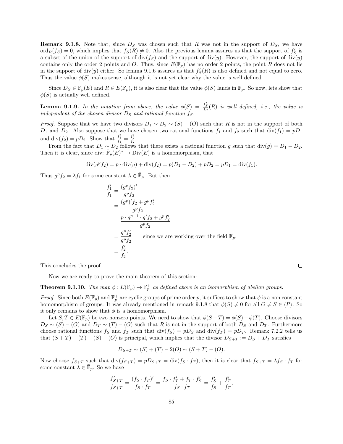**Remark 9.1.8.** Note that, since  $D<sub>S</sub>$  was chosen such that R was not in the support of  $D<sub>S</sub>$ , we have  $\text{ord}_R(f_S) = 0$ , which implies that  $f_S(R) \neq 0$ . Also the previous lemma assures us that the support of  $f'_S$  is a subset of the union of the support of  $div(f_S)$  and the support of  $div(y)$ . However, the support of  $div(y)$ contains only the order 2 points and O. Thus, since  $E(\mathbb{F}_p)$  has no order 2 points, the point R does not lie in the support of  $div(y)$  either. So lemma 9.1.6 assures us that  $f'_{S}(R)$  is also defined and not equal to zero. Thus the value  $\phi(S)$  makes sense, although it is not yet clear why the value is well defined.

Since  $D_S \in \mathbb{F}_p(E)$  and  $R \in E(\mathbb{F}_p)$ , it is also clear that the value  $\phi(S)$  lands in  $\mathbb{F}_p$ . So now, lets show that  $\phi(S)$  is actually well defined.

**Lemma 9.1.9.** In the notation from above, the value  $\phi(S) = \frac{f'_S}{f_S}(R)$  is well defined, i.e., the value is independent of the chosen divisor  $D<sub>S</sub>$  and rational function  $f<sub>S</sub>$ .

*Proof.* Suppose that we have two divisors  $D_1 \sim D_2 \sim (S) - (O)$  such that R is not in the support of both  $D_1$  and  $D_2$ . Also suppose that we have chosen two rational functions  $f_1$  and  $f_2$  such that  $\text{div}(f_1) = pD_1$ and  $\text{div}(f_2) = pD_2$ . Show that  $\frac{f'_1}{f_1} = \frac{f'_2}{f_2}$ .

From the fact that  $D_1 \sim D_2$  follows that there exists a rational function g such that  $\text{div}(g) = D_1 - D_2$ . Then it is clear, since div:  $\bar{\mathbb{F}}_p(E)^* \to \text{Div}(E)$  is a homomorphism, that

$$
\operatorname{div}(g^p f_2) = p \cdot \operatorname{div}(g) + \operatorname{div}(f_2) = p(D_1 - D_2) + pD_2 = pD_1 = \operatorname{div}(f_1).
$$

Thus  $g^p f_2 = \lambda f_1$  for some constant  $\lambda \in \overline{\mathbb{F}}_p$ . But then

$$
\frac{f'_1}{f_1} = \frac{(g^p f_2)'}{g^p f_2}
$$
\n
$$
= \frac{(g^p)' f_2 + g^p f'_2}{g^p f_2}
$$
\n
$$
= \frac{p \cdot g^{p-1} \cdot g' f_2 + g^p f'_2}{g^p f_2}
$$
\n
$$
= \frac{g^p f'_2}{g^p f_2}
$$
\nsince we are working over the field  $\mathbb{F}_p$ ,\n
$$
= \frac{f'_2}{f_2}.
$$

This concludes the proof.

Now we are ready to prove the main theorem of this section:

**Theorem 9.1.10.** The map  $\phi: E(\mathbb{F}_p) \to \mathbb{F}_p^+$  as defined above is an isomorphism of abelian groups.

*Proof.* Since both  $E(\mathbb{F}_p)$  and  $\mathbb{F}_p^+$  are cyclic groups of prime order p, it suffices to show that  $\phi$  is a non constant homomorphism of groups. It was already mentioned in remark 9.1.8 that  $\phi(S) \neq 0$  for all  $O \neq S \in \langle P \rangle$ . So it only remains to show that  $\phi$  is a homomorphism.

Let  $S, T \in E(\mathbb{F}_p)$  be two nonzero points. We need to show that  $\phi(S+T) = \phi(S) + \phi(T)$ . Choose divisors  $D_S \sim (S) - (O)$  and  $D_T \sim (T) - (O)$  such that R is not in the support of both  $D_S$  and  $D_T$ . Furthermore choose rational functions  $f_S$  and  $f_T$  such that  $div(f_S) = pD_S$  and  $div(f_T) = pD_T$ . Remark 7.2.2 tells us that  $(S+T) - (T) - (S) + (O)$  is principal, which implies that the divisor  $D_{S+T} := D_S + D_T$  satisfies

$$
D_{S+T} \sim (S) + (T) - 2(O) \sim (S+T) - (O).
$$

Now choose  $f_{S+T}$  such that  $div(f_{S+T}) = pD_{S+T} = div(f_S \cdot f_T)$ , then it is clear that  $f_{S+T} = \lambda f_S \cdot f_T$  for some constant  $\lambda \in \bar{\mathbb{F}}_p$ . So we have

$$
\frac{f'_{S+T}}{f_{S+T}} = \frac{(f_S \cdot f_T)'}{f_S \cdot f_T} = \frac{f_S \cdot f'_T + f_T \cdot f'_S}{f_S \cdot f_T} = \frac{f'_S}{f_S} + \frac{f'_T}{f_T}.
$$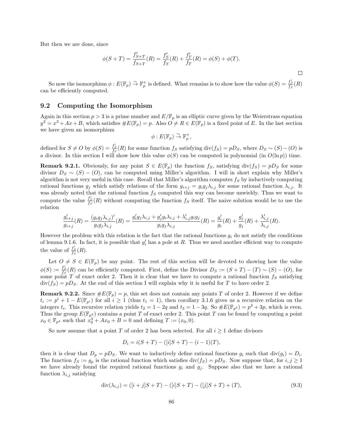But then we are done, since

$$
\phi(S+T) = \frac{f'_{S+T}}{f_{S+T}}(R) = \frac{f'_{S}}{f_{S}}(R) + \frac{f'_{T}}{f_{T}}(R) = \phi(S) + \phi(T).
$$

So now the isomorphism  $\phi: E(\mathbb{F}_p) \stackrel{\sim}{\to} \mathbb{F}_p^+$  is defined. What remains is to show how the value  $\phi(S) = \frac{f'_S}{f_S}(R)$ can be efficiently computed.

#### 9.2 Computing the Isomorphism

Again in this section  $p > 3$  is a prime number and  $E/\mathbb{F}_p$  is an elliptic curve given by the Weierstrass equation  $y^2 = x^3 + Ax + B$ , which satisfies  $\#E(\mathbb{F}_p) = p$ . Also  $O \neq R \in E(\mathbb{F}_p)$  is a fixed point of E. In the last section we have given an isomorphism

$$
\phi: E(\mathbb{F}_p) \overset{\sim}{\to} \mathbb{F}_p^+,
$$

defined for  $S \neq O$  by  $\phi(S) = \frac{f_S'}{f_S}(R)$  for some function  $f_S$  satisfying div $(f_S) = pD_S$ , where  $D_S \sim (S) - (O)$  is a divisor. In this section I will show how this value  $\phi(S)$  can be computed in polynomial (in  $O(\ln p)$ ) time.

**Remark 9.2.1.** Obviously, for any point  $S \in E(\mathbb{F}_p)$  the function  $f_S$ , satisfying  $\text{div}(f_S) = pD_S$  for some divisor  $D_S \sim (S) - (O)$ , can be computed using Miller's algorithm. I will in short explain why Miller's algorithm is not very useful in this case. Recall that Miller's algorithm computes  $f_S$  by inductively computing rational functions  $g_j$  which satisfy relations of the form  $g_{i+j} = g_i g_j \lambda_{i,j}$  for some rational function  $\lambda_{i,j}$ . It was already noted that the rational function  $f_S$  computed this way can become unwieldy. Thus we want to compute the value  $\frac{f'_{S}}{f_{S}}(R)$  without computing the function  $f_{S}$  itself. The naive solution would be to use the relation

$$
\frac{g'_{i+j}}{g_{i+j}}(R) = \frac{(g_ig_j\lambda_{i,j})'}{g_ig_j\lambda_{i,j}}(R) = \frac{g'_ig_j\lambda_{i,j} + g'_jg_i\lambda_{i,j} + \lambda'_{i,j}g_ig_j}{g_ig_j\lambda_{i,j}}(R) = \frac{g'_i}{g_i}(R) + \frac{g'_j}{g_j}(R) + \frac{\lambda'_{i,j}}{\lambda_{i,j}}(R).
$$

However the problem with this relation is the fact that the rational functions  $g_i$  do not satisfy the conditions of lemma 9.1.6. In fact, it is possible that  $g_i'$  has a pole at R. Thus we need another efficient way to compute the value of  $\frac{f'_{S}}{f_{S}}(R)$ .

Let  $O \neq S \in E(\mathbb{F}_p)$  be any point. The rest of this section will be devoted to showing how the value  $\phi(S) := \frac{f_S'}{f_S}(R)$  can be efficiently computed. First, define the Divisor  $D_S := (S + T) - (T) \sim (S) - (O)$ , for some point T of exact order 2. Then it is clear that we have to compute a rational function  $f_S$  satisfying  $div(f_S) = pD_S$ . At the end of this section I will explain why it is useful for T to have order 2.

**Remark 9.2.2.** Since  $\#E(\mathbb{F}_p) = p$ , this set does not contain any points T of order 2. However if we define  $t_i := p^i + 1 - E(\mathbb{F}_{p^i})$  for all  $i \ge 1$  (thus  $t_1 = 1$ ), then corollary 3.1.6 gives us a recursive relation on the integers  $t_i$ . This recursive relation yields  $t_2 = 1 - 2q$  and  $t_3 = 1 - 3q$ . So  $\#E(\mathbb{F}_{p^3}) = p^3 + 3p$ , which is even. Thus the group  $E(\mathbb{F}_{p^3})$  contains a point T of exact order 2. This point T can be found by computing a point  $x_0 \in \mathbb{F}_{p^3}$  such that  $x_0^3 + Ax_0 + B = 0$  and defining  $T := (x_0, 0)$ .

So now assume that a point T of order 2 has been selected. For all  $i \geq 1$  define divisors

$$
D_i = i(S + T) - ([i]S + T) - (i - 1)(T),
$$

then it is clear that  $D_p = pD_S$ . We want to inductively define rational functions  $g_i$  such that  $div(g_i) = D_i$ . The function  $f_S := g_p$  is the rational function which satisfies  $div(f_S) = pD_S$ . Now suppose that, for  $i, j \ge 1$ we have already found the required rational functions  $g_i$  and  $g_j$ . Suppose also that we have a rational function  $\lambda_{i,j}$  satisfying

$$
\operatorname{div}(\lambda_{i,j}) = ([i+j]S + T) - ([i]S + T) - ([j]S + T) + (T), \tag{9.3}
$$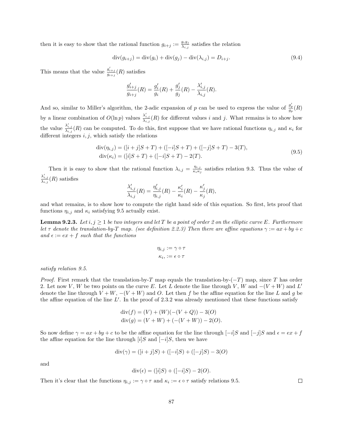then it is easy to show that the rational function  $g_{i+j} := \frac{g_i g_j}{\lambda_{i,j}}$  $\frac{g_i g_j}{\lambda_{i,j}}$  satisfies the relation

$$
\text{div}(g_{i+j}) = \text{div}(g_i) + \text{div}(g_j) - \text{div}(\lambda_{i,j}) = D_{i+j}.
$$
\n(9.4)

This means that the value  $\frac{g'_{i+j}}{g_{i+j}}(R)$  satisfies

$$
\frac{g_{i+j}'}{g_{i+j}}(R) = \frac{g_i'}{g_i}(R) + \frac{g_j'}{g_j}(R) - \frac{\lambda_{i,j}'}{\lambda_{i,j}}(R).
$$

And so, similar to Miller's algorithm, the 2-adic expansion of p can be used to express the value of  $\frac{g'_p}{g_p}(R)$ by a linear combination of  $O(\ln p)$  values  $\frac{\lambda'_{i,j}}{\lambda_{i,j}}(R)$  for different values i and j. What remains is to show how the value  $\frac{\lambda'_{i,j}}{\lambda_{i,j}}(R)$  can be computed. To do this, first suppose that we have rational functions  $\eta_{i,j}$  and  $\kappa_i$  for different integers  $i, j$ , which satisfy the relations

$$
\text{div}(\eta_{i,j}) = ([i+j]S + T) + ([-i]S + T) + ([-j]S + T) - 3(T),
$$
  
\n
$$
\text{div}(\kappa_i) = ([i]S + T) + ([-i]S + T) - 2(T).
$$
\n(9.5)

Then it is easy to show that the rational function  $\lambda_{i,j} = \frac{\eta_{i,j}}{\kappa_i \kappa_j}$  $\frac{\eta_{i,j}}{\kappa_i \kappa_j}$  satisfies relation 9.3. Thus the value of  $\frac{\lambda'_{i,j}}{\lambda_{i,j}}(R)$  satisfies

$$
\frac{\lambda'_{i,j}}{\lambda_{i,j}}(R) = \frac{\eta'_{i,j}}{\eta_{i,j}}(R) - \frac{\kappa'_i}{\kappa_i}(R) - \frac{\kappa'_j}{\kappa_j}(R),
$$

and what remains, is to show how to compute the right hand side of this equation. So first, lets proof that functions  $\eta_{i,j}$  and  $\kappa_i$  satisfying 9.5 actually exist.

**Lemma 9.2.3.** Let  $i, j \ge 1$  be two integers and let T be a point of order 2 on the elliptic curve E. Furthermore let  $\tau$  denote the translation-by-T map. (see definition 2.2.3) Then there are affine equations  $\gamma := ax + by + c$ and  $\epsilon := e x + f$  such that the functions

$$
\eta_{i,j} := \gamma \circ \tau
$$

$$
\kappa_i, := \epsilon \circ \tau
$$

satisfy relation 9.5.

*Proof.* First remark that the translation-by-T map equals the translation-by- $(-T)$  map, since T has order 2. Let now V, W be two points on the curve E. Let L denote the line through V, W and  $-(V+W)$  and L' denote the line through  $V + W$ ,  $-(V + W)$  and O. Let then f be the affine equation for the line L and g be the affine equation of the line  $L'$ . In the proof of 2.3.2 was already mentioned that these functions satisfy

$$
div(f) = (V) + (W)(-(V+Q)) - 3(O)
$$
  
 
$$
div(g) = (V+W) + (-(V+W)) - 2(O).
$$

So now define  $\gamma = ax + by + c$  to be the affine equation for the line through  $[-i]S$  and  $[-j]S$  and  $\epsilon = ex + f$ the affine equation for the line through  $[i]S$  and  $[-i]S$ , then we have

$$
div(\gamma) = ([i + j]S) + ([-i]S) + ([-j]S) - 3(O)
$$

and

$$
div(\epsilon) = ([i]S) + ([-i]S) - 2(O).
$$

Then it's clear that the functions  $\eta_{i,j} := \gamma \circ \tau$  and  $\kappa_i := \epsilon \circ \tau$  satisfy relations 9.5.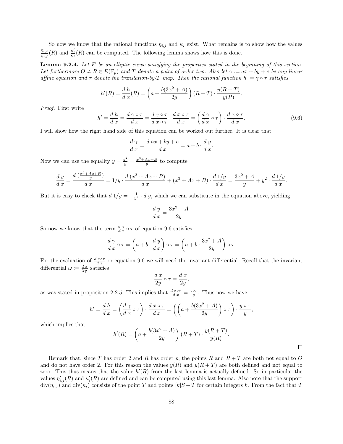So now we know that the rational functions  $\eta_{i,j}$  and  $\kappa_i$  exist. What remains is to show how the values  $\frac{\eta'_{i,j}}{\eta_{i,j}}(R)$  and  $\frac{\kappa'_i}{\kappa_i}(R)$  can be computed. The following lemma shows how this is done.

**Lemma 9.2.4.** Let  $E$  be an elliptic curve satisfying the properties stated in the beginning of this section. Let furthermore  $O \neq R \in E(\mathbb{F}_p)$  and T denote a point of order two. Also let  $\gamma := ax + by + c$  be any linear affine equation and  $\tau$  denote the translation-by-T map. Then the rational function  $h := \gamma \circ \tau$  satisfies

$$
h'(R) = \frac{d h}{d x}(R) = \left(a + \frac{b(3x^2 + A)}{2y}\right)(R+T) \cdot \frac{y(R+T)}{y(R)}.
$$

Proof. First write

$$
h' = \frac{d h}{d x} = \frac{d \gamma \circ \tau}{d x} = \frac{d \gamma \circ \tau}{d x \circ \tau} \cdot \frac{d x \circ \tau}{d x} = \left(\frac{d \gamma}{d x} \circ \tau\right) \cdot \frac{d x \circ \tau}{d x}.
$$
 (9.6)

I will show how the right hand side of this equation can be worked out further. It is clear that

$$
\frac{d\gamma}{d\,x} = \frac{d\,ax + by + c}{d\,x} = a + b \cdot \frac{d\,y}{d\,x}.
$$

Now we can use the equality  $y = \frac{y^2}{y} = \frac{x^3 + Ax + B}{y}$  to compute

$$
\frac{d\ y}{d\ x} = \frac{d\ (\frac{x^3 + Ax + B}{y})}{d\ x} = 1/y \cdot \frac{d\ (x^3 + Ax + B)}{d\ x} + (x^3 + Ax + B) \cdot \frac{d\ 1/y}{d\ x} = \frac{3x^2 + A}{y} + y^2 \cdot \frac{d\ 1/y}{d\ x}.
$$

But it is easy to check that  $d1/y = -\frac{1}{y^2} \cdot d y$ , which we can substitute in the equation above, yielding

$$
\frac{d y}{d x} = \frac{3x^2 + A}{2y}.
$$

So now we know that the term  $\frac{d\gamma}{dx} \circ \tau$  of equation 9.6 satisfies

$$
\frac{d\gamma}{d\,x} \circ \tau = \left( a + b \cdot \frac{d\,y}{d\,x} \right) \circ \tau = \left( a + b \cdot \frac{3x^2 + A}{2y} \right) \circ \tau.
$$

For the evaluation of  $\frac{d x \circ \tau}{dx}$  or equation 9.6 we will need the invariant differential. Recall that the invariant differential  $\omega := \frac{dx}{2y}$  satisfies

$$
\frac{d\;x}{2y}\circ\tau=\frac{d\;x}{2y},
$$

as was stated in proposition 2.2.5. This implies that  $\frac{d\ x\circ\tau}{dx} = \frac{y\circ\tau}{y}$ . Thus now we have

$$
h' = \frac{d h}{d x} = \left(\frac{d \gamma}{d x} \circ \tau\right) \cdot \frac{d x \circ \tau}{d x} = \left(\left(a + \frac{b(3x^2 + A)}{2y}\right) \circ \tau\right) \cdot \frac{y \circ \tau}{y},
$$

which implies that

$$
h'(R) = \left(a + \frac{b(3x^2 + A)}{2y}\right)(R+T) \cdot \frac{y(R+T)}{y(R)}.
$$

Remark that, since T has order 2 and R has order p, the points R and  $R + T$  are both not equal to O and do not have order 2. For this reason the values  $y(R)$  and  $y(R + T)$  are both defined and not equal to zero. This thus means that the value  $h'(R)$  from the last lemma is actually defined. So in particular the values  $\eta'_{i,j}(R)$  and  $\kappa'_{i}(R)$  are defined and can be computed using this last lemma. Also note that the support  $div(\eta_{i,j})$  and  $div(\kappa_i)$  consists of the point T and points  $[k]S+T$  for certain integers k. From the fact that T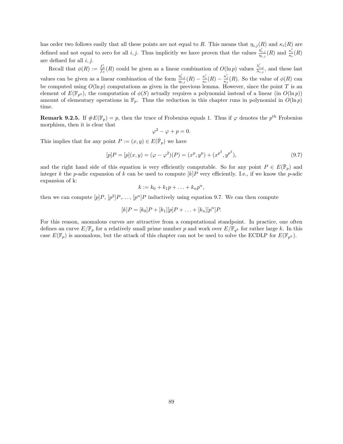has order two follows easily that all these points are not equal to R. This means that  $\eta_{i,j}(R)$  and  $\kappa_i(R)$  are defined and not equal to zero for all i, j. Thus implicitly we have proven that the values  $\frac{\eta'_{i,j}}{\eta_{i,j}}(R)$  and  $\frac{\kappa'_i}{\kappa_i}(R)$ are defined for all  $i, j$ .

Recall that  $\phi(R) := \frac{f_S'}{f_S}(R)$  could be given as a linear combination of  $O(\ln p)$  values  $\frac{\lambda'_{i,j}}{\lambda_{i,j}}$ , and these last values can be given as a linear combination of the form  $\frac{\eta'_{i,j}}{\eta_{i,j}}(R) - \frac{\kappa'_i}{\kappa_i}(R) - \frac{\kappa'_j}{\kappa_j}(R)$ . So the value of  $\phi(R)$  can be computed using  $O(\ln p)$  computations as given in the previous lemma. However, since the point T is an element of  $E(\mathbb{F}_{p^3})$ , the computation of  $\phi(S)$  actually requires a polynomial instead of a linear (in  $O(\ln p)$ ) amount of elementary operations in  $\mathbb{F}_p$ . Thus the reduction in this chapter runs in polynomial in  $O(\ln p)$ time.

**Remark 9.2.5.** If  $\#E(\mathbb{F}_p) = p$ , then the trace of Frobenius equals 1. Thus if  $\varphi$  denotes the  $p^{\text{th}}$  Frobenius morphism, then it is clear that

$$
\varphi^2 - \varphi + p = 0.
$$

This implies that for any point  $P := (x, y) \in E(\overline{\mathbb{F}}_p)$  we have

$$
[p]P = [p](x, y) = (\varphi - \varphi^{2})(P) = (x^{p}, y^{p}) + (x^{p^{2}}, y^{p^{2}}),
$$
\n(9.7)

and the right hand side of this equation is very efficiently computable. So for any point  $P \in E(\bar{\mathbb{F}}_p)$  and integer k the p-adic expansion of k can be used to compute  $[k]P$  very efficiently. I.e., if we know the p-adic expansion of k:

$$
k := k_0 + k_1 p + \ldots + k_n p^n,
$$

then we can compute  $[p]P, [p^2]P, \ldots, [p^n]P$  inductively using equation 9.7. We can then compute

$$
[k]P = [k_0]P + [k_1][p]P + \ldots + [k_n][p^n]P.
$$

For this reason, anomalous curves are attractive from a computational standpoint. In practice, one often defines an curve  $E/\mathbb{F}_p$  for a relatively small prime number p and work over  $E/\mathbb{F}_{q^k}$  for rather large k. In this case  $E(\mathbb{F}_p)$  is anomalous, but the attack of this chapter can not be used to solve the ECDLP for  $E(\mathbb{F}_{p^k})$ .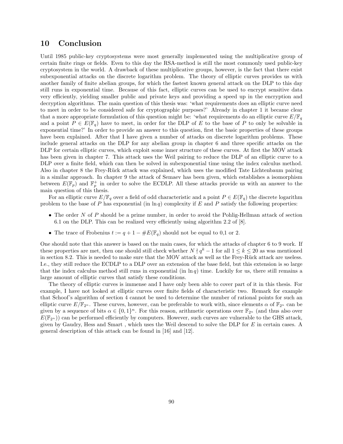## 10 Conclusion

Until 1985 public-key cryptosystems were most generally implemented using the multiplicative group of certain finite rings or fields. Even to this day the RSA-method is still the most commonly used public-key cryptosystem in the world. A drawback of these multiplicative groups, however, is the fact that there exist subexponential attacks on the discrete logarithm problem. The theory of elliptic curves provides us with another family of finite abelian groups, for which the fastest known general attack on the DLP to this day still runs in exponential time. Because of this fact, elliptic curves can be used to encrypt sensitive data very efficiently, yielding smaller public and private keys and providing a speed up in the encryption and decryption algorithms. The main question of this thesis was: 'what requirements does an elliptic curve need to meet in order to be considered safe for cryptographic purposes?' Already in chapter 1 it became clear that a more appropriate formulation of this question might be: 'what requirements do an elliptic curve  $E/\mathbb{F}_q$ and a point  $P \in E(\mathbb{F}_q)$  have to meet, in order for the DLP of E to the base of P to only be solvable in exponential time?' In order to provide an answer to this question, first the basic properties of these groups have been explained. After that I have given a number of attacks on discrete logarithm problems. These include general attacks on the DLP for any abelian group in chapter 6 and three specific attacks on the DLP for certain elliptic curves, which exploit some inner structure of these curves. At first the MOV attack has been given in chapter 7. This attack uses the Weil pairing to reduce the DLP of an elliptic curve to a DLP over a finite field, which can then be solved in subexponential time using the index calculus method. Also in chapter 8 the Frey-R¨uck attack was explained, which uses the modified Tate Lichtenbaum pairing in a similar approach. In chapter 9 the attack of Semaev has been given, which establishes a isomorphism between  $E(\mathbb{F}_p)$  and  $\mathbb{F}_p^+$  in order to solve the ECDLP. All these attacks provide us with an answer to the main question of this thesis.

For an elliptic curve  $E/\mathbb{F}_q$  over a field of odd characteristic and a point  $P \in E(\mathbb{F}_q)$  the discrete logarithm problem to the base of P has exponential (in  $\ln q$ ) complexity if E and P satisfy the following properties:

- The order  $N$  of  $P$  should be a prime number, in order to avoid the Pohlig-Hellman attack of section 6.1 on the DLP. This can be realized very efficiently using algorithm 2.2 of [8].
- The trace of Frobenius  $t := q + 1 \#E(\mathbb{F}_q)$  should not be equal to 0,1 or 2.

One should note that this answer is based on the main cases, for which the attacks of chapter 6 to 9 work. If these properties are met, then one should still check whether  $N \nmid q^k - 1$  for all  $1 \leq k \leq 20$  as was mentioned in section 8.2. This is needed to make sure that the MOV attack as well as the Frey-Rück attack are useless. I.e., they still reduce the ECDLP to a DLP over an extension of the base field, but this extension is so large that the index calculus method still runs in exponential (in  $\ln q$ ) time. Luckily for us, there still remains a large amount of elliptic curves that satisfy these conditions.

The theory of elliptic curves is immense and I have only been able to cover part of it in this thesis. For example, I have not looked at elliptic curves over finite fields of characteristic two. Remark for example that Schoof's algorithm of section 4 cannot be used to determine the number of rational points for such an elliptic curve  $E/\mathbb{F}_{2^n}$ . These curves, however, can be preferable to work with, since elements  $\alpha$  of  $\mathbb{F}_{2^n}$  can be given by a sequence of bits  $\alpha \in \{0,1\}^n$ . For this reason, arithmetic operations over  $\mathbb{F}_{2^n}$  (and thus also over  $E(\mathbb{F}_{2^n})$  can be performed efficiently by computers. However, such curves are vulnerable to the GHS attack, given by Gaudry, Hess and Smart , which uses the Weil descend to solve the DLP for E in certain cases. A general description of this attack can be found in [16] and [12].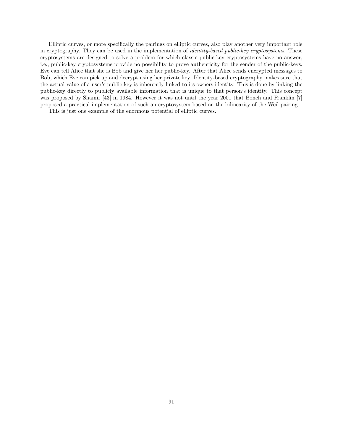Elliptic curves, or more specifically the pairings on elliptic curves, also play another very important role in cryptography. They can be used in the implementation of *identity-based public-key cryptosystems*. These cryptosystems are designed to solve a problem for which classic public-key cryptosystems have no answer, i.e., public-key cryptosystems provide no possibility to prove authenticity for the sender of the public-keys. Eve can tell Alice that she is Bob and give her her public-key. After that Alice sends encrypted messages to Bob, which Eve can pick up and decrypt using her private key. Identity-based cryptography makes sure that the actual value of a user's public-key is inherently linked to its owners identity. This is done by linking the public-key directly to publicly available information that is unique to that person's identity. This concept was proposed by Shamir [43] in 1984. However it was not until the year 2001 that Boneh and Franklin [7] proposed a practical implementation of such an cryptosystem based on the bilinearity of the Weil pairing.

This is just one example of the enormous potential of elliptic curves.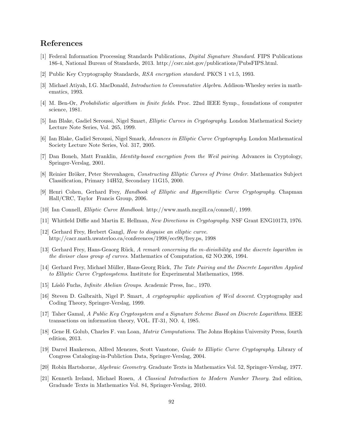# References

- [1] Federal Information Processing Standards Publications, Digital Signature Standard. FIPS Publications 186-4, National Bureau of Standards, 2013. http://csrc.nist.gov/publications/PubsFIPS.html.
- [2] Public Key Cryptography Standards, RSA encryption standard. PKCS 1 v1.5, 1993.
- [3] Michael Atiyah, I.G. MacDonald, Introduction to Commutative Algebra. Addison-Whesley series in mathematics, 1993.
- [4] M. Ben-Or, Probabilistic algorithsm in finite fields. Proc. 22nd IEEE Symp., foundations of computer science, 1981.
- [5] Ian Blake, Gadiel Seroussi, Nigel Smart, Elliptic Curves in Cryptography. London Mathematical Society Lecture Note Series, Vol. 265, 1999.
- [6] Ian Blake, Gadiel Seroussi, Nigel Smark, Advances in Elliptic Curve Cryptography. London Mathematical Society Lecture Note Series, Vol. 317, 2005.
- [7] Dan Boneh, Matt Franklin, Identity-based encryption from the Weil pairing. Advances in Cryptology, Springer-Verslag, 2001.
- [8] Reinier Bröker, Peter Stevenhagen, Constructing Elliptic Curves of Prime Order. Mathematics Subject Classification, Primary 14H52, Secondary 11G15, 2000.
- [9] Henri Cohen, Gerhard Frey, Handbook of Elliptic and Hyperelliptic Curve Cryptography. Chapman Hall/CRC, Taylor Francis Group, 2006.
- [10] Ian Connell, Elliptic Curve Handbook. http://www.math.mcgill.ca/connell/, 1999.
- [11] Whitfield Diffie and Martin E. Hellman, New Directions in Cryptography. NSF Grant ENG10173, 1976.
- [12] Gerhard Frey, Herbert Gangl, How to disguise an elliptic curve. http://cacr.math.uwaterloo.ca/conferences/1998/ecc98/frey.ps, 1998
- [13] Gerhard Frey, Hans-Geaorg Rück, A remark concerning the m-divisibility and the discrete logarithm in the divisor class group of curves. Mathematics of Computation, 62 NO.206, 1994.
- [14] Gerhard Frey, Michael Müller, Hans-Georg Rück, The Tate Pairing and the Discrete Logarithm Applied to Elliptic Curve Cryptosystems. Institute for Experimental Mathematics, 1998.
- [15] Lásló Fuchs, *Infinite Abelian Groups*. Academic Press, Inc., 1970.
- [16] Steven D. Galbraith, Nigel P. Smart, A cryptographic application of Weil descent. Cryptography and Coding Theory, Springer-Verslag, 1999.
- [17] Taher Gamal, A Public Key Cryptosystem and a Signature Scheme Based on Discrete Logarithms. IEEE transactions on information theory, VOL. IT-31, NO. 4, 1985.
- [18] Gene H. Golub, Charles F. van Loan, Matrix Computations. The Johns Hopkins University Press, fourth edition, 2013.
- [19] Darrel Hankerson, Alfred Menezes, Scott Vanstone, Guide to Elliptic Curve Cryptography. Library of Congress Cataloging-in-Publiction Data, Springer-Verslag, 2004.
- [20] Robin Hartshorne, Algebraic Geometry. Graduate Texts in Mathematics Vol. 52, Springer-Verslag, 1977.
- [21] Kenneth Ireland, Michael Rosen, A Classical Introduction to Modern Number Theory. 2nd edition, Graduade Texts in Mathematics Vol. 84, Springer-Verslag, 2010.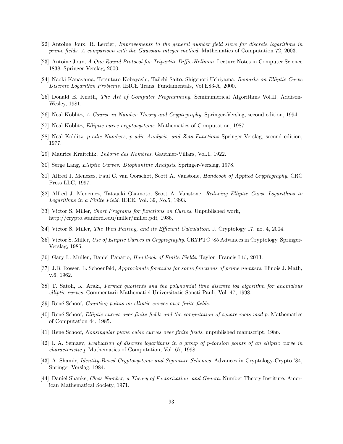- [22] Antoine Joux, R. Lercier, Improvements to the general number field sieve for discrete logarithms in prime fields. A comparison with the Gaussian integer method. Mathematics of Computation 72, 2003.
- [23] Antoine Joux, A One Round Protocol for Tripartite Diffie-Hellman. Lecture Notes in Computer Science 1838, Springer-Verslag, 2000.
- [24] Naoki Kanayama, Tetsutaro Kobayashi, Taiichi Saito, Shigenori Uchiyama, Remarks on Elliptic Curve Discrete Logarithm Problems. IEICE Trans. Fundamentals, Vol.E83-A, 2000.
- [25] Donald E. Knuth, The Art of Computer Programming. Seminumerical Algorithms Vol.II, Addison-Wesley, 1981.
- [26] Neal Koblitz, A Course in Number Theory and Cryptography. Springer-Verslag, second edition, 1994.
- [27] Neal Koblitz, Elliptic curve cryptosystems. Mathematics of Computation, 1987.
- [28] Neal Koblitz, p-adic Numbers, p-adic Analysis, and Zeta-Functions Springer-Verslag, second edition, 1977.
- [29] Maurice Kraitchik, *Théorie des Nombres*. Gauthier-Villars, Vol.1, 1922.
- [30] Serge Lang, Elliptic Curves: Diophantine Analysis. Springer-Verslag, 1978.
- [31] Alfred J. Menezes, Paul C. van Oorschot, Scott A. Vanstone, Handbook of Applied Cryptography. CRC Press LLC, 1997.
- [32] Alfred J. Menemez, Tatsuaki Okamoto, Scott A. Vanstone, Reducing Elliptic Curve Logarithms to Logarithms in a Finite Field. IEEE, Vol. 39, No.5, 1993.
- [33] Victor S. Miller, Short Programs for functions on Curves. Unpublished work, http://crypto.stanford.edu/miller/miller.pdf, 1986.
- [34] Victor S. Miller, The Weil Pairing, and its Efficient Calculation. J. Cryptology 17, no. 4, 2004.
- [35] Victor S. Miller, Use of Elliptic Curves in Cryptography. CRYPTO '85 Advances in Cryptology, Springer-Verslag, 1986.
- [36] Gary L. Mullen, Daniel Panario, Handbook of Finite Fields. Taylor Francis Ltd, 2013.
- [37] J.B. Rosser, L. Schoenfeld, Approximate formulas for some functions of prime numbers. Illinois J. Math, v.6, 1962.
- [38] T. Satoh, K. Araki, Fermat quotients and the polynomial time discrete log algorithm for anomalous elliptic curves. Commentarii Mathematici Universitatis Sancti Pauli, Vol. 47, 1998.
- [39] René Schoof, *Counting points on elliptic curves over finite fields*.
- [40] Ren´e Schoof, Elliptic curves over finite fields and the computation of square roots mod p. Mathematics of Computation 44, 1985.
- [41] Ren´e Schoof, Nonsingular plane cubic curves over finite fields. unpublished manuscript, 1986.
- [42] I. A. Semaev, Evaluation of discrete logarithms in a group of p-torsion points of an elliptic curve in characteristic p Mathematics of Computation, Vol. 67, 1998.
- [43] A. Shamir, Identity-Based Cryptosystems and Signature Schemes. Advances in Cryptology-Crypto '84, Springer-Verslag, 1984.
- [44] Daniel Shanks, Class Number, a Theory of Factorization, and Genera. Number Theory Institute, American Mathematical Society, 1971.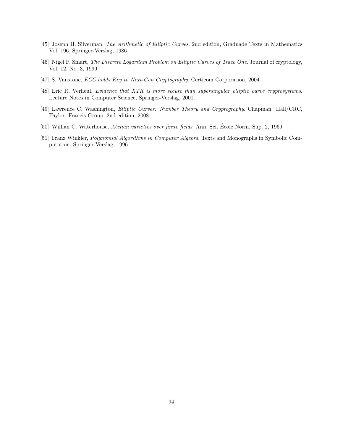- [45] Joseph H. Silverman, The Arithmetic of Elliptic Curves. 2nd edition, Graduade Texts in Mathematics Vol. 196, Springer-Verslag, 1986.
- [46] Nigel P. Smart, The Discrete Logarithm Problem on Elliptic Curves of Trace One. Journal of cryptology, Vol. 12, No. 3, 1999.
- [47] S. Vanstone, *ECC holds Key to Next-Gen Cryptography*. Certicom Corporation, 2004.
- [48] Eric R. Verheul, Evidence that XTR is more secure than supersingular elliptic curve cryptosystems. Lecture Notes in Computer Science, Springer-Verslag, 2001.
- [49] Lawrence C. Washington, Elliptic Curves: Number Theory and Cryptography. Chapman Hall/CRC, Taylor Francis Group, 2nd edition, 2008.
- [50] Willian C. Waterhouse, Abelian varieties over finite fields. Ann. Sci. Ecole Norm. Sup. 2, 1969. ´
- [51] Franz Winkler, Polynomial Algorithms in Computer Algebra. Texts and Monographs in Symbolic Computation, Springer-Verslag, 1996.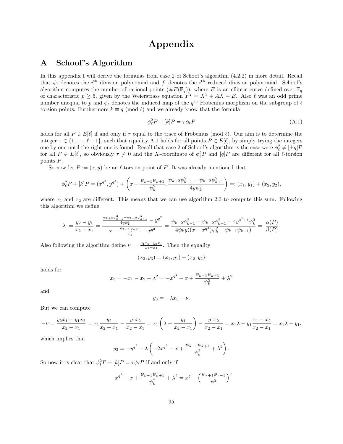# Appendix

## A Schoof 's Algorithm

In this appendix I will derive the formulas from case 2 of Schoof's algorithm (4.2.2) in more detail. Recall that  $\psi_i$  denotes the i<sup>th</sup> division polynomial and  $f_i$  denotes the i<sup>th</sup> reduced division polynomial. Schoof's algorithm computes the number of rational points  $(\#E(\mathbb{F}_q))$ , where E is an elliptic curve defined over  $\mathbb{F}_q$ of characteristic  $p \geq 5$ , given by the Weierstrass equation  $Y^2 = X^3 + AX + B$ . Also  $\ell$  was an odd prime number unequal to p and  $\phi_\ell$  denotes the induced map of the  $q^{\text{th}}$  Frobenius morphism on the subgroup of  $\ell$ torsion points. Furthermore  $k \equiv q \pmod{\ell}$  and we already know that the formula

$$
\phi_{\ell}^2 P + [k]P = \tau \phi_{\ell} P \tag{A.1}
$$

holds for all  $P \in E[\ell]$  if and only if  $\tau$  equal to the trace of Frobenius (mod  $\ell$ ). Our aim is to determine the integer  $\tau \in \{1, \ldots, \ell - 1\}$ , such that equality A.1 holds for all points  $P \in E[\ell]$ , by simply trying the integers one by one until the right one is found. Recall that case 2 of Schoof's algorithm is the case were  $\phi_\ell^2 \neq [\pm q]P$ for all  $P \in E[\ell]$ , so obviously  $\tau \neq 0$  and the X-coordinate of  $\phi_{\ell}^2 P$  and  $[q]P$  are different for all  $\ell$ -torsion points P.

So now let  $P := (x, y)$  be an  $\ell$ -torsion point of E. It was already mentioned that

$$
\phi_{\ell}^2 P + [k]P = (x^{q^2}, y^{q^2}) + \left(x - \frac{\psi_{k-1}\psi_{k+1}}{\psi_k^2}, \frac{\psi_{k+2}\psi_{k-1}^2 - \psi_{k-2}\psi_{k+1}^2}{4y\psi_k^3}\right) =: (x_1, y_1) + (x_2, y_2),
$$

where  $x_1$  and  $x_2$  are different. This means that we can use algorithm 2.3 to compute this sum. Following this algorithm we define

$$
\lambda := \frac{y_2 - y_1}{x_2 - x_1} = \frac{\frac{\psi_{k+2}\psi_{k-1}^2 - \psi_{k-2}\psi_{k+1}^2}{4y\psi_k^3} - y^{q^2}}{x - \frac{\psi_{k-1}\psi_{k+1}}{\psi_k^2} - x^{q^2}} = \frac{\psi_{k+2}\psi_{k-1}^2 - \psi_{k-2}\psi_{k+1}^2 - 4y^{q^2+1}\psi_k^3}{4\psi_k y((x - x^{q^2})\psi_k^2 - \psi_{k-1}\psi_{k+1})} =: \frac{\alpha(P)}{\beta(P)}.
$$

Also following the algorithm define  $\nu := \frac{y_1x_2 - y_2x_1}{x_2 - x_1}$ . Then the equality

$$
(x_3, y_3) = (x_1, y_1) + (x_2, y_2)
$$

holds for

$$
x_3 = -x_1 - x_2 + \lambda^2 = -x^{q^2} - x + \frac{\psi_{k-1}\psi_{k+1}}{\psi_k^2} + \lambda^2
$$

and

$$
y_3 = -\lambda x_3 - \nu.
$$

But we can compute

$$
-\nu = \frac{y_2x_1 - y_1x_2}{x_2 - x_1} = x_1 \frac{y_2}{x_2 - x_1} - \frac{y_1x_2}{x_2 - x_1} = x_1 \left(\lambda + \frac{y_1}{x_2 - x_1}\right) - \frac{y_1x_2}{x_2 - x_1} = x_1 \lambda + y_1 \frac{x_1 - x_2}{x_2 - x_1} = x_1 \lambda - y_1,
$$

which implies that

$$
y_3 = -y^{q^2} - \lambda \left( -2x^{q^2} - x + \frac{\psi_{k-1}\psi_{k+1}}{\psi_k^2} + \lambda^2 \right).
$$

So now it is clear that  $\phi_{\ell}^2 P + [k]P = \tau \phi_{\ell} P$  if and only if

$$
-x^{q^2} - x + \frac{\psi_{k-1}\psi_{k+1}}{\psi_k^2} + \lambda^2 = x^q - \left(\frac{\psi_{\tau+1}\phi_{\tau-1}}{\psi_\tau^2}\right)^q
$$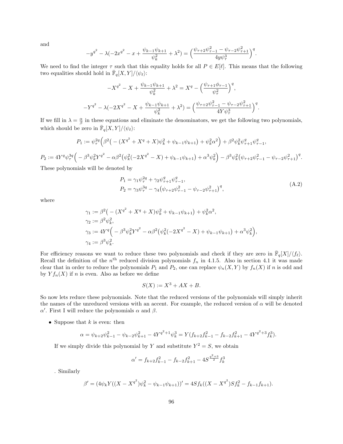and

$$
-y^{q^2} - \lambda(-2x^{q^2} - x + \frac{\psi_{k-1}\psi_{k+1}}{\psi_k^2} + \lambda^2) = \left(\frac{\psi_{\tau+2}\psi_{\tau-1}^2 - \psi_{\tau-2}\psi_{\tau+1}^2}{4y\psi_{\tau}^3}\right)^q.
$$

We need to find the integer  $\tau$  such that this equality holds for all  $P \in E[\ell]$ . This means that the following two equalities should hold in  $\bar{\mathbb{F}}_q[X,Y]/\langle \psi_\ell \rangle$ :

$$
-X^{q^2} - X + \frac{\psi_{k-1}\psi_{k+1}}{\psi_k^2} + \lambda^2 = X^q - \left(\frac{\psi_{\tau+1}\phi_{\tau-1}}{\psi_\tau^2}\right)^q,
$$
  

$$
-Y^{q^2} - \lambda(-2X^{q^2} - X + \frac{\psi_{k-1}\psi_{k+1}}{\psi_k^2} + \lambda^2) = \left(\frac{\psi_{\tau+2}\psi_{\tau-1}^2 - \psi_{\tau-2}\psi_{\tau+1}^2}{4Y\psi_\tau^3}\right)^q.
$$

If we fill in  $\lambda = \frac{\alpha}{\beta}$  in these equations and eliminate the denominators, we get the following two polynomials, which should be zero in  $\overline{\mathbb{F}}_q[X,Y]/\langle \psi_\ell \rangle$ :

$$
P_1 := \psi_{\tau}^{2q} \Big( \beta^2 \big( - (X^{q^2} + X^q + X) \psi_k^2 + \psi_{k-1} \psi_{k+1} \big) + \psi_k^2 \alpha^2 \Big) + \beta^2 \psi_k^2 \psi_{\tau+1}^q \psi_{\tau-1}^q,
$$

 $P_2:=4Y^q\psi^{3q}_{\tau}\Big(-\beta^3\psi^2_kY^{q^2}-\alpha\beta^2\big(\psi^2_k(-2X^{q^2}-X)+\psi_{k-1}\psi_{k+1}\big)+\alpha^3\psi^2_k\Big)-\beta^3\psi^2_k\big(\psi_{\tau+2}\psi^2_{\tau-1}-\psi_{\tau-2}\psi^2_{\tau+1}\big)^q.$ 

These polynomials will be denoted by

$$
P_1 = \gamma_1 \psi_{\tau}^{2q} + \gamma_2 \psi_{\tau+1}^q \psi_{\tau-1}^q,
$$
  
\n
$$
P_2 = \gamma_3 \psi_{\tau}^{3q} - \gamma_4 (\psi_{\tau+2} \psi_{\tau-1}^2 - \psi_{\tau-2} \psi_{\tau+1}^2)^q,
$$
\n(A.2)

where

$$
\gamma_1 := \beta^2 (-(X^{q^2} + X^q + X)\psi_k^2 + \psi_{k-1}\psi_{k+1}) + \psi_k^2 \alpha^2,
$$
  
\n
$$
\gamma_2 := \beta^2 \psi_k^2,
$$
  
\n
$$
\gamma_3 := 4Y^q (-\beta^3 \psi_k^2 Y^{q^2} - \alpha \beta^2 (\psi_k^2 (-2X^{q^2} - X) + \psi_{k-1}\psi_{k+1}) + \alpha^3 \psi_k^2),
$$
  
\n
$$
\gamma_4 := \beta^3 \psi_k^2.
$$

For efficiency reasons we want to reduce these two polynomials and check if they are zero in  $\bar{\mathbb{F}}_q[X]/\langle f_\ell\rangle$ . Recall the definition of the  $n<sup>th</sup>$  reduced division polynomials  $f_n$  in 4.1.5. Also in section 4.1 it was made clear that in order to reduce the polynomials  $P_1$  and  $P_2$ , one can replace  $\psi_n(X, Y)$  by  $f_n(X)$  if n is odd and by  $Y f_n(X)$  if n is even. Also as before we define

$$
S(X) := X^3 + AX + B.
$$

So now lets reduce these polynomials. Note that the reduced versions of the polynomials will simply inherit the names of the unreduced versions with an accent. For example, the reduced version of  $\alpha$  will be denoted  $\alpha'$ . First I will reduce the polynomials  $\alpha$  and  $\beta$ .

• Suppose that  $k$  is even: then

$$
\alpha = \psi_{k+2}\psi_{k-1}^2 - \psi_{k-2}\psi_{k+1}^2 - 4Y^{q^2+1}\psi_k^3 = Y(f_{k+2}f_{k-1}^2 - f_{k-2}f_{k+1}^2 - 4Y^{q^2+3}f_k^3).
$$

If we simply divide this polynomial by Y and substitute  $Y^2 = S$ , we obtain

$$
\alpha' = f_{k+2}f_{k-1}^2 - f_{k-2}f_{k+1}^2 - 4S^{\frac{q^2+3}{2}}f_k^3
$$

. Similarly

$$
\beta' = (4\psi_k Y((X - X^{q^2})\psi_k^2 - \psi_{k-1}\psi_{k+1}))' = 4Sf_k((X - X^{q^2})Sf_k^2 - f_{k-1}f_{k+1}).
$$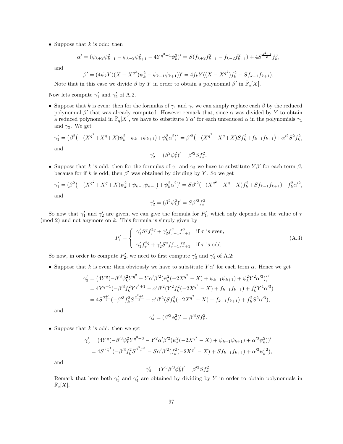• Suppose that  $k$  is odd: then

$$
\alpha' = (\psi_{k+2}\psi_{k-1}^2 - \psi_{k-2}\psi_{k+1}^2 - 4Y^{q^2+1}\psi_k^3)' = S(f_{k+2}f_{k-1}^2 - f_{k-2}f_{k+1}^2) + 4S^{\frac{q^2+1}{2}}f_k^3,
$$

and

$$
\beta' = (4\psi_k Y((X - X^{q^2})\psi_k^2 - \psi_{k-1}\psi_{k+1}))' = 4f_k Y((X - X^{q^2})f_k^2 - Sf_{k-1}f_{k+1}).
$$

Note that in this case we divide  $\beta$  by Y in order to obtain a polynomial  $\beta'$  in  $\overline{\mathbb{F}}_q[X]$ .

Now lets compute  $\gamma'_1$  and  $\gamma'_2$  of A.2.

• Suppose that k is even: then for the formulas of  $\gamma_1$  and  $\gamma_2$  we can simply replace each  $\beta$  by the reduced polynomial  $\beta'$  that was already computed. However remark that, since  $\alpha$  was divided by Y to obtain a reduced polynomial in  $\bar{\mathbb{F}}_q[X]$ , we have to substitute  $Y\alpha'$  for each unreduced  $\alpha$  in the polynomials  $\gamma_1$ and  $\gamma_2$ . We get

$$
\gamma_1' = (\beta^2 \left( -(X^{q^2} + X^q + X)\psi_k^2 + \psi_{k-1}\psi_{k+1} \right) + \psi_k^2 \alpha^2)' = \beta'^2 \left( -(X^{q^2} + X^q + X)Sf_k^2 + f_{k-1}f_{k+1} \right) + \alpha'^2 S^2 f_k^2,
$$
  
and  

$$
\gamma_2' = (\beta^2 \psi_k^2)' = \beta'^2 Sf_k^2.
$$

$$
\gamma_2' = (\beta^2 \psi_k^2)' = \beta'^2 S f_k^2
$$

• Suppose that k is odd: then for the formulas of  $\gamma_1$  and  $\gamma_2$  we have to substitute  $Y\beta'$  for each term  $\beta$ , because for if k is odd, then  $\beta'$  was obtained by dividing by Y. So we get

$$
\gamma_1' = (\beta^2 \left( -(X^{q^2} + X^q + X)\psi_k^2 + \psi_{k-1}\psi_{k+1} \right) + \psi_k^2 \alpha^2)' = S\beta'^2 \left( -(X^{q^2} + X^q + X)f_k^2 + Sf_{k-1}f_{k+1} \right) + f_k^2 \alpha'^2,
$$
  
and  

$$
\alpha' = (\beta^2 \psi_1'^2)' = S\beta'^2 f^2
$$

$$
\gamma_2' = (\beta^2 \psi_k^2)' = S\beta'^2 f_k^2.
$$

So now that  $\gamma'_1$  and  $\gamma'_2$  are given, we can give the formula for  $P'_1$ , which only depends on the value of  $\tau$  $\pmod{2}$  and not anymore on k. This formula is simply given by

$$
P'_{1} = \begin{cases} \gamma'_{1} S^{q} f_{\tau}^{2q} + \gamma'_{2} f_{\tau-1}^{q} f_{\tau+1}^{q} & \text{if } \tau \text{ is even,} \\ \gamma'_{1} f_{\tau}^{2q} + \gamma'_{2} S^{q} f_{\tau-1}^{q} f_{\tau+1}^{q} & \text{if } \tau \text{ is odd.} \end{cases}
$$
(A.3)

So now, in order to compute  $P'_2$ , we need to first compute  $\gamma'_3$  and  $\gamma'_4$  of A.2:

• Suppose that k is even: then obviously we have to substitute  $Y\alpha'$  for each term  $\alpha$ . Hence we get

$$
\gamma_3' = \left(4Y^q(-\beta'^3\psi_k^2Y^{q^2} - Y\alpha'\beta'^2(\psi_k^2(-2X^{q^2} - X) + \psi_{k-1}\psi_{k+1}) + \psi_k^2Y^2\alpha'^3)\right)'
$$
  
= 
$$
4Y^{q+1}(-\beta'^3f_k^2Y^{q^2+1} - \alpha'\beta'^2(Y^2f_k^2(-2X^{q^2} - X) + f_{k-1}f_{k+1}) + f_k^2Y^4\alpha'^3)
$$
  
= 
$$
4S^{\frac{q+1}{2}}(-\beta'^3f_k^2S^{\frac{q^2+1}{2}} - \alpha'\beta'^2(Sf_k^2(-2X^{q^2} - X) + f_{k-1}f_{k+1}) + f_k^2S^2\alpha'^3),
$$

and

$$
\gamma'_4 = (\beta'^3 \phi_k^2)' = \beta'^3 S f_k^2.
$$

• Suppose that  $k$  is odd: then we get

$$
\gamma_3' = (4Y^q(-\beta'^3\psi_k^2Y^{q^2+3} - Y^2\alpha'\beta'^2(\psi_k^2(-2X^{q^2} - X) + \psi_{k-1}\psi_{k+1}) + \alpha'^3\psi_k^2))'
$$
  
= 
$$
4S^{\frac{q-1}{2}}(-\beta'^3f_k^2S^{\frac{q^2+3}{2}} - S\alpha'\beta'^2(f_k^2(-2X^{q^2} - X) + Sf_{k-1}f_{k+1}) + \alpha'^3\psi_k'^2),
$$

and

$$
\gamma_4'=(Y^3\beta'^3\phi_k^2)'=\beta'^3Sf_k^2.
$$

Remark that here both  $\gamma'_3$  and  $\gamma'_4$  are obtained by dividing by Y in order to obtain polynomials in  $\bar{\mathbb{F}}_q[X].$